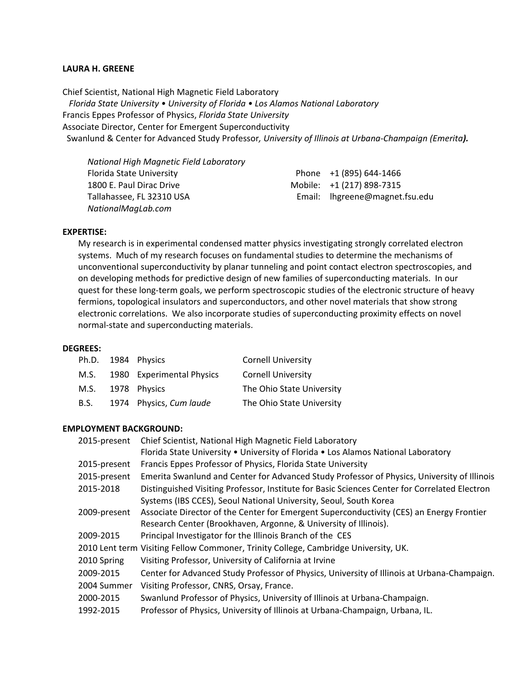#### **LAURA H. GREENE**

Chief Scientist, National High Magnetic Field Laboratory  *Florida State University • University of Florida • Los Alamos National Laboratory*  Francis Eppes Professor of Physics, *Florida State University* Associate Director, Center for Emergent Superconductivity Swanlund & Center for Advanced Study Professor*, University of Illinois at Urbana‐Champaign (Emerita).*

| National High Magnetic Field Laboratory |                                |
|-----------------------------------------|--------------------------------|
| Florida State University                | Phone +1 (895) 644-1466        |
| 1800 E. Paul Dirac Drive                | Mobile: +1 (217) 898-7315      |
| Tallahassee, FL 32310 USA               | Email: lhgreene@magnet.fsu.edu |
| NationalMagLab.com                      |                                |

#### **EXPERTISE:**

My research is in experimental condensed matter physics investigating strongly correlated electron systems. Much of my research focuses on fundamental studies to determine the mechanisms of unconventional superconductivity by planar tunneling and point contact electron spectroscopies, and on developing methods for predictive design of new families of superconducting materials. In our quest for these long-term goals, we perform spectroscopic studies of the electronic structure of heavy fermions, topological insulators and superconductors, and other novel materials that show strong electronic correlations. We also incorporate studies of superconducting proximity effects on novel normal‐state and superconducting materials.

#### **DEGREES:**

|      | Ph.D. 1984 Physics        | <b>Cornell University</b> |
|------|---------------------------|---------------------------|
| M.S. | 1980 Experimental Physics | <b>Cornell University</b> |
| M.S. | 1978 Physics              | The Ohio State University |
| B.S. | 1974 Physics, Cum laude   | The Ohio State University |

#### **EMPLOYMENT BACKGROUND:**

| Chief Scientist, National High Magnetic Field Laboratory<br>Florida State University . University of Florida . Los Alamos National Laboratory |
|-----------------------------------------------------------------------------------------------------------------------------------------------|
| Francis Eppes Professor of Physics, Florida State University                                                                                  |
| Emerita Swanlund and Center for Advanced Study Professor of Physics, University of Illinois                                                   |
| Distinguished Visiting Professor, Institute for Basic Sciences Center for Correlated Electron                                                 |
| Systems (IBS CCES), Seoul National University, Seoul, South Korea                                                                             |
| Associate Director of the Center for Emergent Superconductivity (CES) an Energy Frontier                                                      |
| Research Center (Brookhaven, Argonne, & University of Illinois).                                                                              |
| Principal Investigator for the Illinois Branch of the CES                                                                                     |
| 2010 Lent term Visiting Fellow Commoner, Trinity College, Cambridge University, UK.                                                           |
| Visiting Professor, University of California at Irvine                                                                                        |
| Center for Advanced Study Professor of Physics, University of Illinois at Urbana-Champaign.                                                   |
| Visiting Professor, CNRS, Orsay, France.                                                                                                      |
| Swanlund Professor of Physics, University of Illinois at Urbana-Champaign.                                                                    |
| Professor of Physics, University of Illinois at Urbana-Champaign, Urbana, IL.                                                                 |
|                                                                                                                                               |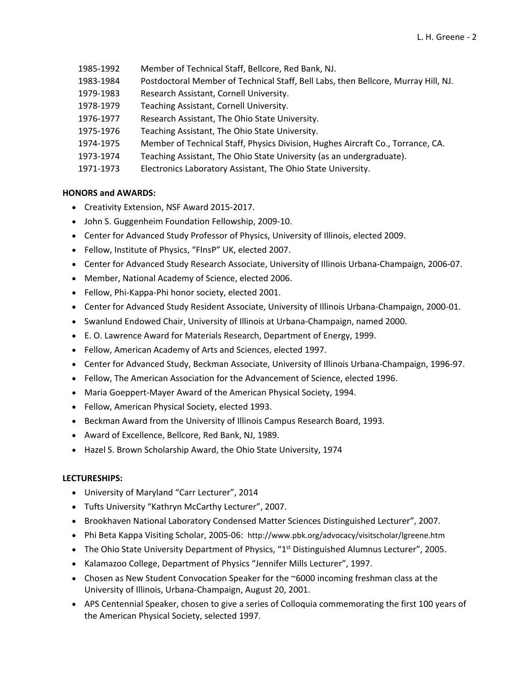- 1985‐1992 Member of Technical Staff, Bellcore, Red Bank, NJ.
- 1983‐1984 Postdoctoral Member of Technical Staff, Bell Labs, then Bellcore, Murray Hill, NJ.
- 1979‐1983 Research Assistant, Cornell University.
- 1978‐1979 Teaching Assistant, Cornell University.
- 1976‐1977 Research Assistant, The Ohio State University.
- 1975‐1976 Teaching Assistant, The Ohio State University.
- 1974‐1975 Member of Technical Staff, Physics Division, Hughes Aircraft Co., Torrance, CA.
- 1973‐1974 Teaching Assistant, The Ohio State University (as an undergraduate).
- 1971‐1973 Electronics Laboratory Assistant, The Ohio State University.

#### **HONORS and AWARDS:**

- Creativity Extension, NSF Award 2015‐2017.
- John S. Guggenheim Foundation Fellowship, 2009‐10.
- Center for Advanced Study Professor of Physics, University of Illinois, elected 2009.
- Fellow, Institute of Physics, "FInsP" UK, elected 2007.
- Center for Advanced Study Research Associate, University of Illinois Urbana‐Champaign, 2006‐07.
- Member, National Academy of Science, elected 2006.
- Fellow, Phi‐Kappa‐Phi honor society, elected 2001.
- Center for Advanced Study Resident Associate, University of Illinois Urbana‐Champaign, 2000‐01.
- Swanlund Endowed Chair, University of Illinois at Urbana-Champaign, named 2000.
- E. O. Lawrence Award for Materials Research, Department of Energy, 1999.
- Fellow, American Academy of Arts and Sciences, elected 1997.
- Center for Advanced Study, Beckman Associate, University of Illinois Urbana‐Champaign, 1996‐97.
- Fellow, The American Association for the Advancement of Science, elected 1996.
- Maria Goeppert‐Mayer Award of the American Physical Society, 1994.
- Fellow, American Physical Society, elected 1993.
- Beckman Award from the University of Illinois Campus Research Board, 1993.
- Award of Excellence, Bellcore, Red Bank, NJ, 1989.
- Hazel S. Brown Scholarship Award, the Ohio State University, 1974

#### **LECTURESHIPS:**

- University of Maryland "Carr Lecturer", 2014
- Tufts University "Kathryn McCarthy Lecturer", 2007.
- Brookhaven National Laboratory Condensed Matter Sciences Distinguished Lecturer", 2007.
- Phi Beta Kappa Visiting Scholar, 2005‐06: http://www.pbk.org/advocacy/visitscholar/lgreene.htm
- The Ohio State University Department of Physics, "1<sup>st</sup> Distinguished Alumnus Lecturer", 2005.
- Kalamazoo College, Department of Physics "Jennifer Mills Lecturer", 1997.
- Chosen as New Student Convocation Speaker for the  $~6000$  incoming freshman class at the University of Illinois, Urbana‐Champaign, August 20, 2001.
- APS Centennial Speaker, chosen to give a series of Colloquia commemorating the first 100 years of the American Physical Society, selected 1997.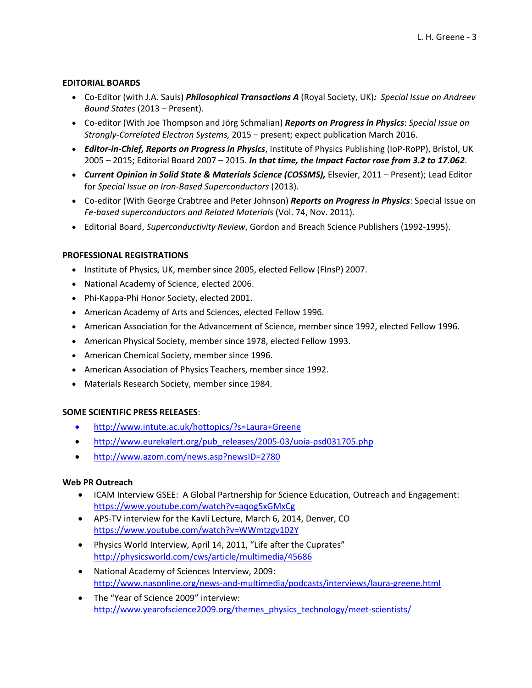### **EDITORIAL BOARDS**

- Co‐Editor (with J.A. Sauls) *Philosophical Transactions A* (Royal Society, UK)*: Special Issue on Andreev Bound States* (2013 – Present).
- Co‐editor (With Joe Thompson and Jörg Schmalian) *Reports on Progress in Physics*: *Special Issue on Strongly‐Correlated Electron Systems,* 2015 – present; expect publication March 2016.
- *Editor‐in‐Chief, Reports on Progress in Physics*, Institute of Physics Publishing (IoP‐RoPP), Bristol, UK 2005 – 2015; Editorial Board 2007 – 2015. *In that time, the Impact Factor rose from 3.2 to 17.062*.
- *Current Opinion in Solid State & Materials Science (COSSMS),* Elsevier, 2011 Present); Lead Editor for *Special Issue on Iron‐Based Superconductors* (2013).
- Co‐editor (With George Crabtree and Peter Johnson) *Reports on Progress in Physics*: Special Issue on *Fe‐based superconductors and Related Materials* (Vol. 74, Nov. 2011).
- Editorial Board, *Superconductivity Review*, Gordon and Breach Science Publishers (1992‐1995).

### **PROFESSIONAL REGISTRATIONS**

- Institute of Physics, UK, member since 2005, elected Fellow (FInsP) 2007.
- National Academy of Science, elected 2006.
- Phi-Kappa-Phi Honor Society, elected 2001.
- American Academy of Arts and Sciences, elected Fellow 1996.
- American Association for the Advancement of Science, member since 1992, elected Fellow 1996.
- American Physical Society, member since 1978, elected Fellow 1993.
- American Chemical Society, member since 1996.
- American Association of Physics Teachers, member since 1992.
- Materials Research Society, member since 1984.

### **SOME SCIENTIFIC PRESS RELEASES**:

- http://www.intute.ac.uk/hottopics/?s=Laura+Greene
- http://www.eurekalert.org/pub\_releases/2005-03/uoia-psd031705.php
- http://www.azom.com/news.asp?newsID=2780

### **Web PR Outreach**

- ICAM Interview GSEE: A Global Partnership for Science Education, Outreach and Engagement: https://www.youtube.com/watch?v=aqog5xGMxCg
- APS‐TV interview for the Kavli Lecture, March 6, 2014, Denver, CO https://www.youtube.com/watch?v=WWmtzgv102Y
- Physics World Interview, April 14, 2011, "Life after the Cuprates" http://physicsworld.com/cws/article/multimedia/45686
- National Academy of Sciences Interview, 2009: http://www.nasonline.org/news-and-multimedia/podcasts/interviews/laura-greene.html
- The "Year of Science 2009" interview: http://www.yearofscience2009.org/themes\_physics\_technology/meet-scientists/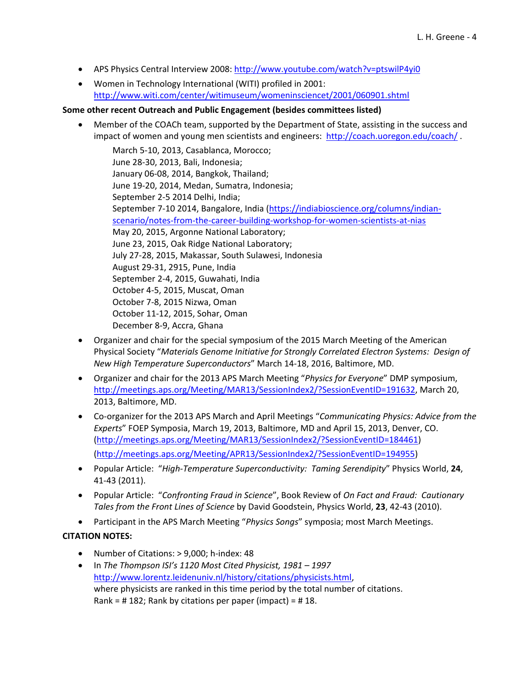- APS Physics Central Interview 2008: http://www.youtube.com/watch?v=ptswilP4yi0
- Women in Technology International (WITI) profiled in 2001: http://www.witi.com/center/witimuseum/womeninsciencet/2001/060901.shtml

### **Some other recent Outreach and Public Engagement (besides committees listed)**

 Member of the COACh team, supported by the Department of State, assisting in the success and impact of women and young men scientists and engineers: http://coach.uoregon.edu/coach/.

March 5‐10, 2013, Casablanca, Morocco; June 28‐30, 2013, Bali, Indonesia; January 06‐08, 2014, Bangkok, Thailand; June 19‐20, 2014, Medan, Sumatra, Indonesia; September 2‐5 2014 Delhi, India; September 7‐10 2014, Bangalore, India (https://indiabioscience.org/columns/indian‐ scenario/notes-from-the-career-building-workshop-for-women-scientists-at-nias May 20, 2015, Argonne National Laboratory; June 23, 2015, Oak Ridge National Laboratory; July 27‐28, 2015, Makassar, South Sulawesi, Indonesia August 29‐31, 2915, Pune, India September 2‐4, 2015, Guwahati, India October 4‐5, 2015, Muscat, Oman October 7‐8, 2015 Nizwa, Oman October 11‐12, 2015, Sohar, Oman December 8‐9, Accra, Ghana

- Organizer and chair for the special symposium of the 2015 March Meeting of the American Physical Society "*Materials Genome Initiative for Strongly Correlated Electron Systems: Design of New High Temperature Superconductors*" March 14‐18, 2016, Baltimore, MD.
- Organizer and chair for the 2013 APS March Meeting "*Physics for Everyone*" DMP symposium, http://meetings.aps.org/Meeting/MAR13/SessionIndex2/?SessionEventID=191632, March 20, 2013, Baltimore, MD.
- Co‐organizer for the 2013 APS March and April Meetings "*Communicating Physics: Advice from the Experts*" FOEP Symposia, March 19, 2013, Baltimore, MD and April 15, 2013, Denver, CO. (http://meetings.aps.org/Meeting/MAR13/SessionIndex2/?SessionEventID=184461) (http://meetings.aps.org/Meeting/APR13/SessionIndex2/?SessionEventID=194955)
- Popular Article: "*High‐Temperature Superconductivity: Taming Serendipity*" Physics World, **24**, 41‐43 (2011).
- Popular Article: "*Confronting Fraud in Science*", Book Review of *On Fact and Fraud: Cautionary Tales from the Front Lines of Science* by David Goodstein, Physics World, **23**, 42‐43 (2010).
- Participant in the APS March Meeting "*Physics Songs*" symposia; most March Meetings.

# **CITATION NOTES:**

- Number of Citations: > 9,000; h-index: 48
- In *The Thompson ISI's 1120 Most Cited Physicist, 1981 – 1997* http://www.lorentz.leidenuniv.nl/history/citations/physicists.html, where physicists are ranked in this time period by the total number of citations. Rank =  $\#$  182; Rank by citations per paper (impact) =  $\#$  18.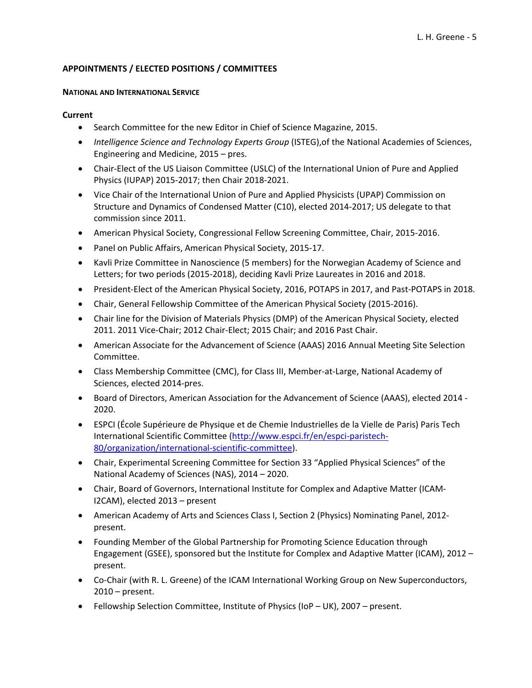### **APPOINTMENTS / ELECTED POSITIONS / COMMITTEES**

#### **NATIONAL AND INTERNATIONAL SERVICE**

### **Current**

- Search Committee for the new Editor in Chief of Science Magazine, 2015.
- *Intelligence Science and Technology Experts Group* (ISTEG),of the National Academies of Sciences, Engineering and Medicine, 2015 – pres.
- Chair-Elect of the US Liaison Committee (USLC) of the International Union of Pure and Applied Physics (IUPAP) 2015‐2017; then Chair 2018‐2021.
- Vice Chair of the International Union of Pure and Applied Physicists (UPAP) Commission on Structure and Dynamics of Condensed Matter (C10), elected 2014‐2017; US delegate to that commission since 2011.
- American Physical Society, Congressional Fellow Screening Committee, Chair, 2015‐2016.
- Panel on Public Affairs, American Physical Society, 2015-17.
- Kavli Prize Committee in Nanoscience (5 members) for the Norwegian Academy of Science and Letters; for two periods (2015‐2018), deciding Kavli Prize Laureates in 2016 and 2018.
- President-Elect of the American Physical Society, 2016, POTAPS in 2017, and Past-POTAPS in 2018.
- Chair, General Fellowship Committee of the American Physical Society (2015‐2016).
- Chair line for the Division of Materials Physics (DMP) of the American Physical Society, elected 2011. 2011 Vice‐Chair; 2012 Chair‐Elect; 2015 Chair; and 2016 Past Chair.
- American Associate for the Advancement of Science (AAAS) 2016 Annual Meeting Site Selection Committee.
- Class Membership Committee (CMC), for Class III, Member-at-Large, National Academy of Sciences, elected 2014‐pres.
- Board of Directors, American Association for the Advancement of Science (AAAS), elected 2014 -2020.
- ESPCI (École Supérieure de Physique et de Chemie Industrielles de la Vielle de Paris) Paris Tech International Scientific Committee (http://www.espci.fr/en/espci‐paristech‐ 80/organization/international‐scientific‐committee).
- Chair, Experimental Screening Committee for Section 33 "Applied Physical Sciences" of the National Academy of Sciences (NAS), 2014 – 2020.
- Chair, Board of Governors, International Institute for Complex and Adaptive Matter (ICAM‐ I2CAM), elected 2013 – present
- American Academy of Arts and Sciences Class I, Section 2 (Physics) Nominating Panel, 2012‐ present.
- Founding Member of the Global Partnership for Promoting Science Education through Engagement (GSEE), sponsored but the Institute for Complex and Adaptive Matter (ICAM), 2012 – present.
- Co-Chair (with R. L. Greene) of the ICAM International Working Group on New Superconductors, 2010 – present.
- Fellowship Selection Committee, Institute of Physics (IoP UK), 2007 present.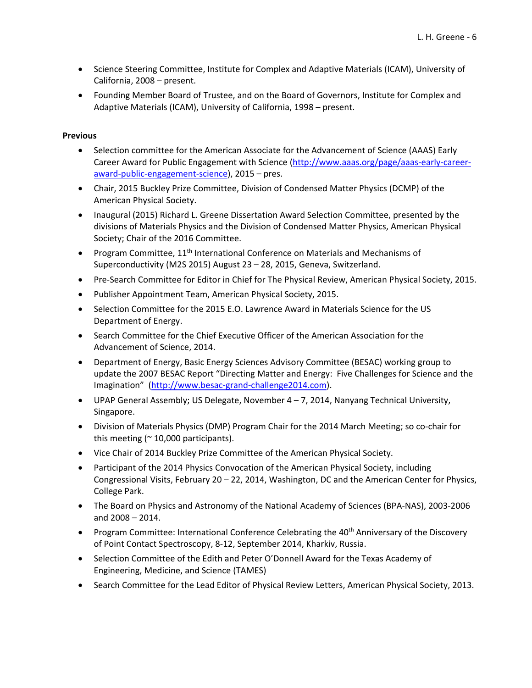- Science Steering Committee, Institute for Complex and Adaptive Materials (ICAM), University of California, 2008 – present.
- Founding Member Board of Trustee, and on the Board of Governors, Institute for Complex and Adaptive Materials (ICAM), University of California, 1998 – present.

- Selection committee for the American Associate for the Advancement of Science (AAAS) Early Career Award for Public Engagement with Science (http://www.aaas.org/page/aaas-early-careeraward‐public‐engagement‐science), 2015 – pres.
- Chair, 2015 Buckley Prize Committee, Division of Condensed Matter Physics (DCMP) of the American Physical Society.
- Inaugural (2015) Richard L. Greene Dissertation Award Selection Committee, presented by the divisions of Materials Physics and the Division of Condensed Matter Physics, American Physical Society; Chair of the 2016 Committee.
- Program Committee, 11<sup>th</sup> International Conference on Materials and Mechanisms of Superconductivity (M2S 2015) August 23 – 28, 2015, Geneva, Switzerland.
- Pre-Search Committee for Editor in Chief for The Physical Review, American Physical Society, 2015.
- Publisher Appointment Team, American Physical Society, 2015.
- Selection Committee for the 2015 E.O. Lawrence Award in Materials Science for the US Department of Energy.
- Search Committee for the Chief Executive Officer of the American Association for the Advancement of Science, 2014.
- Department of Energy, Basic Energy Sciences Advisory Committee (BESAC) working group to update the 2007 BESAC Report "Directing Matter and Energy: Five Challenges for Science and the Imagination" (http://www.besac‐grand‐challenge2014.com).
- $\bullet$  UPAP General Assembly; US Delegate, November 4 7, 2014, Nanyang Technical University, Singapore.
- Division of Materials Physics (DMP) Program Chair for the 2014 March Meeting; so co-chair for this meeting ( $\approx$  10,000 participants).
- Vice Chair of 2014 Buckley Prize Committee of the American Physical Society.
- Participant of the 2014 Physics Convocation of the American Physical Society, including Congressional Visits, February 20 – 22, 2014, Washington, DC and the American Center for Physics, College Park.
- The Board on Physics and Astronomy of the National Academy of Sciences (BPA‐NAS), 2003‐2006 and 2008 – 2014.
- Program Committee: International Conference Celebrating the  $40<sup>th</sup>$  Anniversary of the Discovery of Point Contact Spectroscopy, 8‐12, September 2014, Kharkiv, Russia.
- Selection Committee of the Edith and Peter O'Donnell Award for the Texas Academy of Engineering, Medicine, and Science (TAMES)
- Search Committee for the Lead Editor of Physical Review Letters, American Physical Society, 2013.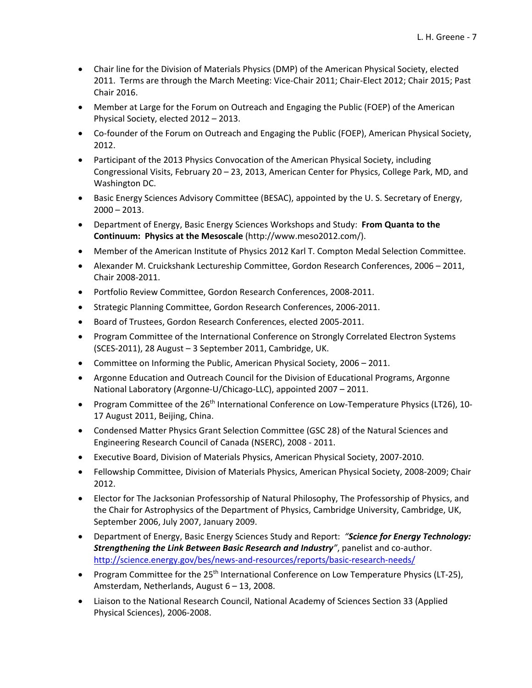- Chair line for the Division of Materials Physics (DMP) of the American Physical Society, elected 2011. Terms are through the March Meeting: Vice‐Chair 2011; Chair‐Elect 2012; Chair 2015; Past Chair 2016.
- Member at Large for the Forum on Outreach and Engaging the Public (FOEP) of the American Physical Society, elected 2012 – 2013.
- Co-founder of the Forum on Outreach and Engaging the Public (FOEP), American Physical Society, 2012.
- Participant of the 2013 Physics Convocation of the American Physical Society, including Congressional Visits, February 20 – 23, 2013, American Center for Physics, College Park, MD, and Washington DC.
- Basic Energy Sciences Advisory Committee (BESAC), appointed by the U. S. Secretary of Energy,  $2000 - 2013$ .
- Department of Energy, Basic Energy Sciences Workshops and Study: **From Quanta to the Continuum: Physics at the Mesoscale** (http://www.meso2012.com/).
- Member of the American Institute of Physics 2012 Karl T. Compton Medal Selection Committee.
- Alexander M. Cruickshank Lectureship Committee, Gordon Research Conferences, 2006 2011, Chair 2008‐2011.
- Portfolio Review Committee, Gordon Research Conferences, 2008-2011.
- Strategic Planning Committee, Gordon Research Conferences, 2006‐2011.
- Board of Trustees, Gordon Research Conferences, elected 2005-2011.
- Program Committee of the International Conference on Strongly Correlated Electron Systems (SCES‐2011), 28 August – 3 September 2011, Cambridge, UK.
- Committee on Informing the Public, American Physical Society, 2006 2011.
- Argonne Education and Outreach Council for the Division of Educational Programs, Argonne National Laboratory (Argonne‐U/Chicago‐LLC), appointed 2007 – 2011.
- Program Committee of the 26<sup>th</sup> International Conference on Low-Temperature Physics (LT26), 10-17 August 2011, Beijing, China.
- Condensed Matter Physics Grant Selection Committee (GSC 28) of the Natural Sciences and Engineering Research Council of Canada (NSERC), 2008 ‐ 2011.
- Executive Board, Division of Materials Physics, American Physical Society, 2007‐2010.
- Fellowship Committee, Division of Materials Physics, American Physical Society, 2008-2009; Chair 2012.
- Elector for The Jacksonian Professorship of Natural Philosophy, The Professorship of Physics, and the Chair for Astrophysics of the Department of Physics, Cambridge University, Cambridge, UK, September 2006, July 2007, January 2009.
- Department of Energy, Basic Energy Sciences Study and Report: *"Science for Energy Technology: Strengthening the Link Between Basic Research and Industry"*, panelist and co‐author. http://science.energy.gov/bes/news-and-resources/reports/basic-research-needs/
- Program Committee for the 25<sup>th</sup> International Conference on Low Temperature Physics (LT-25), Amsterdam, Netherlands, August 6 – 13, 2008.
- Liaison to the National Research Council, National Academy of Sciences Section 33 (Applied Physical Sciences), 2006‐2008.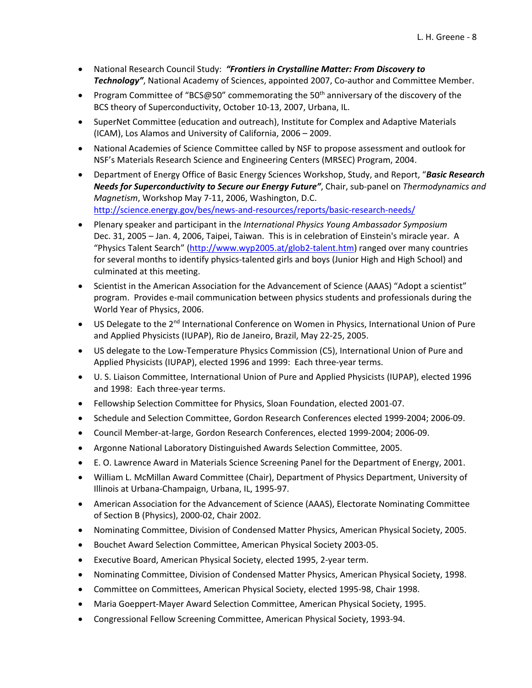- National Research Council Study: *"Frontiers in Crystalline Matter: From Discovery to* Technology", National Academy of Sciences, appointed 2007, Co-author and Committee Member.
- Program Committee of "BCS@50" commemorating the 50<sup>th</sup> anniversary of the discovery of the BCS theory of Superconductivity, October 10‐13, 2007, Urbana, IL.
- SuperNet Committee (education and outreach), Institute for Complex and Adaptive Materials (ICAM), Los Alamos and University of California, 2006 – 2009.
- National Academies of Science Committee called by NSF to propose assessment and outlook for NSF's Materials Research Science and Engineering Centers (MRSEC) Program, 2004.
- Department of Energy Office of Basic Energy Sciences Workshop, Study, and Report, "*Basic Research Needs for Superconductivity to Secure our Energy Future"*, Chair, sub‐panel on *Thermodynamics and Magnetism*, Workshop May 7‐11, 2006, Washington, D.C. http://science.energy.gov/bes/news-and-resources/reports/basic-research-needs/
- Plenary speaker and participant in the *International Physics Young Ambassador Symposium* Dec. 31, 2005 – Jan. 4, 2006, Taipei, Taiwan. This is in celebration of Einstein's miracle year. A "Physics Talent Search" (http://www.wyp2005.at/glob2‐talent.htm) ranged over many countries for several months to identify physics-talented girls and boys (Junior High and High School) and culminated at this meeting.
- Scientist in the American Association for the Advancement of Science (AAAS) "Adopt a scientist" program. Provides e‐mail communication between physics students and professionals during the World Year of Physics, 2006.
- US Delegate to the 2<sup>nd</sup> International Conference on Women in Physics, International Union of Pure and Applied Physicists (IUPAP), Rio de Janeiro, Brazil, May 22‐25, 2005.
- US delegate to the Low‐Temperature Physics Commission (C5), International Union of Pure and Applied Physicists (IUPAP), elected 1996 and 1999: Each three‐year terms.
- U. S. Liaison Committee, International Union of Pure and Applied Physicists (IUPAP), elected 1996 and 1998: Each three‐year terms.
- Fellowship Selection Committee for Physics, Sloan Foundation, elected 2001‐07.
- Schedule and Selection Committee, Gordon Research Conferences elected 1999-2004; 2006-09.
- Council Member‐at‐large, Gordon Research Conferences, elected 1999‐2004; 2006‐09.
- Argonne National Laboratory Distinguished Awards Selection Committee, 2005.
- E. O. Lawrence Award in Materials Science Screening Panel for the Department of Energy, 2001.
- William L. McMillan Award Committee (Chair), Department of Physics Department, University of Illinois at Urbana‐Champaign, Urbana, IL, 1995‐97.
- American Association for the Advancement of Science (AAAS), Electorate Nominating Committee of Section B (Physics), 2000‐02, Chair 2002.
- Nominating Committee, Division of Condensed Matter Physics, American Physical Society, 2005.
- Bouchet Award Selection Committee, American Physical Society 2003-05.
- Executive Board, American Physical Society, elected 1995, 2‐year term.
- Nominating Committee, Division of Condensed Matter Physics, American Physical Society, 1998.
- Committee on Committees, American Physical Society, elected 1995‐98, Chair 1998.
- Maria Goeppert-Mayer Award Selection Committee, American Physical Society, 1995.
- Congressional Fellow Screening Committee, American Physical Society, 1993‐94.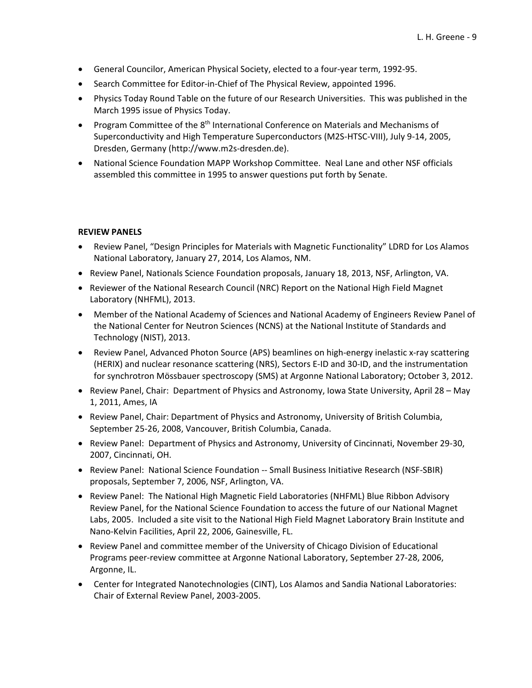- General Councilor, American Physical Society, elected to a four‐year term, 1992‐95.
- Search Committee for Editor-in-Chief of The Physical Review, appointed 1996.
- Physics Today Round Table on the future of our Research Universities. This was published in the March 1995 issue of Physics Today.
- Program Committee of the 8<sup>th</sup> International Conference on Materials and Mechanisms of Superconductivity and High Temperature Superconductors (M2S‐HTSC‐VIII), July 9‐14, 2005, Dresden, Germany (http://www.m2s‐dresden.de).
- National Science Foundation MAPP Workshop Committee. Neal Lane and other NSF officials assembled this committee in 1995 to answer questions put forth by Senate.

#### **REVIEW PANELS**

- Review Panel, "Design Principles for Materials with Magnetic Functionality" LDRD for Los Alamos National Laboratory, January 27, 2014, Los Alamos, NM.
- Review Panel, Nationals Science Foundation proposals, January 18, 2013, NSF, Arlington, VA.
- Reviewer of the National Research Council (NRC) Report on the National High Field Magnet Laboratory (NHFML), 2013.
- Member of the National Academy of Sciences and National Academy of Engineers Review Panel of the National Center for Neutron Sciences (NCNS) at the National Institute of Standards and Technology (NIST), 2013.
- Review Panel, Advanced Photon Source (APS) beamlines on high-energy inelastic x-ray scattering (HERIX) and nuclear resonance scattering (NRS), Sectors E‐ID and 30‐ID, and the instrumentation for synchrotron Mössbauer spectroscopy (SMS) at Argonne National Laboratory; October 3, 2012.
- Review Panel, Chair: Department of Physics and Astronomy, Iowa State University, April 28 May 1, 2011, Ames, IA
- Review Panel, Chair: Department of Physics and Astronomy, University of British Columbia, September 25‐26, 2008, Vancouver, British Columbia, Canada.
- Review Panel: Department of Physics and Astronomy, University of Cincinnati, November 29-30, 2007, Cincinnati, OH.
- Review Panel: National Science Foundation -- Small Business Initiative Research (NSF-SBIR) proposals, September 7, 2006, NSF, Arlington, VA.
- Review Panel: The National High Magnetic Field Laboratories (NHFML) Blue Ribbon Advisory Review Panel, for the National Science Foundation to access the future of our National Magnet Labs, 2005. Included a site visit to the National High Field Magnet Laboratory Brain Institute and Nano‐Kelvin Facilities, April 22, 2006, Gainesville, FL.
- Review Panel and committee member of the University of Chicago Division of Educational Programs peer‐review committee at Argonne National Laboratory, September 27‐28, 2006, Argonne, IL.
- Center for Integrated Nanotechnologies (CINT), Los Alamos and Sandia National Laboratories: Chair of External Review Panel, 2003‐2005.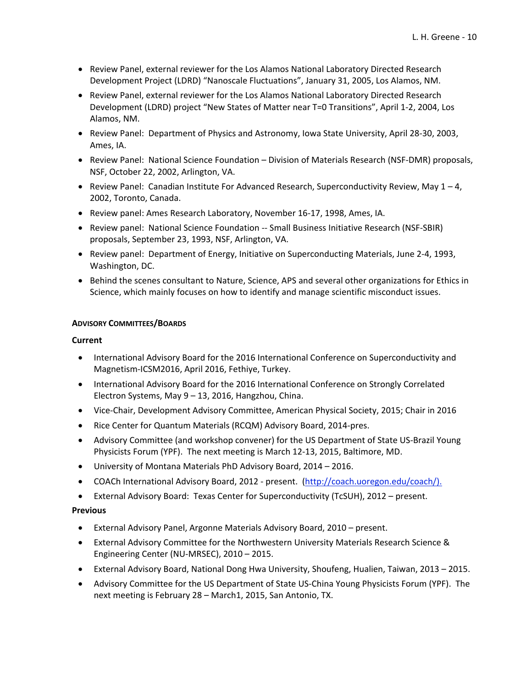- Review Panel, external reviewer for the Los Alamos National Laboratory Directed Research Development Project (LDRD) "Nanoscale Fluctuations", January 31, 2005, Los Alamos, NM.
- Review Panel, external reviewer for the Los Alamos National Laboratory Directed Research Development (LDRD) project "New States of Matter near T=0 Transitions", April 1‐2, 2004, Los Alamos, NM.
- Review Panel: Department of Physics and Astronomy, Iowa State University, April 28-30, 2003, Ames, IA.
- Review Panel: National Science Foundation Division of Materials Research (NSF-DMR) proposals, NSF, October 22, 2002, Arlington, VA.
- Review Panel: Canadian Institute For Advanced Research, Superconductivity Review, May  $1 4$ , 2002, Toronto, Canada.
- Review panel: Ames Research Laboratory, November 16-17, 1998, Ames, IA.
- Review panel: National Science Foundation -- Small Business Initiative Research (NSF-SBIR) proposals, September 23, 1993, NSF, Arlington, VA.
- Review panel: Department of Energy, Initiative on Superconducting Materials, June 2-4, 1993, Washington, DC.
- Behind the scenes consultant to Nature, Science, APS and several other organizations for Ethics in Science, which mainly focuses on how to identify and manage scientific misconduct issues.

### **ADVISORY COMMITTEES/BOARDS**

### **Current**

- International Advisory Board for the 2016 International Conference on Superconductivity and Magnetism‐ICSM2016, April 2016, Fethiye, Turkey.
- International Advisory Board for the 2016 International Conference on Strongly Correlated Electron Systems, May 9 – 13, 2016, Hangzhou, China.
- Vice‐Chair, Development Advisory Committee, American Physical Society, 2015; Chair in 2016
- Rice Center for Quantum Materials (RCQM) Advisory Board, 2014-pres.
- Advisory Committee (and workshop convener) for the US Department of State US‐Brazil Young Physicists Forum (YPF). The next meeting is March 12‐13, 2015, Baltimore, MD.
- University of Montana Materials PhD Advisory Board, 2014 2016.
- COACh International Advisory Board, 2012 present. (http://coach.uoregon.edu/coach/).
- External Advisory Board: Texas Center for Superconductivity (TcSUH), 2012 present.

- External Advisory Panel, Argonne Materials Advisory Board, 2010 present.
- External Advisory Committee for the Northwestern University Materials Research Science & Engineering Center (NU‐MRSEC), 2010 – 2015.
- External Advisory Board, National Dong Hwa University, Shoufeng, Hualien, Taiwan, 2013 2015.
- Advisory Committee for the US Department of State US‐China Young Physicists Forum (YPF). The next meeting is February 28 – March1, 2015, San Antonio, TX.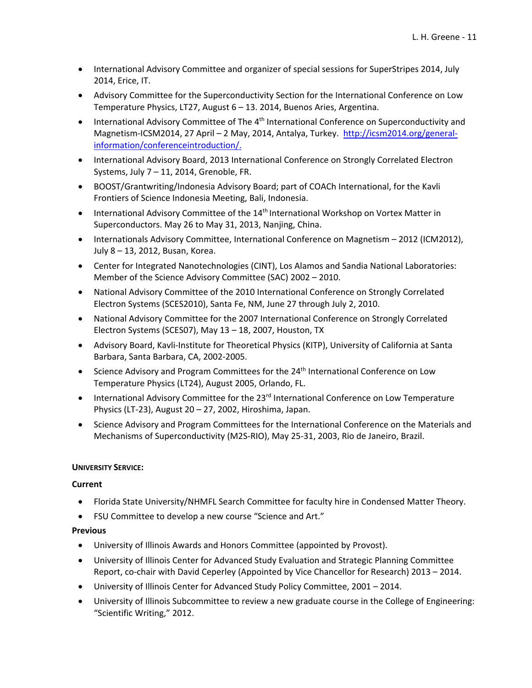- International Advisory Committee and organizer of special sessions for SuperStripes 2014, July 2014, Erice, IT.
- Advisory Committee for the Superconductivity Section for the International Conference on Low Temperature Physics, LT27, August 6 – 13. 2014, Buenos Aries, Argentina.
- **International Advisory Committee of The 4th International Conference on Superconductivity and** Magnetism-ICSM2014, 27 April – 2 May, 2014, Antalya, Turkey. http://icsm2014.org/generalinformation/conferenceintroduction/.
- International Advisory Board, 2013 International Conference on Strongly Correlated Electron Systems, July 7 – 11, 2014, Grenoble, FR.
- BOOST/Grantwriting/Indonesia Advisory Board; part of COACh International, for the Kavli Frontiers of Science Indonesia Meeting, Bali, Indonesia.
- International Advisory Committee of the 14<sup>th</sup> International Workshop on Vortex Matter in Superconductors. May 26 to May 31, 2013, Nanjing, China.
- Internationals Advisory Committee, International Conference on Magnetism 2012 (ICM2012), July 8 – 13, 2012, Busan, Korea.
- Center for Integrated Nanotechnologies (CINT), Los Alamos and Sandia National Laboratories: Member of the Science Advisory Committee (SAC) 2002 – 2010.
- National Advisory Committee of the 2010 International Conference on Strongly Correlated Electron Systems (SCES2010), Santa Fe, NM, June 27 through July 2, 2010.
- National Advisory Committee for the 2007 International Conference on Strongly Correlated Electron Systems (SCES07), May 13 – 18, 2007, Houston, TX
- Advisory Board, Kavli-Institute for Theoretical Physics (KITP), University of California at Santa Barbara, Santa Barbara, CA, 2002‐2005.
- Science Advisory and Program Committees for the 24<sup>th</sup> International Conference on Low Temperature Physics (LT24), August 2005, Orlando, FL.
- International Advisory Committee for the 23<sup>rd</sup> International Conference on Low Temperature Physics (LT‐23), August 20 – 27, 2002, Hiroshima, Japan.
- Science Advisory and Program Committees for the International Conference on the Materials and Mechanisms of Superconductivity (M2S‐RIO), May 25‐31, 2003, Rio de Janeiro, Brazil.

### **UNIVERSITY SERVICE:**

### **Current**

- Florida State University/NHMFL Search Committee for faculty hire in Condensed Matter Theory.
- FSU Committee to develop a new course "Science and Art."

- University of Illinois Awards and Honors Committee (appointed by Provost).
- University of Illinois Center for Advanced Study Evaluation and Strategic Planning Committee Report, co‐chair with David Ceperley (Appointed by Vice Chancellor for Research) 2013 – 2014.
- University of Illinois Center for Advanced Study Policy Committee, 2001 2014.
- University of Illinois Subcommittee to review a new graduate course in the College of Engineering: "Scientific Writing," 2012.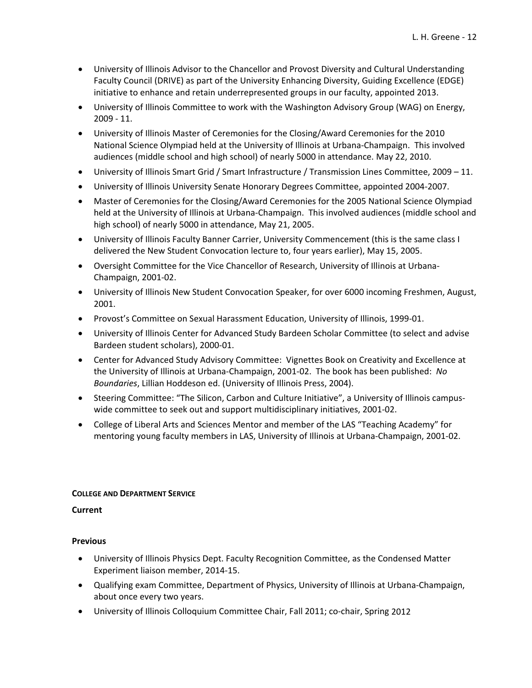- University of Illinois Advisor to the Chancellor and Provost Diversity and Cultural Understanding Faculty Council (DRIVE) as part of the University Enhancing Diversity, Guiding Excellence (EDGE) initiative to enhance and retain underrepresented groups in our faculty, appointed 2013.
- University of Illinois Committee to work with the Washington Advisory Group (WAG) on Energy, 2009 ‐ 11.
- University of Illinois Master of Ceremonies for the Closing/Award Ceremonies for the 2010 National Science Olympiad held at the University of Illinois at Urbana‐Champaign. This involved audiences (middle school and high school) of nearly 5000 in attendance. May 22, 2010.
- University of Illinois Smart Grid / Smart Infrastructure / Transmission Lines Committee, 2009 11.
- University of Illinois University Senate Honorary Degrees Committee, appointed 2004‐2007.
- Master of Ceremonies for the Closing/Award Ceremonies for the 2005 National Science Olympiad held at the University of Illinois at Urbana‐Champaign. This involved audiences (middle school and high school) of nearly 5000 in attendance, May 21, 2005.
- University of Illinois Faculty Banner Carrier, University Commencement (this is the same class I delivered the New Student Convocation lecture to, four years earlier), May 15, 2005.
- Oversight Committee for the Vice Chancellor of Research, University of Illinois at Urbana‐ Champaign, 2001‐02.
- University of Illinois New Student Convocation Speaker, for over 6000 incoming Freshmen, August, 2001.
- Provost's Committee on Sexual Harassment Education, University of Illinois, 1999-01.
- University of Illinois Center for Advanced Study Bardeen Scholar Committee (to select and advise Bardeen student scholars), 2000‐01.
- Center for Advanced Study Advisory Committee: Vignettes Book on Creativity and Excellence at the University of Illinois at Urbana‐Champaign, 2001‐02. The book has been published: *No Boundaries*, Lillian Hoddeson ed. (University of Illinois Press, 2004).
- Steering Committee: "The Silicon, Carbon and Culture Initiative", a University of Illinois campuswide committee to seek out and support multidisciplinary initiatives, 2001-02.
- College of Liberal Arts and Sciences Mentor and member of the LAS "Teaching Academy" for mentoring young faculty members in LAS, University of Illinois at Urbana‐Champaign, 2001‐02.

### **COLLEGE AND DEPARTMENT SERVICE**

### **Current**

- University of Illinois Physics Dept. Faculty Recognition Committee, as the Condensed Matter Experiment liaison member, 2014‐15.
- Qualifying exam Committee, Department of Physics, University of Illinois at Urbana‐Champaign, about once every two years.
- University of Illinois Colloquium Committee Chair, Fall 2011; co‐chair, Spring 2012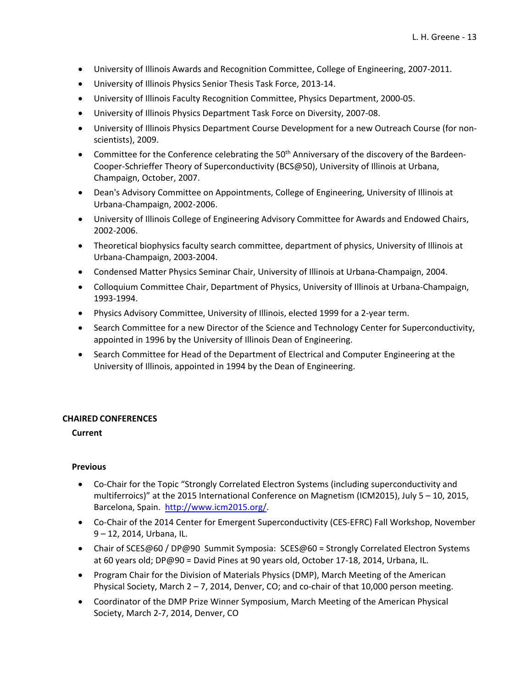- University of Illinois Awards and Recognition Committee, College of Engineering, 2007‐2011.
- University of Illinois Physics Senior Thesis Task Force, 2013‐14.
- University of Illinois Faculty Recognition Committee, Physics Department, 2000‐05.
- University of Illinois Physics Department Task Force on Diversity, 2007‐08.
- University of Illinois Physics Department Course Development for a new Outreach Course (for non‐ scientists), 2009.
- Committee for the Conference celebrating the 50<sup>th</sup> Anniversary of the discovery of the Bardeen-Cooper‐Schrieffer Theory of Superconductivity (BCS@50), University of Illinois at Urbana, Champaign, October, 2007.
- Dean's Advisory Committee on Appointments, College of Engineering, University of Illinois at Urbana‐Champaign, 2002‐2006.
- University of Illinois College of Engineering Advisory Committee for Awards and Endowed Chairs, 2002‐2006.
- Theoretical biophysics faculty search committee, department of physics, University of Illinois at Urbana‐Champaign, 2003‐2004.
- Condensed Matter Physics Seminar Chair, University of Illinois at Urbana‐Champaign, 2004.
- Colloquium Committee Chair, Department of Physics, University of Illinois at Urbana‐Champaign, 1993‐1994.
- Physics Advisory Committee, University of Illinois, elected 1999 for a 2‐year term.
- Search Committee for a new Director of the Science and Technology Center for Superconductivity, appointed in 1996 by the University of Illinois Dean of Engineering.
- Search Committee for Head of the Department of Electrical and Computer Engineering at the University of Illinois, appointed in 1994 by the Dean of Engineering.

### **CHAIRED CONFERENCES**

### **Current**

- Co-Chair for the Topic "Strongly Correlated Electron Systems (including superconductivity and multiferroics)" at the 2015 International Conference on Magnetism (ICM2015), July 5 – 10, 2015, Barcelona, Spain. http://www.icm2015.org/.
- Co-Chair of the 2014 Center for Emergent Superconductivity (CES-EFRC) Fall Workshop, November 9 – 12, 2014, Urbana, IL.
- Chair of SCES@60 / DP@90 Summit Symposia: SCES@60 = Strongly Correlated Electron Systems at 60 years old; DP@90 = David Pines at 90 years old, October 17‐18, 2014, Urbana, IL.
- Program Chair for the Division of Materials Physics (DMP), March Meeting of the American Physical Society, March  $2 - 7$ , 2014, Denver, CO; and co-chair of that 10,000 person meeting.
- Coordinator of the DMP Prize Winner Symposium, March Meeting of the American Physical Society, March 2‐7, 2014, Denver, CO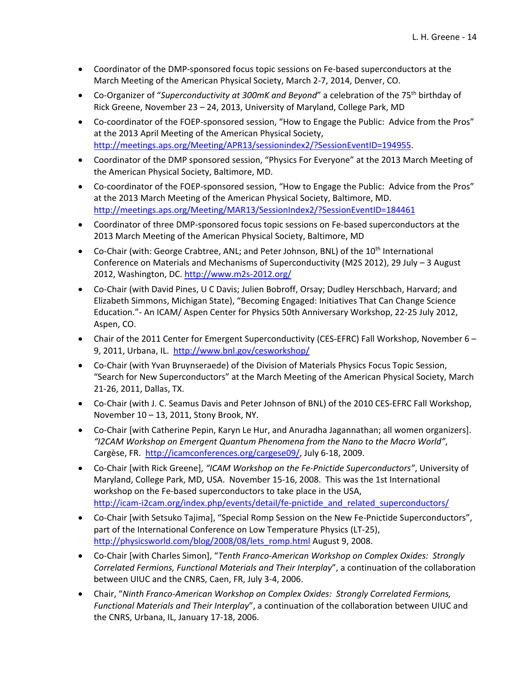- Coordinator of the DMP-sponsored focus topic sessions on Fe-based superconductors at the March Meeting of the American Physical Society, March 2‐7, 2014, Denver, CO.
- Co-Organizer of "*Superconductivity at 300mK and Beyond*" a celebration of the 75<sup>th</sup> birthday of Rick Greene, November 23 – 24, 2013, University of Maryland, College Park, MD
- Co-coordinator of the FOEP-sponsored session, "How to Engage the Public: Advice from the Pros" at the 2013 April Meeting of the American Physical Society, http://meetings.aps.org/Meeting/APR13/sessionindex2/?SessionEventID=194955.
- Coordinator of the DMP sponsored session, "Physics For Everyone" at the 2013 March Meeting of the American Physical Society, Baltimore, MD.
- Co-coordinator of the FOEP-sponsored session, "How to Engage the Public: Advice from the Pros" at the 2013 March Meeting of the American Physical Society, Baltimore, MD. http://meetings.aps.org/Meeting/MAR13/SessionIndex2/?SessionEventID=184461
- Coordinator of three DMP-sponsored focus topic sessions on Fe-based superconductors at the 2013 March Meeting of the American Physical Society, Baltimore, MD
- $\bullet$  Co-Chair (with: George Crabtree, ANL; and Peter Johnson, BNL) of the 10<sup>th</sup> International Conference on Materials and Mechanisms of Superconductivity (M2S 2012), 29 July – 3 August 2012, Washington, DC. http://www.m2s‐2012.org/
- Co-Chair (with David Pines, U C Davis; Julien Bobroff, Orsay; Dudley Herschbach, Harvard; and Elizabeth Simmons, Michigan State), "Becoming Engaged: Initiatives That Can Change Science Education."‐ An ICAM/ Aspen Center for Physics 50th Anniversary Workshop, 22‐25 July 2012, Aspen, CO.
- Chair of the 2011 Center for Emergent Superconductivity (CES-EFRC) Fall Workshop, November 6 9, 2011, Urbana, IL. http://www.bnl.gov/cesworkshop/
- Co-Chair (with Yvan Bruynseraede) of the Division of Materials Physics Focus Topic Session, "Search for New Superconductors" at the March Meeting of the American Physical Society, March 21‐26, 2011, Dallas, TX.
- Co-Chair (with J. C. Seamus Davis and Peter Johnson of BNL) of the 2010 CES-EFRC Fall Workshop, November 10 – 13, 2011, Stony Brook, NY.
- Co-Chair [with Catherine Pepin, Karyn Le Hur, and Anuradha Jagannathan; all women organizers]. *"I2CAM Workshop on Emergent Quantum Phenomena from the Nano to the Macro World"*, Cargèse, FR. http://icamconferences.org/cargese09/, July 6‐18, 2009.
- Co‐Chair [with Rick Greene], *"ICAM Workshop on the Fe‐Pnictide Superconductors"*, University of Maryland, College Park, MD, USA. November 15‐16, 2008. This was the 1st International workshop on the Fe‐based superconductors to take place in the USA, http://icam-i2cam.org/index.php/events/detail/fe-pnictide\_and\_related\_superconductors/
- Co-Chair [with Setsuko Tajima], "Special Romp Session on the New Fe-Pnictide Superconductors", part of the International Conference on Low Temperature Physics (LT‐25), http://physicsworld.com/blog/2008/08/lets\_romp.html August 9, 2008.
- Co‐Chair [with Charles Simon], "*Tenth Franco‐American Workshop on Complex Oxides: Strongly Correlated Fermions, Functional Materials and Their Interplay*", a continuation of the collaboration between UIUC and the CNRS, Caen, FR, July 3‐4, 2006.
- Chair, "*Ninth Franco‐American Workshop on Complex Oxides: Strongly Correlated Fermions, Functional Materials and Their Interplay*", a continuation of the collaboration between UIUC and the CNRS, Urbana, IL, January 17‐18, 2006.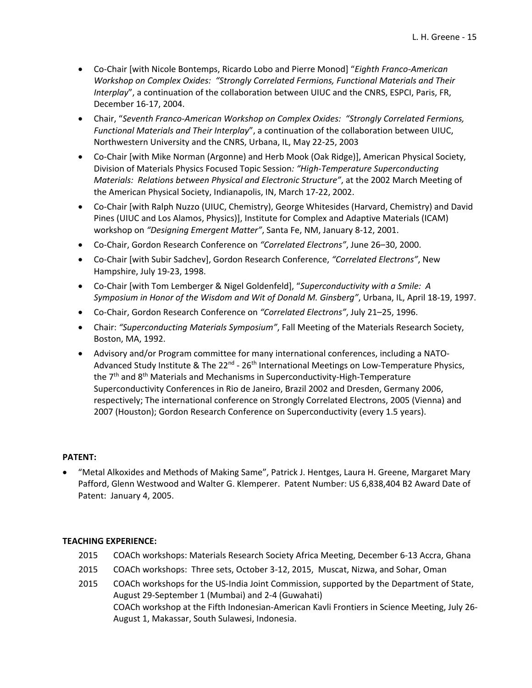- Co‐Chair [with Nicole Bontemps, Ricardo Lobo and Pierre Monod] "*Eighth Franco‐American Workshop on Complex Oxides: "Strongly Correlated Fermions, Functional Materials and Their Interplay*", a continuation of the collaboration between UIUC and the CNRS, ESPCI, Paris, FR, December 16‐17, 2004.
- Chair, "*Seventh Franco‐American Workshop on Complex Oxides: "Strongly Correlated Fermions, Functional Materials and Their Interplay*", a continuation of the collaboration between UIUC, Northwestern University and the CNRS, Urbana, IL, May 22‐25, 2003
- Co-Chair [with Mike Norman (Argonne) and Herb Mook (Oak Ridge)], American Physical Society, Division of Materials Physics Focused Topic Session*: "High‐Temperature Superconducting Materials: Relations between Physical and Electronic Structure"*, at the 2002 March Meeting of the American Physical Society, Indianapolis, IN, March 17‐22, 2002.
- Co-Chair [with Ralph Nuzzo (UIUC, Chemistry), George Whitesides (Harvard, Chemistry) and David Pines (UIUC and Los Alamos, Physics)], Institute for Complex and Adaptive Materials (ICAM) workshop on *"Designing Emergent Matter"*, Santa Fe, NM, January 8‐12, 2001.
- Co‐Chair, Gordon Research Conference on *"Correlated Electrons"*, June 26–30, 2000.
- Co-Chair [with Subir Sadchev], Gordon Research Conference, "Correlated *Electrons"*, New Hampshire, July 19‐23, 1998.
- Co‐Chair [with Tom Lemberger & Nigel Goldenfeld], "*Superconductivity with a Smile: A Symposium in Honor of the Wisdom and Wit of Donald M. Ginsberg"*, Urbana, IL, April 18‐19, 1997.
- Co‐Chair, Gordon Research Conference on *"Correlated Electrons"*, July 21–25, 1996.
- Chair: *"Superconducting Materials Symposium"*, Fall Meeting of the Materials Research Society, Boston, MA, 1992.
- Advisory and/or Program committee for many international conferences, including a NATO‐ Advanced Study Institute & The 22<sup>nd</sup> - 26<sup>th</sup> International Meetings on Low-Temperature Physics, the  $7<sup>th</sup>$  and  $8<sup>th</sup>$  Materials and Mechanisms in Superconductivity-High-Temperature Superconductivity Conferences in Rio de Janeiro, Brazil 2002 and Dresden, Germany 2006, respectively; The international conference on Strongly Correlated Electrons, 2005 (Vienna) and 2007 (Houston); Gordon Research Conference on Superconductivity (every 1.5 years).

### **PATENT:**

 "Metal Alkoxides and Methods of Making Same", Patrick J. Hentges, Laura H. Greene, Margaret Mary Pafford, Glenn Westwood and Walter G. Klemperer. Patent Number: US 6,838,404 B2 Award Date of Patent: January 4, 2005.

### **TEACHING EXPERIENCE:**

- 2015 COACh workshops: Materials Research Society Africa Meeting, December 6‐13 Accra, Ghana
- 2015 COACh workshops: Three sets, October 3‐12, 2015, Muscat, Nizwa, and Sohar, Oman
- 2015 COACh workshops for the US-India Joint Commission, supported by the Department of State, August 29‐September 1 (Mumbai) and 2‐4 (Guwahati) COACh workshop at the Fifth Indonesian‐American Kavli Frontiers in Science Meeting, July 26‐ August 1, Makassar, South Sulawesi, Indonesia.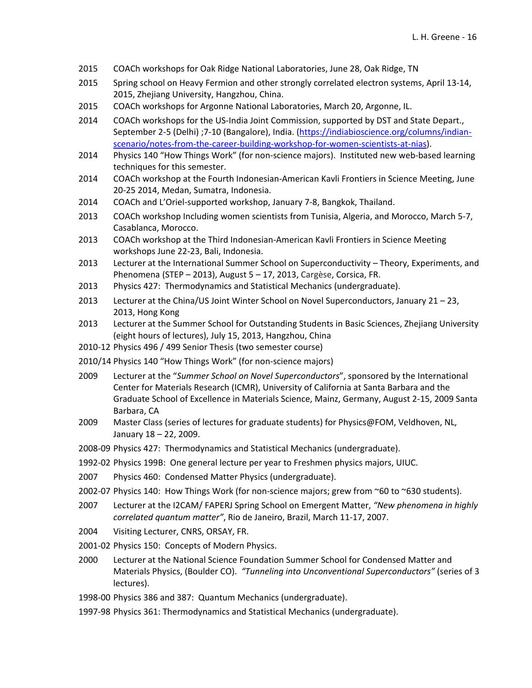- 2015 COACh workshops for Oak Ridge National Laboratories, June 28, Oak Ridge, TN
- 2015 Spring school on Heavy Fermion and other strongly correlated electron systems, April 13‐14, 2015, Zhejiang University, Hangzhou, China.
- 2015 COACh workshops for Argonne National Laboratories, March 20, Argonne, IL.
- 2014 COACh workshops for the US-India Joint Commission, supported by DST and State Depart., September 2‐5 (Delhi) ;7‐10 (Bangalore), India. (https://indiabioscience.org/columns/indian‐ scenario/notes-from-the-career-building-workshop-for-women-scientists-at-nias).
- 2014 Physics 140 "How Things Work" (for non-science majors). Instituted new web-based learning techniques for this semester.
- 2014 COACh workshop at the Fourth Indonesian-American Kavli Frontiers in Science Meeting, June 20‐25 2014, Medan, Sumatra, Indonesia.
- 2014 COACh and L'Oriel‐supported workshop, January 7‐8, Bangkok, Thailand.
- 2013 COACh workshop Including women scientists from Tunisia, Algeria, and Morocco, March 5‐7, Casablanca, Morocco.
- 2013 COACh workshop at the Third Indonesian‐American Kavli Frontiers in Science Meeting workshops June 22‐23, Bali, Indonesia.
- 2013 Lecturer at the International Summer School on Superconductivity Theory, Experiments, and Phenomena (STEP – 2013), August 5 – 17, 2013, Cargèse, Corsica, FR.
- 2013 Physics 427: Thermodynamics and Statistical Mechanics (undergraduate).
- 2013 Lecturer at the China/US Joint Winter School on Novel Superconductors, January 21 23, 2013, Hong Kong
- 2013 Lecturer at the Summer School for Outstanding Students in Basic Sciences, Zhejiang University (eight hours of lectures), July 15, 2013, Hangzhou, China
- 2010‐12 Physics 496 / 499 Senior Thesis (two semester course)
- 2010/14 Physics 140 "How Things Work" (for non‐science majors)
- 2009 Lecturer at the "*Summer School on Novel Superconductors*", sponsored by the International Center for Materials Research (ICMR), University of California at Santa Barbara and the Graduate School of Excellence in Materials Science, Mainz, Germany, August 2‐15, 2009 Santa Barbara, CA
- 2009 Master Class (series of lectures for graduate students) for Physics@FOM, Veldhoven, NL, January 18 – 22, 2009.
- 2008‐09 Physics 427: Thermodynamics and Statistical Mechanics (undergraduate).
- 1992‐02 Physics 199B: One general lecture per year to Freshmen physics majors, UIUC.
- 2007 Physics 460: Condensed Matter Physics (undergraduate).
- 2002‐07 Physics 140: How Things Work (for non‐science majors; grew from ~60 to ~630 students).
- 2007 Lecturer at the I2CAM/ FAPERJ Spring School on Emergent Matter, *"New phenomena in highly correlated quantum matter"*, Rio de Janeiro, Brazil, March 11‐17, 2007.
- 2004 Visiting Lecturer, CNRS, ORSAY, FR.
- 2001‐02 Physics 150: Concepts of Modern Physics.
- 2000 Lecturer at the National Science Foundation Summer School for Condensed Matter and Materials Physics, (Boulder CO). *"Tunneling into Unconventional Superconductors"* (series of 3 lectures).
- 1998‐00 Physics 386 and 387: Quantum Mechanics (undergraduate).
- 1997‐98 Physics 361: Thermodynamics and Statistical Mechanics (undergraduate).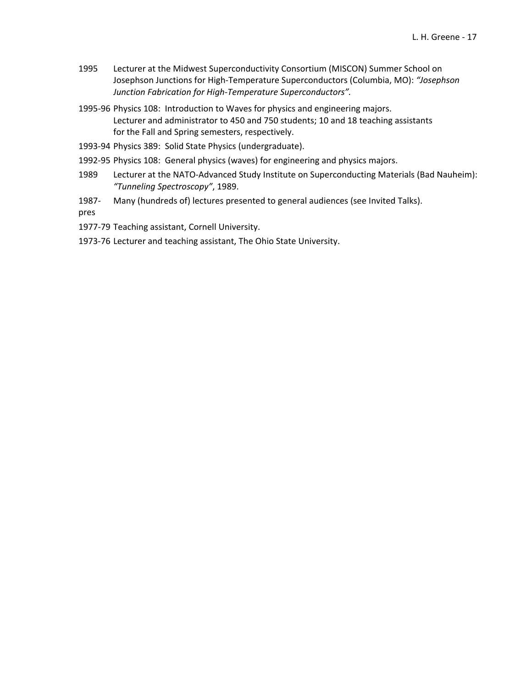- 1995 Lecturer at the Midwest Superconductivity Consortium (MISCON) Summer School on Josephson Junctions for High‐Temperature Superconductors (Columbia, MO): *"Josephson Junction Fabrication for High‐Temperature Superconductors".*
- 1995‐96 Physics 108: Introduction to Waves for physics and engineering majors. Lecturer and administrator to 450 and 750 students; 10 and 18 teaching assistants for the Fall and Spring semesters, respectively.
- 1993‐94 Physics 389: Solid State Physics (undergraduate).
- 1992‐95 Physics 108: General physics (waves) for engineering and physics majors.
- 1989 Lecturer at the NATO-Advanced Study Institute on Superconducting Materials (Bad Nauheim): *"Tunneling Spectroscopy"*, 1989.
- 1987‐ Many (hundreds of) lectures presented to general audiences (see Invited Talks).

pres

1977-79 Teaching assistant, Cornell University.

1973‐76 Lecturer and teaching assistant, The Ohio State University.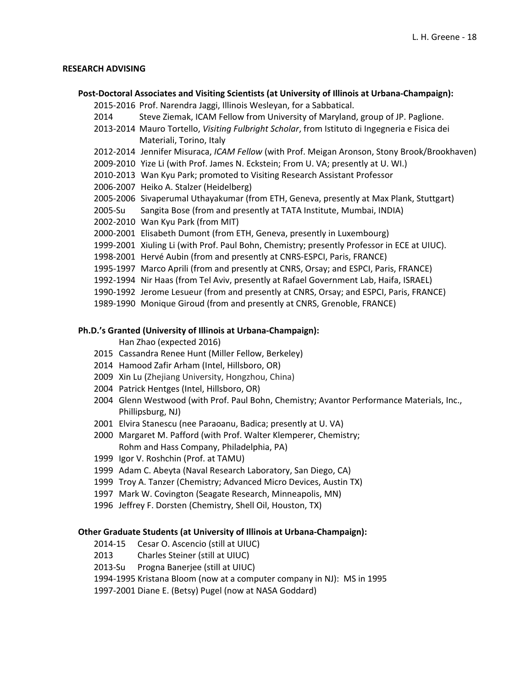### **RESEARCH ADVISING**

**Post‐Doctoral Associates and Visiting Scientists (at University of Illinois at Urbana‐Champaign):**

‐2016 Prof. Narendra Jaggi, Illinois Wesleyan, for a Sabbatical.

- Steve Ziemak, ICAM Fellow from University of Maryland, group of JP. Paglione.
- ‐2014 Mauro Tortello, *Visiting Fulbright Scholar*, from Istituto di Ingegneria e Fisica dei Materiali, Torino, Italy
- ‐2014 Jennifer Misuraca, *ICAM Fellow* (with Prof. Meigan Aronson, Stony Brook/Brookhaven)
- ‐2010 Yize Li (with Prof. James N. Eckstein; From U. VA; presently at U. WI.)
- ‐2013 Wan Kyu Park; promoted to Visiting Research Assistant Professor
- ‐2007 Heiko A. Stalzer (Heidelberg)
- ‐2006 Sivaperumal Uthayakumar (from ETH, Geneva, presently at Max Plank, Stuttgart)
- ‐Su Sangita Bose (from and presently at TATA Institute, Mumbai, INDIA)
- ‐2010 Wan Kyu Park (from MIT)
- ‐2001 Elisabeth Dumont (from ETH, Geneva, presently in Luxembourg)
- 1999-2001 Xiuling Li (with Prof. Paul Bohn, Chemistry; presently Professor in ECE at UIUC).
- ‐2001 Hervé Aubin (from and presently at CNRS‐ESPCI, Paris, FRANCE)
- ‐1997 Marco Aprili (from and presently at CNRS, Orsay; and ESPCI, Paris, FRANCE)
- ‐1994 Nir Haas (from Tel Aviv, presently at Rafael Government Lab, Haifa, ISRAEL)
- 1990-1992 Jerome Lesueur (from and presently at CNRS, Orsay; and ESPCI, Paris, FRANCE)
- ‐1990 Monique Giroud (from and presently at CNRS, Grenoble, FRANCE)

### **Ph.D.'s Granted (University of Illinois at Urbana‐Champaign):**

### Han Zhao (expected 2016)

- Cassandra Renee Hunt (Miller Fellow, Berkeley)
- Hamood Zafir Arham (Intel, Hillsboro, OR)
- Xin Lu (Zhejiang University, Hongzhou, China)
- Patrick Hentges (Intel, Hillsboro, OR)
- Glenn Westwood (with Prof. Paul Bohn, Chemistry; Avantor Performance Materials, Inc., Phillipsburg, NJ)
- Elvira Stanescu (nee Paraoanu, Badica; presently at U. VA)
- Margaret M. Pafford (with Prof. Walter Klemperer, Chemistry; Rohm and Hass Company, Philadelphia, PA)
- Igor V. Roshchin (Prof. at TAMU)
- Adam C. Abeyta (Naval Research Laboratory, San Diego, CA)
- Troy A. Tanzer (Chemistry; Advanced Micro Devices, Austin TX)
- Mark W. Covington (Seagate Research, Minneapolis, MN)
- Jeffrey F. Dorsten (Chemistry, Shell Oil, Houston, TX)

### **Other Graduate Students (at University of Illinois at Urbana‐Champaign):**

- ‐15 Cesar O. Ascencio (still at UIUC)
- Charles Steiner (still at UIUC)
- ‐Su Progna Banerjee (still at UIUC)

‐1995 Kristana Bloom (now at a computer company in NJ): MS in 1995

‐2001 Diane E. (Betsy) Pugel (now at NASA Goddard)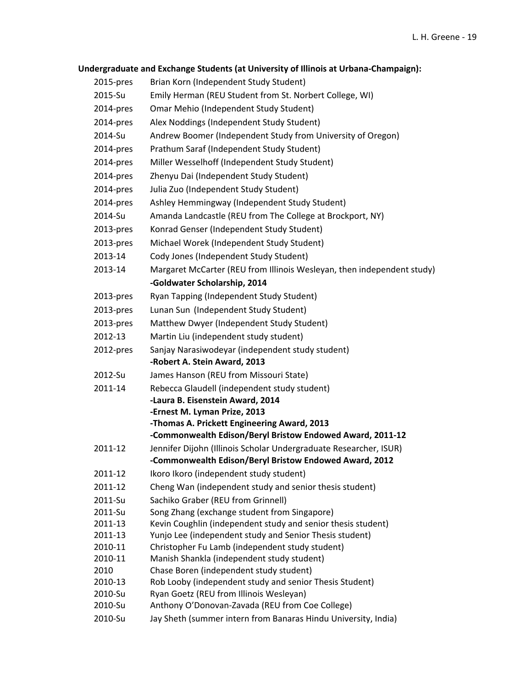|                    | Undergraduate and Exchange Students (at University of Illinois at Urbana-Champaign):                                        |
|--------------------|-----------------------------------------------------------------------------------------------------------------------------|
| 2015-pres          | Brian Korn (Independent Study Student)                                                                                      |
| 2015-Su            |                                                                                                                             |
|                    | Emily Herman (REU Student from St. Norbert College, WI)                                                                     |
| 2014-pres          | Omar Mehio (Independent Study Student)                                                                                      |
| 2014-pres          | Alex Noddings (Independent Study Student)                                                                                   |
| 2014-Su            | Andrew Boomer (Independent Study from University of Oregon)                                                                 |
| 2014-pres          | Prathum Saraf (Independent Study Student)                                                                                   |
| 2014-pres          | Miller Wesselhoff (Independent Study Student)                                                                               |
| 2014-pres          | Zhenyu Dai (Independent Study Student)                                                                                      |
| 2014-pres          | Julia Zuo (Independent Study Student)                                                                                       |
| 2014-pres          | Ashley Hemmingway (Independent Study Student)                                                                               |
| 2014-Su            | Amanda Landcastle (REU from The College at Brockport, NY)                                                                   |
| 2013-pres          | Konrad Genser (Independent Study Student)                                                                                   |
| 2013-pres          | Michael Worek (Independent Study Student)                                                                                   |
| 2013-14            | Cody Jones (Independent Study Student)                                                                                      |
| 2013-14            | Margaret McCarter (REU from Illinois Wesleyan, then independent study)                                                      |
|                    | -Goldwater Scholarship, 2014                                                                                                |
| 2013-pres          | Ryan Tapping (Independent Study Student)                                                                                    |
| 2013-pres          | Lunan Sun (Independent Study Student)                                                                                       |
| 2013-pres          | Matthew Dwyer (Independent Study Student)                                                                                   |
| 2012-13            | Martin Liu (independent study student)                                                                                      |
| 2012-pres          | Sanjay Narasiwodeyar (independent study student)                                                                            |
|                    | -Robert A. Stein Award, 2013                                                                                                |
| 2012-Su            | James Hanson (REU from Missouri State)                                                                                      |
| 2011-14            | Rebecca Glaudell (independent study student)                                                                                |
|                    | -Laura B. Eisenstein Award, 2014                                                                                            |
|                    | -Ernest M. Lyman Prize, 2013                                                                                                |
|                    | -Thomas A. Prickett Engineering Award, 2013                                                                                 |
|                    | -Commonwealth Edison/Beryl Bristow Endowed Award, 2011-12                                                                   |
| 2011-12            | Jennifer Dijohn (Illinois Scholar Undergraduate Researcher, ISUR)<br>-Commonwealth Edison/Beryl Bristow Endowed Award, 2012 |
| 2011-12            | Ikoro Ikoro (independent study student)                                                                                     |
| 2011-12            | Cheng Wan (independent study and senior thesis student)                                                                     |
| 2011-Su            | Sachiko Graber (REU from Grinnell)                                                                                          |
| 2011-Su            | Song Zhang (exchange student from Singapore)                                                                                |
| 2011-13            | Kevin Coughlin (independent study and senior thesis student)                                                                |
| 2011-13            | Yunjo Lee (independent study and Senior Thesis student)                                                                     |
| 2010-11            | Christopher Fu Lamb (independent study student)                                                                             |
| 2010-11            | Manish Shankla (independent study student)                                                                                  |
| 2010               | Chase Boren (independent study student)                                                                                     |
| 2010-13<br>2010-Su | Rob Looby (independent study and senior Thesis Student)<br>Ryan Goetz (REU from Illinois Wesleyan)                          |
| 2010-Su            | Anthony O'Donovan-Zavada (REU from Coe College)                                                                             |
| 2010-Su            | Jay Sheth (summer intern from Banaras Hindu University, India)                                                              |
|                    |                                                                                                                             |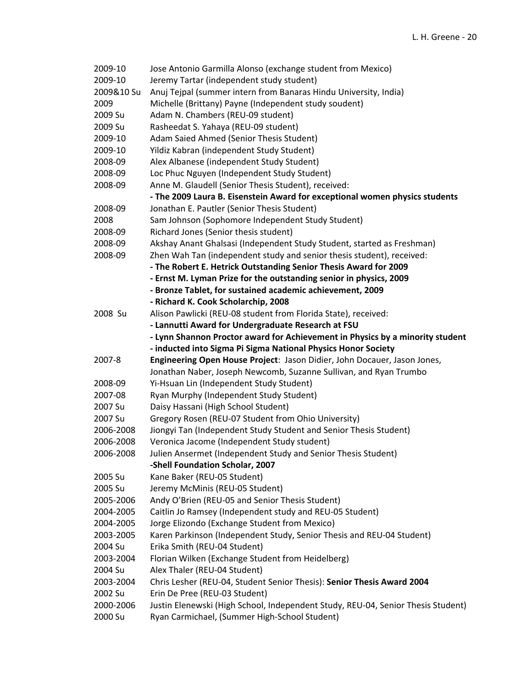| 2009-10    | Jose Antonio Garmilla Alonso (exchange student from Mexico)                                                                                   |
|------------|-----------------------------------------------------------------------------------------------------------------------------------------------|
| 2009-10    | Jeremy Tartar (independent study student)                                                                                                     |
| 2009&10 Su | Anuj Tejpal (summer intern from Banaras Hindu University, India)                                                                              |
| 2009       | Michelle (Brittany) Payne (Independent study soudent)                                                                                         |
| 2009 Su    | Adam N. Chambers (REU-09 student)                                                                                                             |
| 2009 Su    | Rasheedat S. Yahaya (REU-09 student)                                                                                                          |
| 2009-10    | Adam Saied Ahmed (Senior Thesis Student)                                                                                                      |
| 2009-10    | Yildiz Kabran (independent Study Student)                                                                                                     |
| 2008-09    | Alex Albanese (independent Study Student)                                                                                                     |
| 2008-09    | Loc Phuc Nguyen (Independent Study Student)                                                                                                   |
| 2008-09    | Anne M. Glaudell (Senior Thesis Student), received:                                                                                           |
|            | - The 2009 Laura B. Eisenstein Award for exceptional women physics students                                                                   |
| 2008-09    | Jonathan E. Pautler (Senior Thesis Student)                                                                                                   |
| 2008       | Sam Johnson (Sophomore Independent Study Student)                                                                                             |
| 2008-09    | Richard Jones (Senior thesis student)                                                                                                         |
| 2008-09    | Akshay Anant Ghalsasi (Independent Study Student, started as Freshman)                                                                        |
| 2008-09    | Zhen Wah Tan (independent study and senior thesis student), received:                                                                         |
|            | - The Robert E. Hetrick Outstanding Senior Thesis Award for 2009                                                                              |
|            | - Ernst M. Lyman Prize for the outstanding senior in physics, 2009                                                                            |
|            | - Bronze Tablet, for sustained academic achievement, 2009                                                                                     |
|            | - Richard K. Cook Scholarchip, 2008                                                                                                           |
| 2008 Su    | Alison Pawlicki (REU-08 student from Florida State), received:                                                                                |
|            | - Lannutti Award for Undergraduate Research at FSU                                                                                            |
|            | - Lynn Shannon Proctor award for Achievement in Physics by a minority student                                                                 |
|            |                                                                                                                                               |
|            |                                                                                                                                               |
| 2007-8     | - inducted into Sigma Pi Sigma National Physics Honor Society                                                                                 |
|            | Engineering Open House Project: Jason Didier, John Docauer, Jason Jones,<br>Jonathan Naber, Joseph Newcomb, Suzanne Sullivan, and Ryan Trumbo |
| 2008-09    | Yi-Hsuan Lin (Independent Study Student)                                                                                                      |
| 2007-08    | Ryan Murphy (Independent Study Student)                                                                                                       |
| 2007 Su    | Daisy Hassani (High School Student)                                                                                                           |
| 2007 Su    | Gregory Rosen (REU-07 Student from Ohio University)                                                                                           |
| 2006-2008  | Jiongyi Tan (Independent Study Student and Senior Thesis Student)                                                                             |
| 2006-2008  | Veronica Jacome (Independent Study student)                                                                                                   |
| 2006-2008  | Julien Ansermet (Independent Study and Senior Thesis Student)                                                                                 |
|            | -Shell Foundation Scholar, 2007                                                                                                               |
| 2005 Su    | Kane Baker (REU-05 Student)                                                                                                                   |
| 2005 Su    | Jeremy McMinis (REU-05 Student)                                                                                                               |
| 2005-2006  | Andy O'Brien (REU-05 and Senior Thesis Student)                                                                                               |
| 2004-2005  | Caitlin Jo Ramsey (Independent study and REU-05 Student)                                                                                      |
| 2004-2005  | Jorge Elizondo (Exchange Student from Mexico)                                                                                                 |
| 2003-2005  | Karen Parkinson (Independent Study, Senior Thesis and REU-04 Student)                                                                         |
| 2004 Su    | Erika Smith (REU-04 Student)                                                                                                                  |
| 2003-2004  | Florian Wilken (Exchange Student from Heidelberg)                                                                                             |
| 2004 Su    | Alex Thaler (REU-04 Student)                                                                                                                  |
| 2003-2004  | Chris Lesher (REU-04, Student Senior Thesis): Senior Thesis Award 2004                                                                        |
| 2002 Su    | Erin De Pree (REU-03 Student)                                                                                                                 |
| 2000-2006  | Justin Elenewski (High School, Independent Study, REU-04, Senior Thesis Student)                                                              |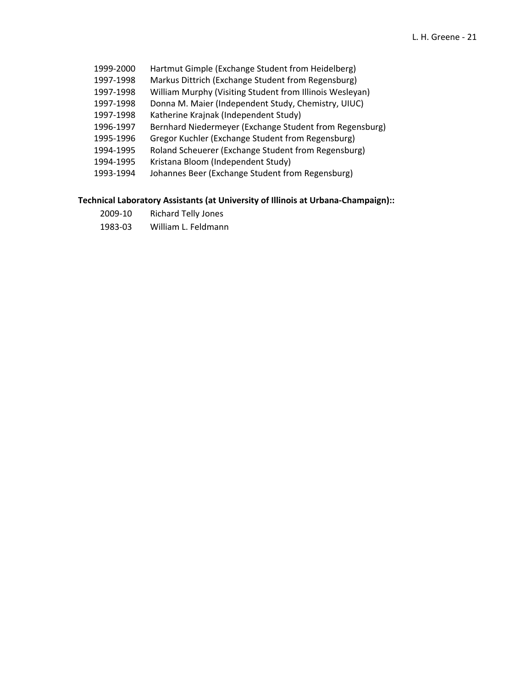- ‐2000 Hartmut Gimple (Exchange Student from Heidelberg)
- ‐1998 Markus Dittrich (Exchange Student from Regensburg)
- 1997-1998 William Murphy (Visiting Student from Illinois Wesleyan)
- ‐1998 Donna M. Maier (Independent Study, Chemistry, UIUC)
- ‐1998 Katherine Krajnak (Independent Study)
- 1996-1997 Bernhard Niedermeyer (Exchange Student from Regensburg)
- ‐1996 Gregor Kuchler (Exchange Student from Regensburg)
- ‐1995 Roland Scheuerer (Exchange Student from Regensburg)
- ‐1995 Kristana Bloom (Independent Study)
- ‐1994 Johannes Beer (Exchange Student from Regensburg)

### **Technical Laboratory Assistants (at University of Illinois at Urbana‐Champaign)::**

- ‐10 Richard Telly Jones
- ‐03 William L. Feldmann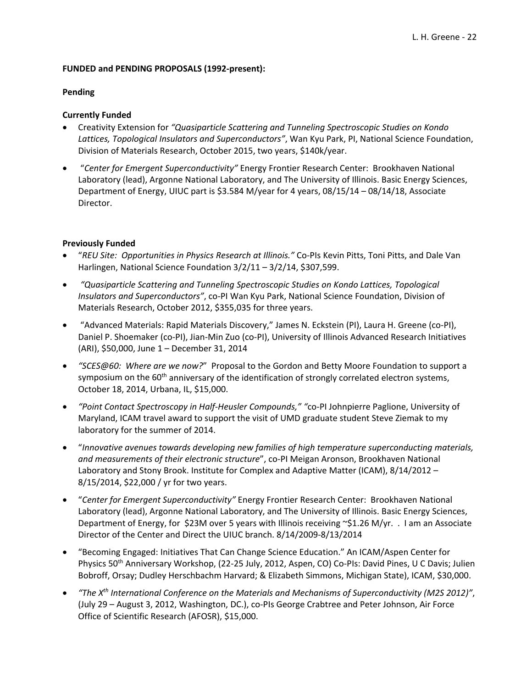### **FUNDED and PENDING PROPOSALS (1992‐present):**

### **Pending**

### **Currently Funded**

- Creativity Extension for *"Quasiparticle Scattering and Tunneling Spectroscopic Studies on Kondo Lattices, Topological Insulators and Superconductors"*, Wan Kyu Park, PI, National Science Foundation, Division of Materials Research, October 2015, two years, \$140k/year.
- "*Center for Emergent Superconductivity"* Energy Frontier Research Center: Brookhaven National Laboratory (lead), Argonne National Laboratory, and The University of Illinois. Basic Energy Sciences, Department of Energy, UIUC part is \$3.584 M/year for 4 years, 08/15/14 – 08/14/18, Associate Director.

### **Previously Funded**

- "*REU Site: Opportunities in Physics Research at Illinois."* Co‐PIs Kevin Pitts, Toni Pitts, and Dale Van Harlingen, National Science Foundation 3/2/11 – 3/2/14, \$307,599.
- *"Quasiparticle Scattering and Tunneling Spectroscopic Studies on Kondo Lattices, Topological Insulators and Superconductors"*, co‐PI Wan Kyu Park, National Science Foundation, Division of Materials Research, October 2012, \$355,035 for three years.
- "Advanced Materials: Rapid Materials Discovery," James N. Eckstein (PI), Laura H. Greene (co‐PI), Daniel P. Shoemaker (co‐PI), Jian‐Min Zuo (co‐PI), University of Illinois Advanced Research Initiatives (ARI), \$50,000, June 1 – December 31, 2014
- *"SCES@60: Where are we now?*" Proposal to the Gordon and Betty Moore Foundation to support a symposium on the 60<sup>th</sup> anniversary of the identification of strongly correlated electron systems, October 18, 2014, Urbana, IL, \$15,000.
- *"Point Contact Spectroscopy in Half‐Heusler Compounds," "*co‐PI Johnpierre Paglione, University of Maryland, ICAM travel award to support the visit of UMD graduate student Steve Ziemak to my laboratory for the summer of 2014.
- "*Innovative avenues towards developing new families of high temperature superconducting materials, and measurements of their electronic structure*", co‐PI Meigan Aronson, Brookhaven National Laboratory and Stony Brook. Institute for Complex and Adaptive Matter (ICAM), 8/14/2012 – 8/15/2014, \$22,000 / yr for two years.
- "*Center for Emergent Superconductivity"* Energy Frontier Research Center: Brookhaven National Laboratory (lead), Argonne National Laboratory, and The University of Illinois. Basic Energy Sciences, Department of Energy, for \$23M over 5 years with Illinois receiving ~\$1.26 M/yr. . I am an Associate Director of the Center and Direct the UIUC branch. 8/14/2009‐8/13/2014
- "Becoming Engaged: Initiatives That Can Change Science Education." An ICAM/Aspen Center for Physics 50<sup>th</sup> Anniversary Workshop, (22-25 July, 2012, Aspen, CO) Co-PIs: David Pines, U C Davis; Julien Bobroff, Orsay; Dudley Herschbachm Harvard; & Elizabeth Simmons, Michigan State), ICAM, \$30,000.
- *"The Xth International Conference on the Materials and Mechanisms of Superconductivity (M2S 2012)"*, (July 29 – August 3, 2012, Washington, DC.), co‐PIs George Crabtree and Peter Johnson, Air Force Office of Scientific Research (AFOSR), \$15,000.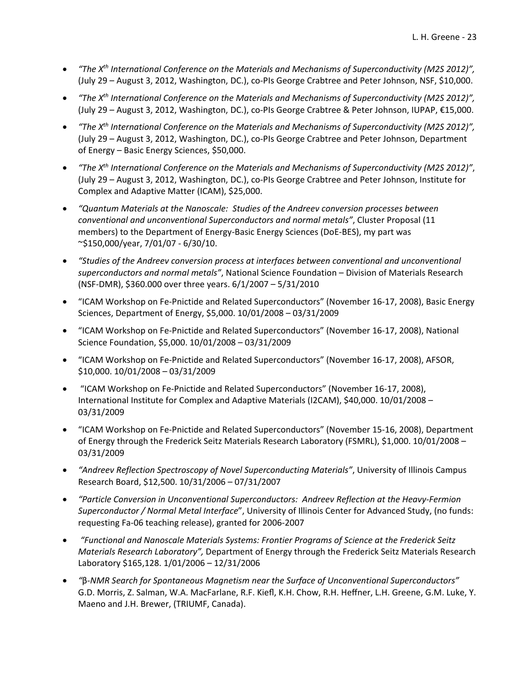- *"The Xth International Conference on the Materials and Mechanisms of Superconductivity (M2S 2012)",* (July 29 – August 3, 2012, Washington, DC.), co‐PIs George Crabtree and Peter Johnson, NSF, \$10,000.
- *"The Xth International Conference on the Materials and Mechanisms of Superconductivity (M2S 2012)",* (July 29 – August 3, 2012, Washington, DC.), co‐PIs George Crabtree & Peter Johnson, IUPAP, €15,000.
- *"The Xth International Conference on the Materials and Mechanisms of Superconductivity (M2S 2012)",* (July 29 – August 3, 2012, Washington, DC.), co‐PIs George Crabtree and Peter Johnson, Department of Energy – Basic Energy Sciences, \$50,000.
- *"The Xth International Conference on the Materials and Mechanisms of Superconductivity (M2S 2012)"*, (July 29 – August 3, 2012, Washington, DC.), co‐PIs George Crabtree and Peter Johnson, Institute for Complex and Adaptive Matter (ICAM), \$25,000.
- *"Quantum Materials at the Nanoscale: Studies of the Andreev conversion processes between conventional and unconventional Superconductors and normal metals"*, Cluster Proposal (11 members) to the Department of Energy‐Basic Energy Sciences (DoE‐BES), my part was ~\$150,000/year, 7/01/07 ‐ 6/30/10.
- *"Studies of the Andreev conversion process at interfaces between conventional and unconventional superconductors and normal metals"*, National Science Foundation – Division of Materials Research (NSF‐DMR), \$360.000 over three years. 6/1/2007 – 5/31/2010
- "ICAM Workshop on Fe‐Pnictide and Related Superconductors" (November 16‐17, 2008), Basic Energy Sciences, Department of Energy, \$5,000. 10/01/2008 – 03/31/2009
- "ICAM Workshop on Fe‐Pnictide and Related Superconductors" (November 16‐17, 2008), National Science Foundation, \$5,000. 10/01/2008 – 03/31/2009
- "ICAM Workshop on Fe‐Pnictide and Related Superconductors" (November 16‐17, 2008), AFSOR, \$10,000. 10/01/2008 – 03/31/2009
- "ICAM Workshop on Fe‐Pnictide and Related Superconductors" (November 16‐17, 2008), International Institute for Complex and Adaptive Materials (I2CAM), \$40,000. 10/01/2008 – 03/31/2009
- "ICAM Workshop on Fe‐Pnictide and Related Superconductors" (November 15‐16, 2008), Department of Energy through the Frederick Seitz Materials Research Laboratory (FSMRL), \$1,000. 10/01/2008 – 03/31/2009
- *"Andreev Reflection Spectroscopy of Novel Superconducting Materials"*, University of Illinois Campus Research Board, \$12,500. 10/31/2006 – 07/31/2007
- *"Particle Conversion in Unconventional Superconductors: Andreev Reflection at the Heavy‐Fermion Superconductor / Normal Metal Interface*", University of Illinois Center for Advanced Study, (no funds: requesting Fa‐06 teaching release), granted for 2006‐2007
- *"Functional and Nanoscale Materials Systems: Frontier Programs of Science at the Frederick Seitz Materials Research Laboratory",* Department of Energy through the Frederick Seitz Materials Research Laboratory \$165,128. 1/01/2006 – 12/31/2006
- *"*β*‐NMR Search for Spontaneous Magnetism near the Surface of Unconventional Superconductors"* G.D. Morris, Z. Salman, W.A. MacFarlane, R.F. Kiefl, K.H. Chow, R.H. Heffner, L.H. Greene, G.M. Luke, Y. Maeno and J.H. Brewer, (TRIUMF, Canada).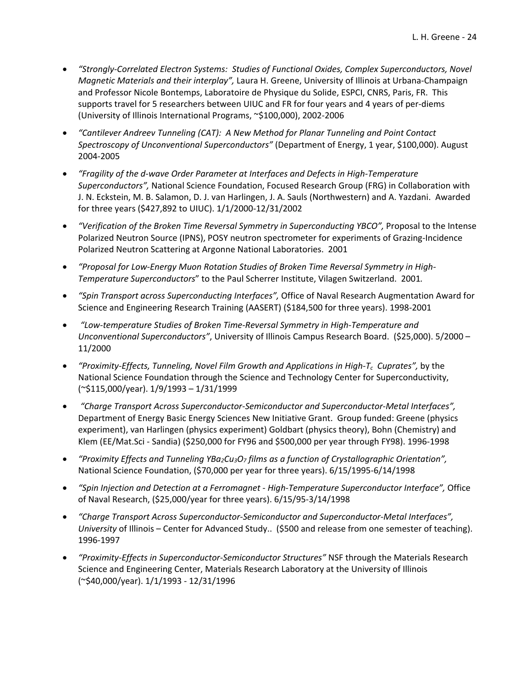- *"Strongly‐Correlated Electron Systems: Studies of Functional Oxides, Complex Superconductors, Novel Magnetic Materials and their interplay",* Laura H. Greene, University of Illinois at Urbana‐Champaign and Professor Nicole Bontemps, Laboratoire de Physique du Solide, ESPCI, CNRS, Paris, FR. This supports travel for 5 researchers between UIUC and FR for four years and 4 years of per-diems (University of Illinois International Programs, ~\$100,000), 2002‐2006
- *"Cantilever Andreev Tunneling (CAT): A New Method for Planar Tunneling and Point Contact Spectroscopy of Unconventional Superconductors"* (Department of Energy, 1 year, \$100,000). August 2004‐2005
- *"Fragility of the d‐wave Order Parameter at Interfaces and Defects in High‐Temperature Superconductors",* National Science Foundation, Focused Research Group (FRG) in Collaboration with J. N. Eckstein, M. B. Salamon, D. J. van Harlingen, J. A. Sauls (Northwestern) and A. Yazdani. Awarded for three years (\$427,892 to UIUC). 1/1/2000‐12/31/2002
- *"Verification of the Broken Time Reversal Symmetry in Superconducting YBCO",* Proposal to the Intense Polarized Neutron Source (IPNS), POSY neutron spectrometer for experiments of Grazing‐Incidence Polarized Neutron Scattering at Argonne National Laboratories. 2001
- *"Proposal for Low‐Energy Muon Rotation Studies of Broken Time Reversal Symmetry in High‐ Temperature Superconductors*" to the Paul Scherrer Institute, Vilagen Switzerland. 2001*.*
- *"Spin Transport across Superconducting Interfaces",* Office of Naval Research Augmentation Award for Science and Engineering Research Training (AASERT) (\$184,500 for three years). 1998‐2001
- *"Low‐temperature Studies of Broken Time‐Reversal Symmetry in High‐Temperature and Unconventional Superconductors"*, University of Illinois Campus Research Board. (\$25,000). 5/2000 – 11/2000
- *"Proximity‐Effects, Tunneling, Novel Film Growth and Applications in High‐Tc Cuprates",* by the National Science Foundation through the Science and Technology Center for Superconductivity, (~\$115,000/year). 1/9/1993 – 1/31/1999
- *"Charge Transport Across Superconductor‐Semiconductor and Superconductor‐Metal Interfaces",* Department of Energy Basic Energy Sciences New Initiative Grant. Group funded: Greene (physics experiment), van Harlingen (physics experiment) Goldbart (physics theory), Bohn (Chemistry) and Klem (EE/Mat.Sci ‐ Sandia) (\$250,000 for FY96 and \$500,000 per year through FY98). 1996‐1998
- *"Proximity Effects and Tunneling YBa2Cu3O7 films as a function of Crystallographic Orientation",* National Science Foundation, (\$70,000 per year for three years). 6/15/1995‐6/14/1998
- *"Spin Injection and Detection at a Ferromagnet ‐ High‐Temperature Superconductor Interface",* Office of Naval Research, (\$25,000/year for three years). 6/15/95‐3/14/1998
- *"Charge Transport Across Superconductor‐Semiconductor and Superconductor‐Metal Interfaces", University* of Illinois – Center for Advanced Study.. (\$500 and release from one semester of teaching). 1996‐1997
- *"Proximity‐Effects in Superconductor‐Semiconductor Structures"* NSF through the Materials Research Science and Engineering Center, Materials Research Laboratory at the University of Illinois (~\$40,000/year). 1/1/1993 ‐ 12/31/1996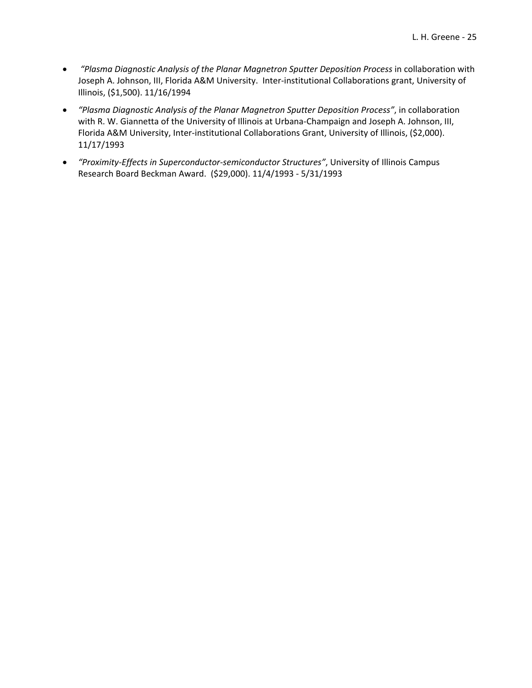- *"Plasma Diagnostic Analysis of the Planar Magnetron Sputter Deposition Process* in collaboration with Joseph A. Johnson, III, Florida A&M University. Inter‐institutional Collaborations grant, University of Illinois, (\$1,500). 11/16/1994
- *"Plasma Diagnostic Analysis of the Planar Magnetron Sputter Deposition Process"*, in collaboration with R. W. Giannetta of the University of Illinois at Urbana-Champaign and Joseph A. Johnson, III, Florida A&M University, Inter‐institutional Collaborations Grant, University of Illinois, (\$2,000). 11/17/1993
- *"Proximity‐Effects in Superconductor‐semiconductor Structures"*, University of Illinois Campus Research Board Beckman Award. (\$29,000). 11/4/1993 ‐ 5/31/1993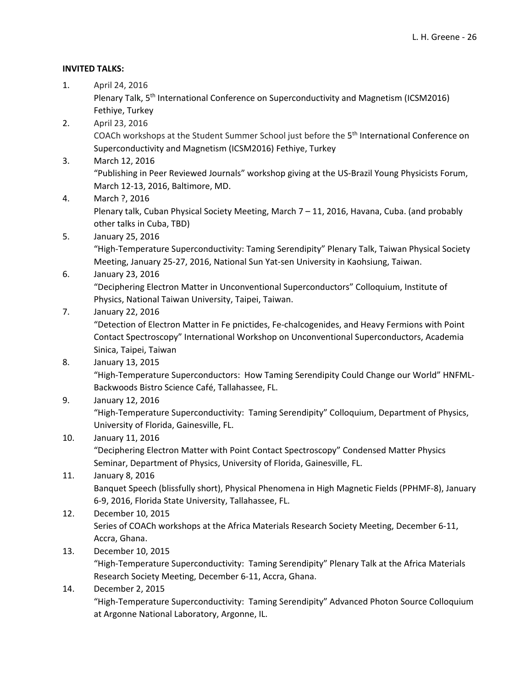### **INVITED TALKS:**

1. April 24, 2016

Plenary Talk, 5<sup>th</sup> International Conference on Superconductivity and Magnetism (ICSM2016) Fethiye, Turkey

2. April 23, 2016

COACh workshops at the Student Summer School just before the 5th International Conference on Superconductivity and Magnetism (ICSM2016) Fethiye, Turkey

3. March 12, 2016

"Publishing in Peer Reviewed Journals" workshop giving at the US‐Brazil Young Physicists Forum, March 12‐13, 2016, Baltimore, MD.

4. March ?, 2016

Plenary talk, Cuban Physical Society Meeting, March 7 – 11, 2016, Havana, Cuba. (and probably other talks in Cuba, TBD)

5. January 25, 2016

"High‐Temperature Superconductivity: Taming Serendipity" Plenary Talk, Taiwan Physical Society Meeting, January 25‐27, 2016, National Sun Yat‐sen University in Kaohsiung, Taiwan.

# 6. January 23, 2016

"Deciphering Electron Matter in Unconventional Superconductors" Colloquium, Institute of Physics, National Taiwan University, Taipei, Taiwan.

7. January 22, 2016

"Detection of Electron Matter in Fe pnictides, Fe‐chalcogenides, and Heavy Fermions with Point Contact Spectroscopy" International Workshop on Unconventional Superconductors, Academia Sinica, Taipei, Taiwan

8. January 13, 2015

"High-Temperature Superconductors: How Taming Serendipity Could Change our World" HNFML-Backwoods Bistro Science Café, Tallahassee, FL.

9. January 12, 2016

"High‐Temperature Superconductivity: Taming Serendipity" Colloquium, Department of Physics, University of Florida, Gainesville, FL.

10. January 11, 2016

"Deciphering Electron Matter with Point Contact Spectroscopy" Condensed Matter Physics Seminar, Department of Physics, University of Florida, Gainesville, FL.

# 11. January 8, 2016

Banquet Speech (blissfully short), Physical Phenomena in High Magnetic Fields (PPHMF‐8), January 6‐9, 2016, Florida State University, Tallahassee, FL.

- 12. December 10, 2015 Series of COACh workshops at the Africa Materials Research Society Meeting, December 6‐11,
	- Accra, Ghana.
- 13. December 10, 2015

"High‐Temperature Superconductivity: Taming Serendipity" Plenary Talk at the Africa Materials Research Society Meeting, December 6‐11, Accra, Ghana.

14. December 2, 2015

"High‐Temperature Superconductivity: Taming Serendipity" Advanced Photon Source Colloquium at Argonne National Laboratory, Argonne, IL.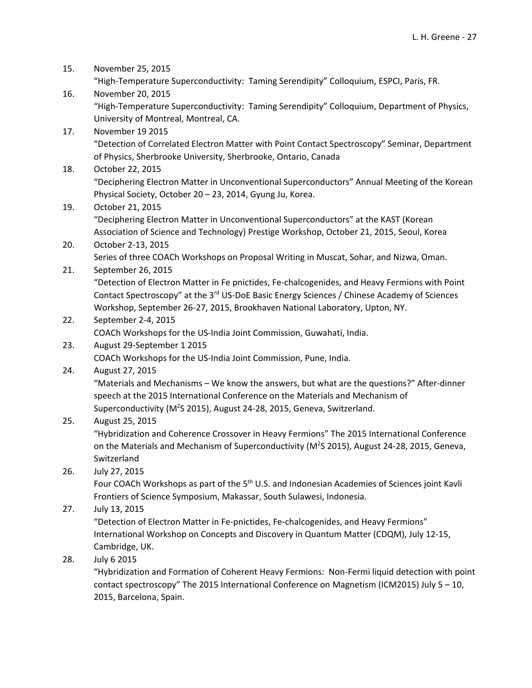- 15. November 25, 2015 "High‐Temperature Superconductivity: Taming Serendipity" Colloquium, ESPCI, Paris, FR. 16. November 20, 2015 "High‐Temperature Superconductivity: Taming Serendipity" Colloquium, Department of Physics, University of Montreal, Montreal, CA. 17. November 19 2015 "Detection of Correlated Electron Matter with Point Contact Spectroscopy" Seminar, Department of Physics, Sherbrooke University, Sherbrooke, Ontario, Canada 18. October 22, 2015 "Deciphering Electron Matter in Unconventional Superconductors" Annual Meeting of the Korean Physical Society, October 20 – 23, 2014, Gyung Ju, Korea. 19. October 21, 2015 "Deciphering Electron Matter in Unconventional Superconductors" at the KAST (Korean Association of Science and Technology) Prestige Workshop, October 21, 2015, Seoul, Korea 20. October 2‐13, 2015 Series of three COACh Workshops on Proposal Writing in Muscat, Sohar, and Nizwa, Oman. 21. September 26, 2015 "Detection of Electron Matter in Fe pnictides, Fe‐chalcogenides, and Heavy Fermions with Point Contact Spectroscopy" at the 3<sup>rd</sup> US-DoE Basic Energy Sciences / Chinese Academy of Sciences Workshop, September 26‐27, 2015, Brookhaven National Laboratory, Upton, NY. 22. September 2‐4, 2015 COACh Workshops for the US‐India Joint Commission, Guwahati, India. 23. August 29‐September 1 2015 COACh Workshops for the US‐India Joint Commission, Pune, India. 24. August 27, 2015 "Materials and Mechanisms – We know the answers, but what are the questions?" After‐dinner speech at the 2015 International Conference on the Materials and Mechanism of Superconductivity (M<sup>2</sup>S 2015), August 24-28, 2015, Geneva, Switzerland. 25. August 25, 2015 "Hybridization and Coherence Crossover in Heavy Fermions" The 2015 International Conference on the Materials and Mechanism of Superconductivity (M<sup>2</sup>S 2015), August 24-28, 2015, Geneva, Switzerland 26. July 27, 2015 Four COACh Workshops as part of the 5<sup>th</sup> U.S. and Indonesian Academies of Sciences joint Kavli Frontiers of Science Symposium, Makassar, South Sulawesi, Indonesia. 27. July 13, 2015 "Detection of Electron Matter in Fe‐pnictides, Fe‐chalcogenides, and Heavy Fermions" International Workshop on Concepts and Discovery in Quantum Matter (CDQM), July 12‐15, Cambridge, UK.
- 28. July 6 2015

"Hybridization and Formation of Coherent Heavy Fermions: Non‐Fermi liquid detection with point contact spectroscopy" The 2015 International Conference on Magnetism (ICM2015) July 5 – 10, 2015, Barcelona, Spain.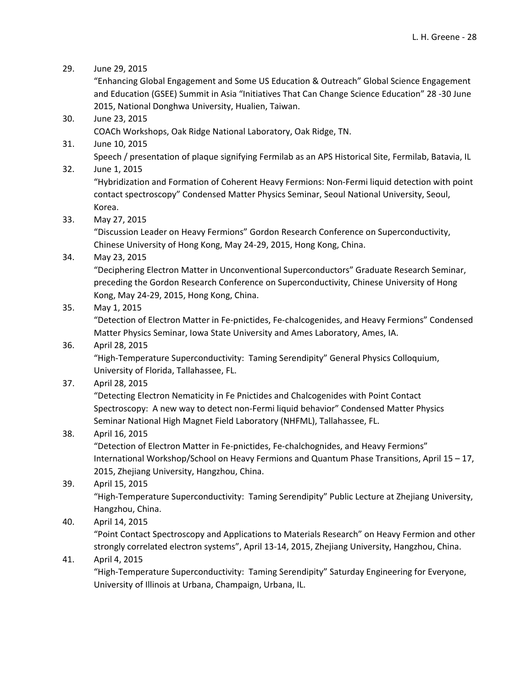29. June 29, 2015

"Enhancing Global Engagement and Some US Education & Outreach" Global Science Engagement and Education (GSEE) Summit in Asia "Initiatives That Can Change Science Education" 28 ‐30 June 2015, National Donghwa University, Hualien, Taiwan.

30. June 23, 2015

COACh Workshops, Oak Ridge National Laboratory, Oak Ridge, TN.

31. June 10, 2015

Speech / presentation of plaque signifying Fermilab as an APS Historical Site, Fermilab, Batavia, IL

32. June 1, 2015

"Hybridization and Formation of Coherent Heavy Fermions: Non‐Fermi liquid detection with point contact spectroscopy" Condensed Matter Physics Seminar, Seoul National University, Seoul, Korea.

33. May 27, 2015

"Discussion Leader on Heavy Fermions" Gordon Research Conference on Superconductivity, Chinese University of Hong Kong, May 24‐29, 2015, Hong Kong, China.

34. May 23, 2015

"Deciphering Electron Matter in Unconventional Superconductors" Graduate Research Seminar, preceding the Gordon Research Conference on Superconductivity, Chinese University of Hong Kong, May 24‐29, 2015, Hong Kong, China.

35. May 1, 2015

"Detection of Electron Matter in Fe‐pnictides, Fe‐chalcogenides, and Heavy Fermions" Condensed Matter Physics Seminar, Iowa State University and Ames Laboratory, Ames, IA.

36. April 28, 2015

"High‐Temperature Superconductivity: Taming Serendipity" General Physics Colloquium, University of Florida, Tallahassee, FL.

37. April 28, 2015

"Detecting Electron Nematicity in Fe Pnictides and Chalcogenides with Point Contact Spectroscopy: A new way to detect non‐Fermi liquid behavior" Condensed Matter Physics Seminar National High Magnet Field Laboratory (NHFML), Tallahassee, FL.

38. April 16, 2015

"Detection of Electron Matter in Fe‐pnictides, Fe‐chalchognides, and Heavy Fermions" International Workshop/School on Heavy Fermions and Quantum Phase Transitions, April 15 – 17, 2015, Zhejiang University, Hangzhou, China.

39. April 15, 2015

"High‐Temperature Superconductivity: Taming Serendipity" Public Lecture at Zhejiang University, Hangzhou, China.

40. April 14, 2015

"Point Contact Spectroscopy and Applications to Materials Research" on Heavy Fermion and other strongly correlated electron systems", April 13‐14, 2015, Zhejiang University, Hangzhou, China.

41. April 4, 2015

"High‐Temperature Superconductivity: Taming Serendipity" Saturday Engineering for Everyone, University of Illinois at Urbana, Champaign, Urbana, IL.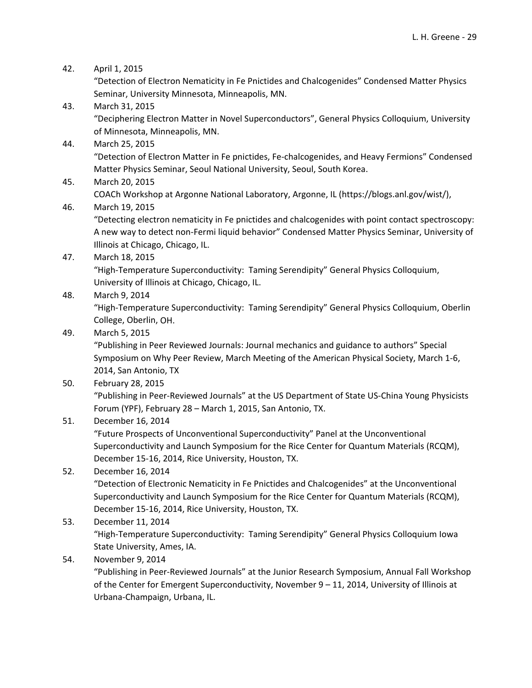### 42. April 1, 2015

"Detection of Electron Nematicity in Fe Pnictides and Chalcogenides" Condensed Matter Physics Seminar, University Minnesota, Minneapolis, MN.

- 43. March 31, 2015 "Deciphering Electron Matter in Novel Superconductors", General Physics Colloquium, University of Minnesota, Minneapolis, MN.
- 44. March 25, 2015

"Detection of Electron Matter in Fe pnictides, Fe‐chalcogenides, and Heavy Fermions" Condensed Matter Physics Seminar, Seoul National University, Seoul, South Korea.

45. March 20, 2015

COACh Workshop at Argonne National Laboratory, Argonne, IL (https://blogs.anl.gov/wist/),

### 46. March 19, 2015

"Detecting electron nematicity in Fe pnictides and chalcogenides with point contact spectroscopy: A new way to detect non‐Fermi liquid behavior" Condensed Matter Physics Seminar, University of Illinois at Chicago, Chicago, IL.

47. March 18, 2015

"High‐Temperature Superconductivity: Taming Serendipity" General Physics Colloquium, University of Illinois at Chicago, Chicago, IL.

48. March 9, 2014

"High‐Temperature Superconductivity: Taming Serendipity" General Physics Colloquium, Oberlin College, Oberlin, OH.

49. March 5, 2015

"Publishing in Peer Reviewed Journals: Journal mechanics and guidance to authors" Special Symposium on Why Peer Review, March Meeting of the American Physical Society, March 1‐6, 2014, San Antonio, TX

50. February 28, 2015

"Publishing in Peer‐Reviewed Journals" at the US Department of State US‐China Young Physicists Forum (YPF), February 28 – March 1, 2015, San Antonio, TX.

# 51. December 16, 2014

"Future Prospects of Unconventional Superconductivity" Panel at the Unconventional Superconductivity and Launch Symposium for the Rice Center for Quantum Materials (RCQM), December 15‐16, 2014, Rice University, Houston, TX.

# 52. December 16, 2014

"Detection of Electronic Nematicity in Fe Pnictides and Chalcogenides" at the Unconventional Superconductivity and Launch Symposium for the Rice Center for Quantum Materials (RCQM), December 15‐16, 2014, Rice University, Houston, TX.

# 53. December 11, 2014

"High‐Temperature Superconductivity: Taming Serendipity" General Physics Colloquium Iowa State University, Ames, IA.

54. November 9, 2014

"Publishing in Peer‐Reviewed Journals" at the Junior Research Symposium, Annual Fall Workshop of the Center for Emergent Superconductivity, November 9 – 11, 2014, University of Illinois at Urbana‐Champaign, Urbana, IL.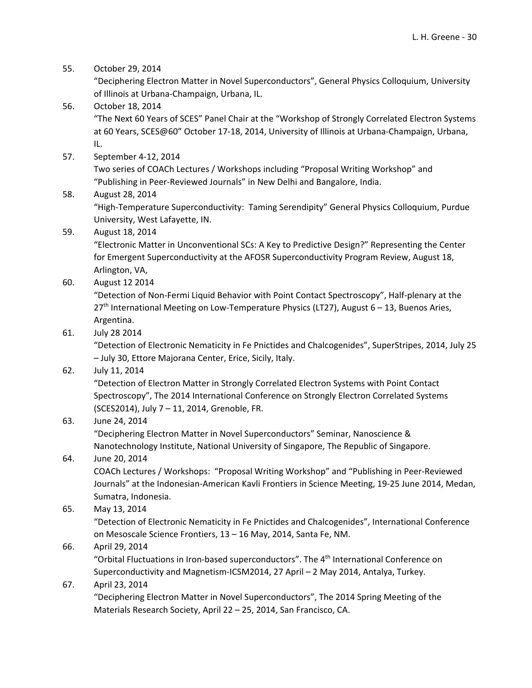55. October 29, 2014

"Deciphering Electron Matter in Novel Superconductors", General Physics Colloquium, University of Illinois at Urbana‐Champaign, Urbana, IL.

- 56. October 18, 2014 "The Next 60 Years of SCES" Panel Chair at the "Workshop of Strongly Correlated Electron Systems at 60 Years, SCES@60" October 17‐18, 2014, University of Illinois at Urbana‐Champaign, Urbana, IL.
- 57. September 4‐12, 2014

Two series of COACh Lectures / Workshops including "Proposal Writing Workshop" and "Publishing in Peer‐Reviewed Journals" in New Delhi and Bangalore, India.

# 58. August 28, 2014

"High‐Temperature Superconductivity: Taming Serendipity" General Physics Colloquium, Purdue University, West Lafayette, IN.

59. August 18, 2014

"Electronic Matter in Unconventional SCs: A Key to Predictive Design?" Representing the Center for Emergent Superconductivity at the AFOSR Superconductivity Program Review, August 18, Arlington, VA,

60. August 12 2014

"Detection of Non‐Fermi Liquid Behavior with Point Contact Spectroscopy", Half‐plenary at the 27<sup>th</sup> International Meeting on Low-Temperature Physics (LT27), August 6 – 13, Buenos Aries, Argentina.

61. July 28 2014

"Detection of Electronic Nematicity in Fe Pnictides and Chalcogenides", SuperStripes, 2014, July 25 – July 30, Ettore Majorana Center, Erice, Sicily, Italy.

62. July 11, 2014

"Detection of Electron Matter in Strongly Correlated Electron Systems with Point Contact Spectroscopy", The 2014 International Conference on Strongly Electron Correlated Systems (SCES2014), July 7 – 11, 2014, Grenoble, FR.

# 63. June 24, 2014

"Deciphering Electron Matter in Novel Superconductors" Seminar, Nanoscience & Nanotechnology Institute, National University of Singapore, The Republic of Singapore.

# 64. June 20, 2014

COACh Lectures / Workshops: "Proposal Writing Workshop" and "Publishing in Peer‐Reviewed Journals" at the Indonesian‐American Kavli Frontiers in Science Meeting, 19‐25 June 2014, Medan, Sumatra, Indonesia.

# 65. May 13, 2014

"Detection of Electronic Nematicity in Fe Pnictides and Chalcogenides", International Conference on Mesoscale Science Frontiers, 13 – 16 May, 2014, Santa Fe, NM.

# 66. April 29, 2014

"Orbital Fluctuations in Iron-based superconductors". The  $4<sup>th</sup>$  International Conference on Superconductivity and Magnetism‐ICSM2014, 27 April – 2 May 2014, Antalya, Turkey.

# 67. April 23, 2014

"Deciphering Electron Matter in Novel Superconductors", The 2014 Spring Meeting of the Materials Research Society, April 22 – 25, 2014, San Francisco, CA.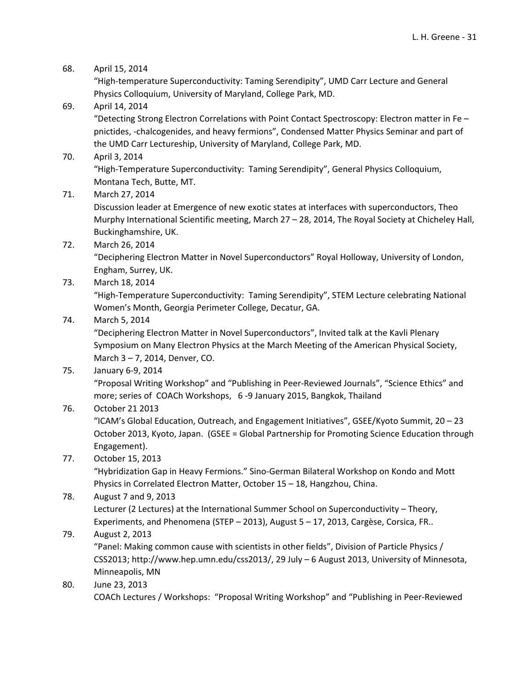### 68. April 15, 2014

"High‐temperature Superconductivity: Taming Serendipity", UMD Carr Lecture and General Physics Colloquium, University of Maryland, College Park, MD.

### 69. April 14, 2014

"Detecting Strong Electron Correlations with Point Contact Spectroscopy: Electron matter in Fe – pnictides, ‐chalcogenides, and heavy fermions", Condensed Matter Physics Seminar and part of the UMD Carr Lectureship, University of Maryland, College Park, MD.

70. April 3, 2014

"High‐Temperature Superconductivity: Taming Serendipity", General Physics Colloquium, Montana Tech, Butte, MT.

71. March 27, 2014

Discussion leader at Emergence of new exotic states at interfaces with superconductors, Theo Murphy International Scientific meeting, March 27 – 28, 2014, The Royal Society at Chicheley Hall, Buckinghamshire, UK.

72. March 26, 2014

"Deciphering Electron Matter in Novel Superconductors" Royal Holloway, University of London, Engham, Surrey, UK.

73. March 18, 2014

"High‐Temperature Superconductivity: Taming Serendipity", STEM Lecture celebrating National Women's Month, Georgia Perimeter College, Decatur, GA.

74. March 5, 2014

"Deciphering Electron Matter in Novel Superconductors", Invited talk at the Kavli Plenary Symposium on Many Electron Physics at the March Meeting of the American Physical Society, March 3 – 7, 2014, Denver, CO.

75. January 6‐9, 2014

"Proposal Writing Workshop" and "Publishing in Peer‐Reviewed Journals", "Science Ethics" and more; series of COACh Workshops, 6 ‐9 January 2015, Bangkok, Thailand

# 76. October 21 2013

"ICAM's Global Education, Outreach, and Engagement Initiatives", GSEE/Kyoto Summit, 20 – 23 October 2013, Kyoto, Japan. (GSEE = Global Partnership for Promoting Science Education through Engagement).

# 77. October 15, 2013

"Hybridization Gap in Heavy Fermions." Sino‐German Bilateral Workshop on Kondo and Mott Physics in Correlated Electron Matter, October 15 – 18, Hangzhou, China.

# 78. August 7 and 9, 2013

Lecturer (2 Lectures) at the International Summer School on Superconductivity – Theory, Experiments, and Phenomena (STEP – 2013), August 5 – 17, 2013, Cargèse, Corsica, FR..

# 79. August 2, 2013

"Panel: Making common cause with scientists in other fields", Division of Particle Physics / CSS2013; http://www.hep.umn.edu/css2013/, 29 July – 6 August 2013, University of Minnesota, Minneapolis, MN

80. June 23, 2013 COACh Lectures / Workshops: "Proposal Writing Workshop" and "Publishing in Peer‐Reviewed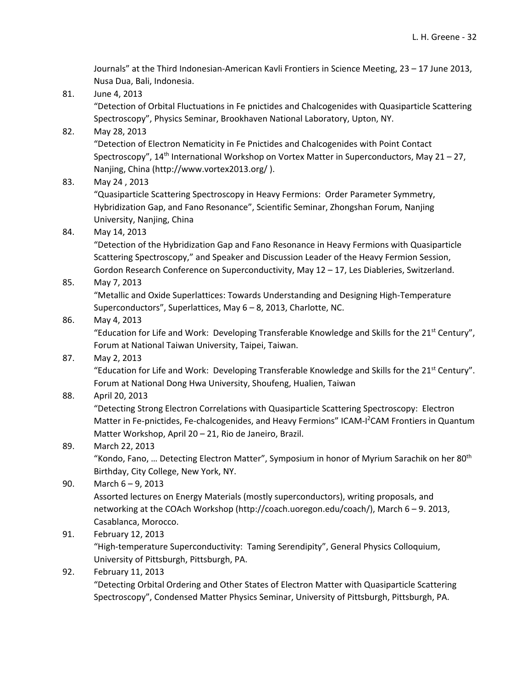Journals" at the Third Indonesian‐American Kavli Frontiers in Science Meeting, 23 – 17 June 2013, Nusa Dua, Bali, Indonesia.

81. June 4, 2013

"Detection of Orbital Fluctuations in Fe pnictides and Chalcogenides with Quasiparticle Scattering Spectroscopy", Physics Seminar, Brookhaven National Laboratory, Upton, NY.

82. May 28, 2013

"Detection of Electron Nematicity in Fe Pnictides and Chalcogenides with Point Contact Spectroscopy", 14th International Workshop on Vortex Matter in Superconductors, May 21 – 27, Nanjing, China (http://www.vortex2013.org/ ).

83. May 24 , 2013

"Quasiparticle Scattering Spectroscopy in Heavy Fermions: Order Parameter Symmetry, Hybridization Gap, and Fano Resonance", Scientific Seminar, Zhongshan Forum, Nanjing University, Nanjing, China

84. May 14, 2013

"Detection of the Hybridization Gap and Fano Resonance in Heavy Fermions with Quasiparticle Scattering Spectroscopy," and Speaker and Discussion Leader of the Heavy Fermion Session, Gordon Research Conference on Superconductivity, May 12 – 17, Les Diableries, Switzerland.

85. May 7, 2013

"Metallic and Oxide Superlattices: Towards Understanding and Designing High‐Temperature Superconductors", Superlattices, May 6 – 8, 2013, Charlotte, NC.

86. May 4, 2013

"Education for Life and Work: Developing Transferable Knowledge and Skills for the 21<sup>st</sup> Century", Forum at National Taiwan University, Taipei, Taiwan.

87. May 2, 2013

"Education for Life and Work: Developing Transferable Knowledge and Skills for the 21<sup>st</sup> Century". Forum at National Dong Hwa University, Shoufeng, Hualien, Taiwan

88. April 20, 2013

"Detecting Strong Electron Correlations with Quasiparticle Scattering Spectroscopy: Electron Matter in Fe-pnictides, Fe-chalcogenides, and Heavy Fermions" ICAM-I<sup>2</sup>CAM Frontiers in Quantum Matter Workshop, April 20 – 21, Rio de Janeiro, Brazil.

89. March 22, 2013

"Kondo, Fano, ... Detecting Electron Matter", Symposium in honor of Myrium Sarachik on her 80<sup>th</sup> Birthday, City College, New York, NY.

- 90. March 6 9, 2013 Assorted lectures on Energy Materials (mostly superconductors), writing proposals, and networking at the COAch Workshop (http://coach.uoregon.edu/coach/), March 6 – 9. 2013, Casablanca, Morocco.
- 91. February 12, 2013

"High‐temperature Superconductivity: Taming Serendipity", General Physics Colloquium, University of Pittsburgh, Pittsburgh, PA.

92. February 11, 2013

"Detecting Orbital Ordering and Other States of Electron Matter with Quasiparticle Scattering Spectroscopy", Condensed Matter Physics Seminar, University of Pittsburgh, Pittsburgh, PA.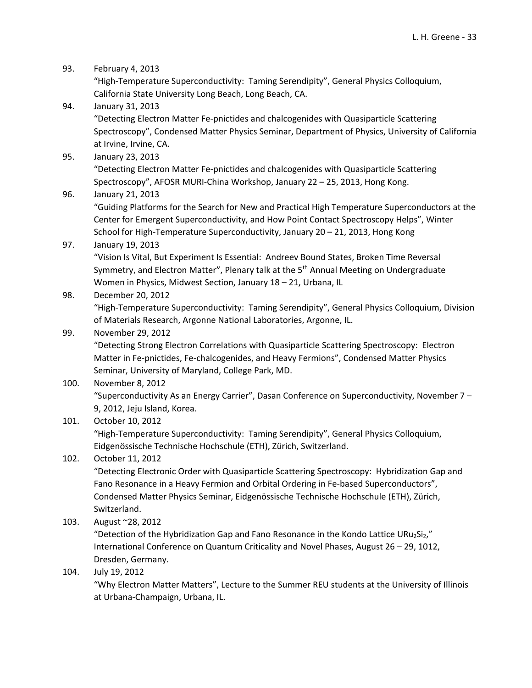93. February 4, 2013

"High‐Temperature Superconductivity: Taming Serendipity", General Physics Colloquium, California State University Long Beach, Long Beach, CA.

- 94. January 31, 2013 "Detecting Electron Matter Fe‐pnictides and chalcogenides with Quasiparticle Scattering Spectroscopy", Condensed Matter Physics Seminar, Department of Physics, University of California at Irvine, Irvine, CA.
- 95. January 23, 2013 "Detecting Electron Matter Fe‐pnictides and chalcogenides with Quasiparticle Scattering Spectroscopy", AFOSR MURI‐China Workshop, January 22 – 25, 2013, Hong Kong.

### 96. January 21, 2013

"Guiding Platforms for the Search for New and Practical High Temperature Superconductors at the Center for Emergent Superconductivity, and How Point Contact Spectroscopy Helps", Winter School for High‐Temperature Superconductivity, January 20 – 21, 2013, Hong Kong

# 97. January 19, 2013

"Vision Is Vital, But Experiment Is Essential: Andreev Bound States, Broken Time Reversal Symmetry, and Electron Matter", Plenary talk at the  $5<sup>th</sup>$  Annual Meeting on Undergraduate Women in Physics, Midwest Section, January 18 – 21, Urbana, IL

# 98. December 20, 2012

"High‐Temperature Superconductivity: Taming Serendipity", General Physics Colloquium, Division of Materials Research, Argonne National Laboratories, Argonne, IL.

### 99. November 29, 2012

"Detecting Strong Electron Correlations with Quasiparticle Scattering Spectroscopy: Electron Matter in Fe‐pnictides, Fe‐chalcogenides, and Heavy Fermions", Condensed Matter Physics Seminar, University of Maryland, College Park, MD.

# 100. November 8, 2012 "Superconductivity As an Energy Carrier", Dasan Conference on Superconductivity, November 7 – 9, 2012, Jeju Island, Korea.

# 101. October 10, 2012

"High‐Temperature Superconductivity: Taming Serendipity", General Physics Colloquium, Eidgenössische Technische Hochschule (ETH), Zürich, Switzerland.

# 102. October 11, 2012

"Detecting Electronic Order with Quasiparticle Scattering Spectroscopy: Hybridization Gap and Fano Resonance in a Heavy Fermion and Orbital Ordering in Fe-based Superconductors", Condensed Matter Physics Seminar, Eidgenössische Technische Hochschule (ETH), Zürich, Switzerland.

103. August ~28, 2012

"Detection of the Hybridization Gap and Fano Resonance in the Kondo Lattice URu2Si2," International Conference on Quantum Criticality and Novel Phases, August 26 – 29, 1012, Dresden, Germany.

# 104. July 19, 2012

"Why Electron Matter Matters", Lecture to the Summer REU students at the University of Illinois at Urbana‐Champaign, Urbana, IL.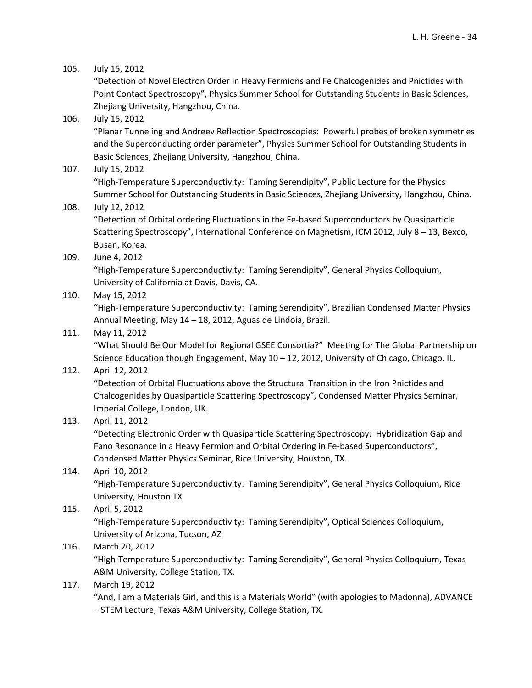### 105. July 15, 2012

"Detection of Novel Electron Order in Heavy Fermions and Fe Chalcogenides and Pnictides with Point Contact Spectroscopy", Physics Summer School for Outstanding Students in Basic Sciences, Zhejiang University, Hangzhou, China.

### 106. July 15, 2012

"Planar Tunneling and Andreev Reflection Spectroscopies: Powerful probes of broken symmetries and the Superconducting order parameter", Physics Summer School for Outstanding Students in Basic Sciences, Zhejiang University, Hangzhou, China.

### 107. July 15, 2012

"High‐Temperature Superconductivity: Taming Serendipity", Public Lecture for the Physics Summer School for Outstanding Students in Basic Sciences, Zhejiang University, Hangzhou, China.

### 108. July 12, 2012

"Detection of Orbital ordering Fluctuations in the Fe‐based Superconductors by Quasiparticle Scattering Spectroscopy", International Conference on Magnetism, ICM 2012, July 8 – 13, Bexco, Busan, Korea.

### 109. June 4, 2012

"High‐Temperature Superconductivity: Taming Serendipity", General Physics Colloquium, University of California at Davis, Davis, CA.

### 110. May 15, 2012

"High‐Temperature Superconductivity: Taming Serendipity", Brazilian Condensed Matter Physics Annual Meeting, May 14 – 18, 2012, Aguas de Lindoia, Brazil.

### 111. May 11, 2012

"What Should Be Our Model for Regional GSEE Consortia?" Meeting for The Global Partnership on Science Education though Engagement, May 10 – 12, 2012, University of Chicago, Chicago, IL.

### 112. April 12, 2012

"Detection of Orbital Fluctuations above the Structural Transition in the Iron Pnictides and Chalcogenides by Quasiparticle Scattering Spectroscopy", Condensed Matter Physics Seminar, Imperial College, London, UK.

# 113. April 11, 2012

"Detecting Electronic Order with Quasiparticle Scattering Spectroscopy: Hybridization Gap and Fano Resonance in a Heavy Fermion and Orbital Ordering in Fe-based Superconductors", Condensed Matter Physics Seminar, Rice University, Houston, TX.

# 114. April 10, 2012

"High‐Temperature Superconductivity: Taming Serendipity", General Physics Colloquium, Rice University, Houston TX

# 115. April 5, 2012

"High‐Temperature Superconductivity: Taming Serendipity", Optical Sciences Colloquium, University of Arizona, Tucson, AZ

# 116. March 20, 2012

"High‐Temperature Superconductivity: Taming Serendipity", General Physics Colloquium, Texas A&M University, College Station, TX.

### 117. March 19, 2012

"And, I am a Materials Girl, and this is a Materials World" (with apologies to Madonna), ADVANCE – STEM Lecture, Texas A&M University, College Station, TX.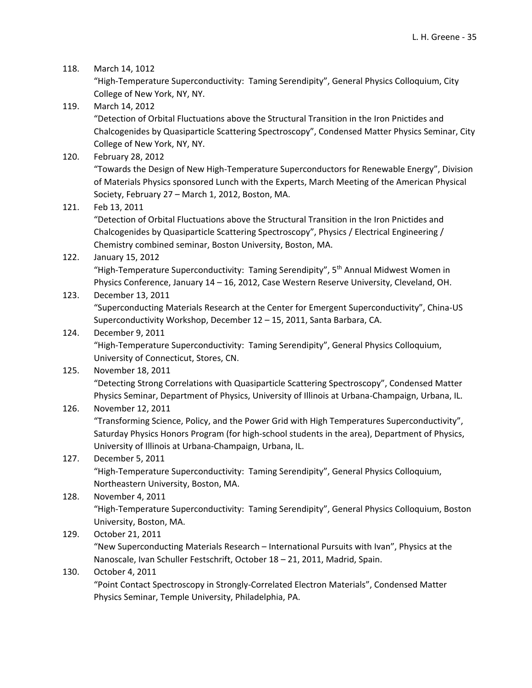### 118. March 14, 1012

"High‐Temperature Superconductivity: Taming Serendipity", General Physics Colloquium, City College of New York, NY, NY.

- 119. March 14, 2012 "Detection of Orbital Fluctuations above the Structural Transition in the Iron Pnictides and Chalcogenides by Quasiparticle Scattering Spectroscopy", Condensed Matter Physics Seminar, City College of New York, NY, NY.
- 120. February 28, 2012

"Towards the Design of New High‐Temperature Superconductors for Renewable Energy", Division of Materials Physics sponsored Lunch with the Experts, March Meeting of the American Physical Society, February 27 – March 1, 2012, Boston, MA.

121. Feb 13, 2011

"Detection of Orbital Fluctuations above the Structural Transition in the Iron Pnictides and Chalcogenides by Quasiparticle Scattering Spectroscopy", Physics / Electrical Engineering / Chemistry combined seminar, Boston University, Boston, MA.

122. January 15, 2012

"High-Temperature Superconductivity: Taming Serendipity", 5<sup>th</sup> Annual Midwest Women in Physics Conference, January 14 – 16, 2012, Case Western Reserve University, Cleveland, OH.

### 123. December 13, 2011

"Superconducting Materials Research at the Center for Emergent Superconductivity", China‐US Superconductivity Workshop, December 12 – 15, 2011, Santa Barbara, CA.

### 124. December 9, 2011

"High‐Temperature Superconductivity: Taming Serendipity", General Physics Colloquium, University of Connecticut, Stores, CN.

125. November 18, 2011 "Detecting Strong Correlations with Quasiparticle Scattering Spectroscopy", Condensed Matter Physics Seminar, Department of Physics, University of Illinois at Urbana‐Champaign, Urbana, IL.

# 126. November 12, 2011

"Transforming Science, Policy, and the Power Grid with High Temperatures Superconductivity", Saturday Physics Honors Program (for high‐school students in the area), Department of Physics, University of Illinois at Urbana‐Champaign, Urbana, IL.

# 127. December 5, 2011

"High‐Temperature Superconductivity: Taming Serendipity", General Physics Colloquium, Northeastern University, Boston, MA.

# 128. November 4, 2011 "High‐Temperature Superconductivity: Taming Serendipity", General Physics Colloquium, Boston University, Boston, MA.

129. October 21, 2011

"New Superconducting Materials Research – International Pursuits with Ivan", Physics at the Nanoscale, Ivan Schuller Festschrift, October 18 – 21, 2011, Madrid, Spain.

# 130. October 4, 2011

"Point Contact Spectroscopy in Strongly‐Correlated Electron Materials", Condensed Matter Physics Seminar, Temple University, Philadelphia, PA.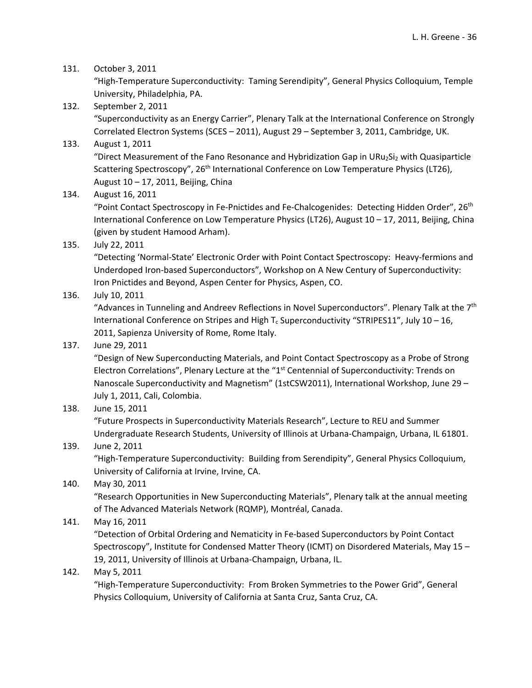### 131. October 3, 2011

"High‐Temperature Superconductivity: Taming Serendipity", General Physics Colloquium, Temple University, Philadelphia, PA.

132. September 2, 2011 "Superconductivity as an Energy Carrier", Plenary Talk at the International Conference on Strongly Correlated Electron Systems (SCES – 2011), August 29 – September 3, 2011, Cambridge, UK.

# 133. August 1, 2011

"Direct Measurement of the Fano Resonance and Hybridization Gap in URu<sub>2</sub>Si<sub>2</sub> with Quasiparticle Scattering Spectroscopy", 26<sup>th</sup> International Conference on Low Temperature Physics (LT26), August 10 – 17, 2011, Beijing, China

134. August 16, 2011

"Point Contact Spectroscopy in Fe-Pnictides and Fe-Chalcogenides: Detecting Hidden Order", 26<sup>th</sup> International Conference on Low Temperature Physics (LT26), August 10 – 17, 2011, Beijing, China (given by student Hamood Arham).

135. July 22, 2011

"Detecting 'Normal‐State' Electronic Order with Point Contact Spectroscopy: Heavy‐fermions and Underdoped Iron‐based Superconductors", Workshop on A New Century of Superconductivity: Iron Pnictides and Beyond, Aspen Center for Physics, Aspen, CO.

136. July 10, 2011

"Advances in Tunneling and Andreev Reflections in Novel Superconductors". Plenary Talk at the 7<sup>th</sup> International Conference on Stripes and High T<sub>c</sub> Superconductivity "STRIPES11", July 10 - 16, 2011, Sapienza University of Rome, Rome Italy.

# 137. June 29, 2011

"Design of New Superconducting Materials, and Point Contact Spectroscopy as a Probe of Strong Electron Correlations", Plenary Lecture at the "1<sup>st</sup> Centennial of Superconductivity: Trends on Nanoscale Superconductivity and Magnetism" (1stCSW2011), International Workshop, June 29 – July 1, 2011, Cali, Colombia.

138. June 15, 2011

"Future Prospects in Superconductivity Materials Research", Lecture to REU and Summer Undergraduate Research Students, University of Illinois at Urbana‐Champaign, Urbana, IL 61801.

# 139. June 2, 2011

"High‐Temperature Superconductivity: Building from Serendipity", General Physics Colloquium, University of California at Irvine, Irvine, CA.

140. May 30, 2011

"Research Opportunities in New Superconducting Materials", Plenary talk at the annual meeting of The Advanced Materials Network (RQMP), Montréal, Canada.

141. May 16, 2011

"Detection of Orbital Ordering and Nematicity in Fe‐based Superconductors by Point Contact Spectroscopy", Institute for Condensed Matter Theory (ICMT) on Disordered Materials, May 15 – 19, 2011, University of Illinois at Urbana‐Champaign, Urbana, IL.

142. May 5, 2011

"High‐Temperature Superconductivity: From Broken Symmetries to the Power Grid", General Physics Colloquium, University of California at Santa Cruz, Santa Cruz, CA.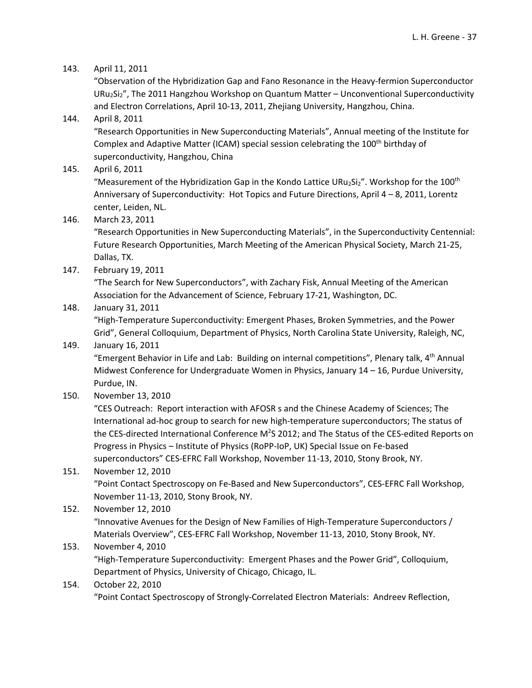### 143. April 11, 2011

"Observation of the Hybridization Gap and Fano Resonance in the Heavy‐fermion Superconductor URu<sub>2</sub>Si<sub>2</sub>", The 2011 Hangzhou Workshop on Quantum Matter – Unconventional Superconductivity and Electron Correlations, April 10‐13, 2011, Zhejiang University, Hangzhou, China.

### 144. April 8, 2011

"Research Opportunities in New Superconducting Materials", Annual meeting of the Institute for Complex and Adaptive Matter (ICAM) special session celebrating the 100<sup>th</sup> birthday of superconductivity, Hangzhou, China

145. April 6, 2011

"Measurement of the Hybridization Gap in the Kondo Lattice URu<sub>2</sub>Si<sub>2</sub>". Workshop for the 100<sup>th</sup> Anniversary of Superconductivity: Hot Topics and Future Directions, April 4 – 8, 2011, Lorentz center, Leiden, NL.

146. March 23, 2011

"Research Opportunities in New Superconducting Materials", in the Superconductivity Centennial: Future Research Opportunities, March Meeting of the American Physical Society, March 21‐25, Dallas, TX.

147. February 19, 2011

"The Search for New Superconductors", with Zachary Fisk, Annual Meeting of the American Association for the Advancement of Science, February 17‐21, Washington, DC.

### 148. January 31, 2011

"High‐Temperature Superconductivity: Emergent Phases, Broken Symmetries, and the Power Grid", General Colloquium, Department of Physics, North Carolina State University, Raleigh, NC,

### 149. January 16, 2011

"Emergent Behavior in Life and Lab: Building on internal competitions", Plenary talk, 4<sup>th</sup> Annual Midwest Conference for Undergraduate Women in Physics, January 14 – 16, Purdue University, Purdue, IN.

150. November 13, 2010

"CES Outreach: Report interaction with AFOSR s and the Chinese Academy of Sciences; The International ad‐hoc group to search for new high‐temperature superconductors; The status of the CES-directed International Conference M<sup>2</sup>S 2012; and The Status of the CES-edited Reports on Progress in Physics – Institute of Physics (RoPP‐IoP, UK) Special Issue on Fe‐based superconductors" CES‐EFRC Fall Workshop, November 11‐13, 2010, Stony Brook, NY.

# 151. November 12, 2010 "Point Contact Spectroscopy on Fe‐Based and New Superconductors", CES‐EFRC Fall Workshop, November 11‐13, 2010, Stony Brook, NY.

# 152. November 12, 2010 "Innovative Avenues for the Design of New Families of High‐Temperature Superconductors / Materials Overview", CES‐EFRC Fall Workshop, November 11‐13, 2010, Stony Brook, NY.

# 153. November 4, 2010

"High‐Temperature Superconductivity: Emergent Phases and the Power Grid", Colloquium, Department of Physics, University of Chicago, Chicago, IL.

### 154. October 22, 2010

"Point Contact Spectroscopy of Strongly‐Correlated Electron Materials: Andreev Reflection,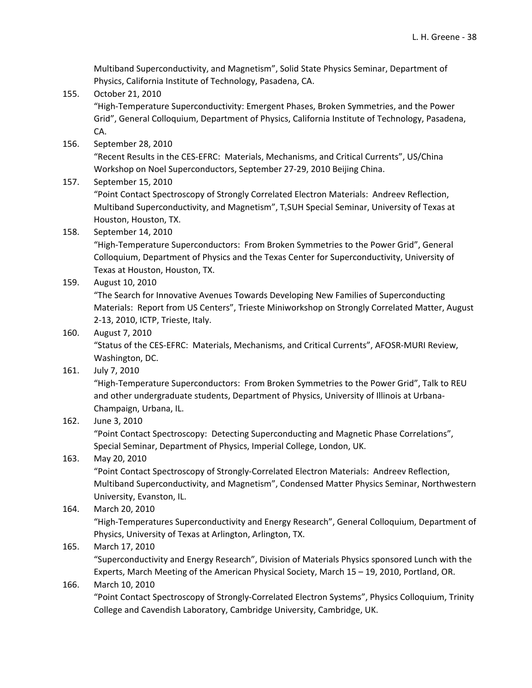Multiband Superconductivity, and Magnetism", Solid State Physics Seminar, Department of Physics, California Institute of Technology, Pasadena, CA.

- 155. October 21, 2010 "High‐Temperature Superconductivity: Emergent Phases, Broken Symmetries, and the Power Grid", General Colloquium, Department of Physics, California Institute of Technology, Pasadena, CA.
- 156. September 28, 2010

"Recent Results in the CES‐EFRC: Materials, Mechanisms, and Critical Currents", US/China Workshop on Noel Superconductors, September 27‐29, 2010 Beijing China.

157. September 15, 2010

"Point Contact Spectroscopy of Strongly Correlated Electron Materials: Andreev Reflection, Multiband Superconductivity, and Magnetism", T<sub>c</sub>SUH Special Seminar, University of Texas at Houston, Houston, TX.

158. September 14, 2010

"High‐Temperature Superconductors: From Broken Symmetries to the Power Grid", General Colloquium, Department of Physics and the Texas Center for Superconductivity, University of Texas at Houston, Houston, TX.

159. August 10, 2010

"The Search for Innovative Avenues Towards Developing New Families of Superconducting Materials: Report from US Centers", Trieste Miniworkshop on Strongly Correlated Matter, August 2‐13, 2010, ICTP, Trieste, Italy.

160. August 7, 2010

"Status of the CES‐EFRC: Materials, Mechanisms, and Critical Currents", AFOSR‐MURI Review, Washington, DC.

161. July 7, 2010

"High‐Temperature Superconductors: From Broken Symmetries to the Power Grid", Talk to REU and other undergraduate students, Department of Physics, University of Illinois at Urbana‐ Champaign, Urbana, IL.

162. June 3, 2010

"Point Contact Spectroscopy: Detecting Superconducting and Magnetic Phase Correlations", Special Seminar, Department of Physics, Imperial College, London, UK.

### 163. May 20, 2010

"Point Contact Spectroscopy of Strongly‐Correlated Electron Materials: Andreev Reflection, Multiband Superconductivity, and Magnetism", Condensed Matter Physics Seminar, Northwestern University, Evanston, IL.

#### 164. March 20, 2010

"High‐Temperatures Superconductivity and Energy Research", General Colloquium, Department of Physics, University of Texas at Arlington, Arlington, TX.

#### 165. March 17, 2010

"Superconductivity and Energy Research", Division of Materials Physics sponsored Lunch with the Experts, March Meeting of the American Physical Society, March 15 – 19, 2010, Portland, OR.

#### 166. March 10, 2010

"Point Contact Spectroscopy of Strongly‐Correlated Electron Systems", Physics Colloquium, Trinity College and Cavendish Laboratory, Cambridge University, Cambridge, UK.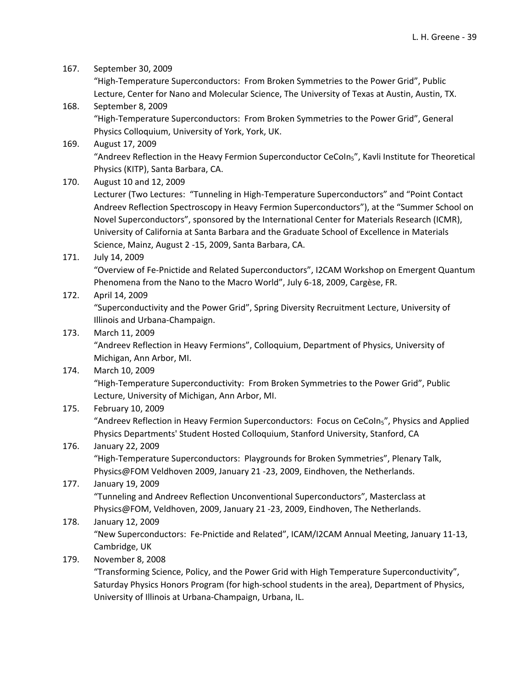167. September 30, 2009

"High‐Temperature Superconductors: From Broken Symmetries to the Power Grid", Public Lecture, Center for Nano and Molecular Science, The University of Texas at Austin, Austin, TX.

- 168. September 8, 2009 "High‐Temperature Superconductors: From Broken Symmetries to the Power Grid", General Physics Colloquium, University of York, York, UK.
- 169. August 17, 2009 "Andreev Reflection in the Heavy Fermion Superconductor CeCoIn5", Kavli Institute for Theoretical Physics (KITP), Santa Barbara, CA.
- 170. August 10 and 12, 2009 Lecturer (Two Lectures: "Tunneling in High‐Temperature Superconductors" and "Point Contact Andreev Reflection Spectroscopy in Heavy Fermion Superconductors"), at the "Summer School on Novel Superconductors", sponsored by the International Center for Materials Research (ICMR), University of California at Santa Barbara and the Graduate School of Excellence in Materials Science, Mainz, August 2 ‐15, 2009, Santa Barbara, CA.
- 171. July 14, 2009

"Overview of Fe‐Pnictide and Related Superconductors", I2CAM Workshop on Emergent Quantum Phenomena from the Nano to the Macro World", July 6‐18, 2009, Cargèse, FR.

172. April 14, 2009

"Superconductivity and the Power Grid", Spring Diversity Recruitment Lecture, University of Illinois and Urbana‐Champaign.

173. March 11, 2009

"Andreev Reflection in Heavy Fermions", Colloquium, Department of Physics, University of Michigan, Ann Arbor, MI.

174. March 10, 2009

"High‐Temperature Superconductivity: From Broken Symmetries to the Power Grid", Public Lecture, University of Michigan, Ann Arbor, MI.

175. February 10, 2009

"Andreev Reflection in Heavy Fermion Superconductors: Focus on CeCoIn5", Physics and Applied Physics Departments' Student Hosted Colloquium, Stanford University, Stanford, CA

176. January 22, 2009

"High‐Temperature Superconductors: Playgrounds for Broken Symmetries", Plenary Talk, Physics@FOM Veldhoven 2009, January 21 ‐23, 2009, Eindhoven, the Netherlands.

177. January 19, 2009 "Tunneling and Andreev Reflection Unconventional Superconductors", Masterclass at Physics@FOM, Veldhoven, 2009, January 21 ‐23, 2009, Eindhoven, The Netherlands.

# 178. January 12, 2009

"New Superconductors: Fe‐Pnictide and Related", ICAM/I2CAM Annual Meeting, January 11‐13, Cambridge, UK

179. November 8, 2008

"Transforming Science, Policy, and the Power Grid with High Temperature Superconductivity", Saturday Physics Honors Program (for high‐school students in the area), Department of Physics, University of Illinois at Urbana‐Champaign, Urbana, IL.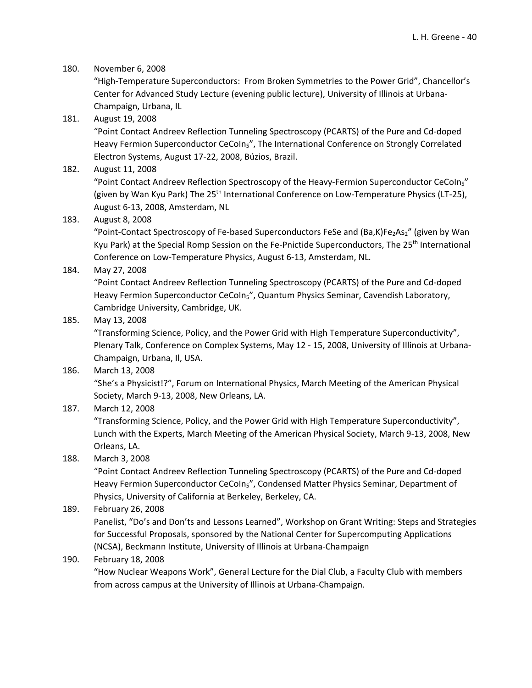### 180. November 6, 2008

"High‐Temperature Superconductors: From Broken Symmetries to the Power Grid", Chancellor's Center for Advanced Study Lecture (evening public lecture), University of Illinois at Urbana‐ Champaign, Urbana, IL

### 181. August 19, 2008

"Point Contact Andreev Reflection Tunneling Spectroscopy (PCARTS) of the Pure and Cd‐doped Heavy Fermion Superconductor CeCoIn<sub>5</sub>", The International Conference on Strongly Correlated Electron Systems, August 17‐22, 2008, Búzios, Brazil.

### 182. August 11, 2008

"Point Contact Andreev Reflection Spectroscopy of the Heavy-Fermion Superconductor CeCoIn<sub>5</sub>" (given by Wan Kyu Park) The 25th International Conference on Low‐Temperature Physics (LT‐25), August 6‐13, 2008, Amsterdam, NL

### 183. August 8, 2008

"Point-Contact Spectroscopy of Fe-based Superconductors FeSe and (Ba,K)Fe<sub>2</sub>As<sub>2</sub>" (given by Wan Kyu Park) at the Special Romp Session on the Fe-Pnictide Superconductors, The 25<sup>th</sup> International Conference on Low‐Temperature Physics, August 6‐13, Amsterdam, NL.

### 184. May 27, 2008

"Point Contact Andreev Reflection Tunneling Spectroscopy (PCARTS) of the Pure and Cd‐doped Heavy Fermion Superconductor CeCoIn<sub>5</sub>", Quantum Physics Seminar, Cavendish Laboratory, Cambridge University, Cambridge, UK.

### 185. May 13, 2008

"Transforming Science, Policy, and the Power Grid with High Temperature Superconductivity", Plenary Talk, Conference on Complex Systems, May 12 ‐ 15, 2008, University of Illinois at Urbana‐ Champaign, Urbana, Il, USA.

### 186. March 13, 2008

"She's a Physicist!?", Forum on International Physics, March Meeting of the American Physical Society, March 9‐13, 2008, New Orleans, LA.

### 187. March 12, 2008

"Transforming Science, Policy, and the Power Grid with High Temperature Superconductivity", Lunch with the Experts, March Meeting of the American Physical Society, March 9‐13, 2008, New Orleans, LA.

#### 188. March 3, 2008

"Point Contact Andreev Reflection Tunneling Spectroscopy (PCARTS) of the Pure and Cd‐doped Heavy Fermion Superconductor CeCoIn<sub>5</sub>", Condensed Matter Physics Seminar, Department of Physics, University of California at Berkeley, Berkeley, CA.

### 189. February 26, 2008

Panelist, "Do's and Don'ts and Lessons Learned", Workshop on Grant Writing: Steps and Strategies for Successful Proposals, sponsored by the National Center for Supercomputing Applications (NCSA), Beckmann Institute, University of Illinois at Urbana‐Champaign

#### 190. February 18, 2008

"How Nuclear Weapons Work", General Lecture for the Dial Club, a Faculty Club with members from across campus at the University of Illinois at Urbana‐Champaign.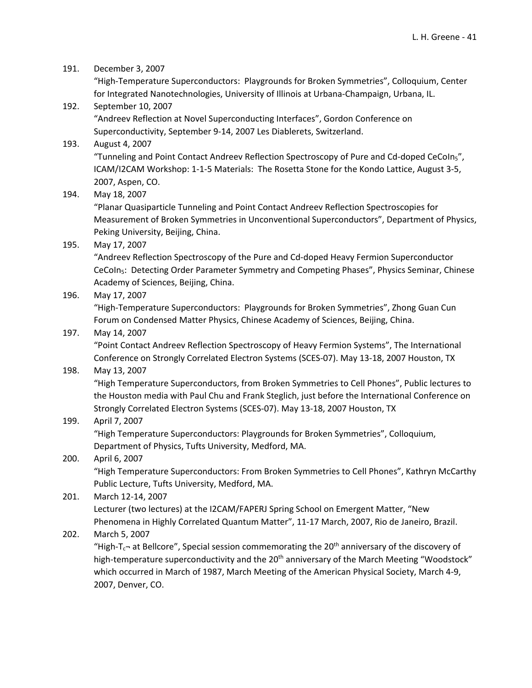191. December 3, 2007

"High‐Temperature Superconductors: Playgrounds for Broken Symmetries", Colloquium, Center for Integrated Nanotechnologies, University of Illinois at Urbana‐Champaign, Urbana, IL.

192. September 10, 2007 "Andreev Reflection at Novel Superconducting Interfaces", Gordon Conference on Superconductivity, September 9‐14, 2007 Les Diablerets, Switzerland.

#### 193. August 4, 2007

"Tunneling and Point Contact Andreev Reflection Spectroscopy of Pure and Cd-doped CeCoIn<sub>5</sub>", ICAM/I2CAM Workshop: 1‐1‐5 Materials: The Rosetta Stone for the Kondo Lattice, August 3‐5, 2007, Aspen, CO.

194. May 18, 2007

"Planar Quasiparticle Tunneling and Point Contact Andreev Reflection Spectroscopies for Measurement of Broken Symmetries in Unconventional Superconductors", Department of Physics, Peking University, Beijing, China.

### 195. May 17, 2007

"Andreev Reflection Spectroscopy of the Pure and Cd‐doped Heavy Fermion Superconductor CeCoIn<sub>5</sub>: Detecting Order Parameter Symmetry and Competing Phases", Physics Seminar, Chinese Academy of Sciences, Beijing, China.

196. May 17, 2007

"High‐Temperature Superconductors: Playgrounds for Broken Symmetries", Zhong Guan Cun Forum on Condensed Matter Physics, Chinese Academy of Sciences, Beijing, China.

### 197. May 14, 2007

"Point Contact Andreev Reflection Spectroscopy of Heavy Fermion Systems", The International Conference on Strongly Correlated Electron Systems (SCES‐07). May 13‐18, 2007 Houston, TX

#### 198. May 13, 2007

"High Temperature Superconductors, from Broken Symmetries to Cell Phones", Public lectures to the Houston media with Paul Chu and Frank Steglich, just before the International Conference on Strongly Correlated Electron Systems (SCES‐07). May 13‐18, 2007 Houston, TX

### 199. April 7, 2007

"High Temperature Superconductors: Playgrounds for Broken Symmetries", Colloquium, Department of Physics, Tufts University, Medford, MA.

### 200. April 6, 2007

"High Temperature Superconductors: From Broken Symmetries to Cell Phones", Kathryn McCarthy Public Lecture, Tufts University, Medford, MA.

### 201. March 12‐14, 2007

Lecturer (two lectures) at the I2CAM/FAPERJ Spring School on Emergent Matter, "New Phenomena in Highly Correlated Quantum Matter", 11‐17 March, 2007, Rio de Janeiro, Brazil.

### 202. March 5, 2007

"High- $T_c$ - at Bellcore", Special session commemorating the 20<sup>th</sup> anniversary of the discovery of high-temperature superconductivity and the 20<sup>th</sup> anniversary of the March Meeting "Woodstock" which occurred in March of 1987, March Meeting of the American Physical Society, March 4‐9, 2007, Denver, CO.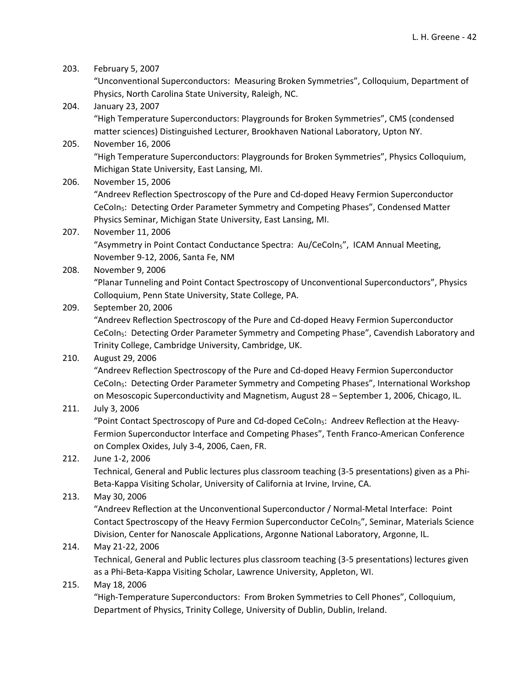| 203. | February 5, 2007                                                                                           |
|------|------------------------------------------------------------------------------------------------------------|
|      | "Unconventional Superconductors: Measuring Broken Symmetries", Colloquium, Department of                   |
|      | Physics, North Carolina State University, Raleigh, NC.                                                     |
| 204. | January 23, 2007                                                                                           |
|      | "High Temperature Superconductors: Playgrounds for Broken Symmetries", CMS (condensed                      |
|      | matter sciences) Distinguished Lecturer, Brookhaven National Laboratory, Upton NY.                         |
| 205. | November 16, 2006                                                                                          |
|      | "High Temperature Superconductors: Playgrounds for Broken Symmetries", Physics Colloquium,                 |
|      | Michigan State University, East Lansing, MI.                                                               |
| 206. | November 15, 2006                                                                                          |
|      | "Andreev Reflection Spectroscopy of the Pure and Cd-doped Heavy Fermion Superconductor                     |
|      | CeCoIn <sub>5</sub> : Detecting Order Parameter Symmetry and Competing Phases", Condensed Matter           |
|      | Physics Seminar, Michigan State University, East Lansing, MI.                                              |
| 207. | November 11, 2006                                                                                          |
|      | "Asymmetry in Point Contact Conductance Spectra: Au/CeColns", ICAM Annual Meeting,                         |
|      | November 9-12, 2006, Santa Fe, NM                                                                          |
| 208. | November 9, 2006                                                                                           |
|      | "Planar Tunneling and Point Contact Spectroscopy of Unconventional Superconductors", Physics               |
|      | Colloquium, Penn State University, State College, PA.                                                      |
| 209. | September 20, 2006                                                                                         |
|      | "Andreev Reflection Spectroscopy of the Pure and Cd-doped Heavy Fermion Superconductor                     |
|      | CeCoIn <sub>5</sub> : Detecting Order Parameter Symmetry and Competing Phase", Cavendish Laboratory and    |
|      | Trinity College, Cambridge University, Cambridge, UK.                                                      |
| 210. | August 29, 2006                                                                                            |
|      | "Andreev Reflection Spectroscopy of the Pure and Cd-doped Heavy Fermion Superconductor                     |
|      | CeCoIn <sub>5</sub> : Detecting Order Parameter Symmetry and Competing Phases", International Workshop     |
|      | on Mesoscopic Superconductivity and Magnetism, August 28 - September 1, 2006, Chicago, IL.                 |
| 211. | July 3, 2006                                                                                               |
|      | "Point Contact Spectroscopy of Pure and Cd-doped CeCoIn <sub>5</sub> : Andreev Reflection at the Heavy-    |
|      | Fermion Superconductor Interface and Competing Phases", Tenth Franco-American Conference                   |
|      | on Complex Oxides, July 3-4, 2006, Caen, FR.                                                               |
| 212. | June 1-2, 2006                                                                                             |
|      | Technical, General and Public lectures plus classroom teaching (3-5 presentations) given as a Phi-         |
|      | Beta-Kappa Visiting Scholar, University of California at Irvine, Irvine, CA.                               |
| 213. | May 30, 2006                                                                                               |
|      | "Andreev Reflection at the Unconventional Superconductor / Normal-Metal Interface: Point                   |
|      | Contact Spectroscopy of the Heavy Fermion Superconductor CeCoIn <sub>5</sub> ", Seminar, Materials Science |
|      | Division, Center for Nanoscale Applications, Argonne National Laboratory, Argonne, IL.                     |
| 214. | May 21-22, 2006                                                                                            |
|      | Technical, General and Public lectures plus classroom teaching (3-5 presentations) lectures given          |
|      | as a Phi-Beta-Kappa Visiting Scholar, Lawrence University, Appleton, WI.                                   |
| 215. | May 18, 2006                                                                                               |
|      | "High-Temperature Superconductors: From Broken Symmetries to Cell Phones", Colloquium,                     |
|      | Department of Physics, Trinity College, University of Dublin, Dublin, Ireland.                             |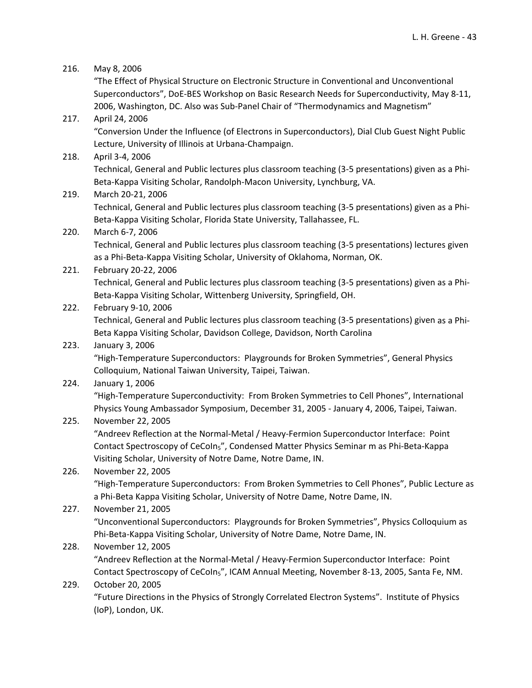# 216. May 8, 2006 "The Effect of Physical Structure on Electronic Structure in Conventional and Unconventional Superconductors", DoE‐BES Workshop on Basic Research Needs for Superconductivity, May 8‐11, 2006, Washington, DC. Also was Sub‐Panel Chair of "Thermodynamics and Magnetism" 217. April 24, 2006 "Conversion Under the Influence (of Electrons in Superconductors), Dial Club Guest Night Public Lecture, University of Illinois at Urbana‐Champaign. 218. April 3‐4, 2006 Technical, General and Public lectures plus classroom teaching (3‐5 presentations) given as a Phi‐ Beta‐Kappa Visiting Scholar, Randolph‐Macon University, Lynchburg, VA. 219. March 20‐21, 2006 Technical, General and Public lectures plus classroom teaching (3‐5 presentations) given as a Phi‐ Beta‐Kappa Visiting Scholar, Florida State University, Tallahassee, FL. 220. March 6‐7, 2006 Technical, General and Public lectures plus classroom teaching (3‐5 presentations) lectures given as a Phi‐Beta‐Kappa Visiting Scholar, University of Oklahoma, Norman, OK. 221. February 20‐22, 2006 Technical, General and Public lectures plus classroom teaching (3‐5 presentations) given as a Phi‐ Beta‐Kappa Visiting Scholar, Wittenberg University, Springfield, OH. 222. February 9‐10, 2006 Technical, General and Public lectures plus classroom teaching (3‐5 presentations) given as a Phi‐ Beta Kappa Visiting Scholar, Davidson College, Davidson, North Carolina 223. January 3, 2006 "High‐Temperature Superconductors: Playgrounds for Broken Symmetries", General Physics Colloquium, National Taiwan University, Taipei, Taiwan. 224. January 1, 2006 "High‐Temperature Superconductivity: From Broken Symmetries to Cell Phones", International Physics Young Ambassador Symposium, December 31, 2005 ‐ January 4, 2006, Taipei, Taiwan. 225. November 22, 2005 "Andreev Reflection at the Normal‐Metal / Heavy‐Fermion Superconductor Interface: Point Contact Spectroscopy of CeCoIn5", Condensed Matter Physics Seminar m as Phi‐Beta‐Kappa Visiting Scholar, University of Notre Dame, Notre Dame, IN. 226. November 22, 2005 "High‐Temperature Superconductors: From Broken Symmetries to Cell Phones", Public Lecture as a Phi‐Beta Kappa Visiting Scholar, University of Notre Dame, Notre Dame, IN. 227. November 21, 2005 "Unconventional Superconductors: Playgrounds for Broken Symmetries", Physics Colloquium as Phi‐Beta‐Kappa Visiting Scholar, University of Notre Dame, Notre Dame, IN. 228. November 12, 2005 "Andreev Reflection at the Normal‐Metal / Heavy‐Fermion Superconductor Interface: Point Contact Spectroscopy of CeCoIn5", ICAM Annual Meeting, November 8‐13, 2005, Santa Fe, NM. 229. October 20, 2005

"Future Directions in the Physics of Strongly Correlated Electron Systems". Institute of Physics (IoP), London, UK.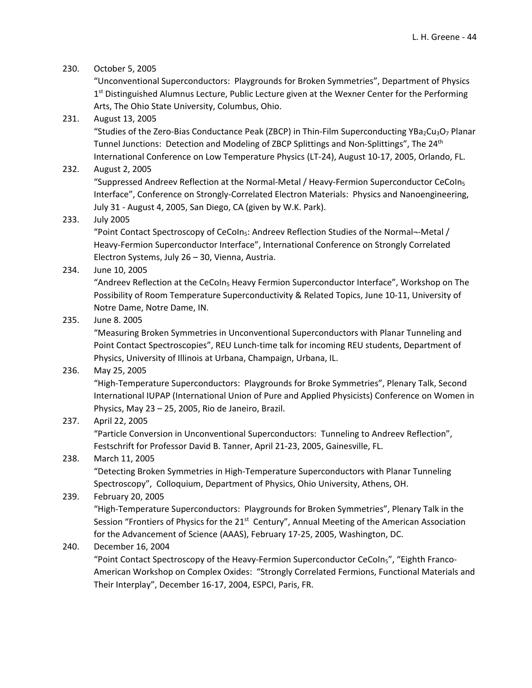#### 230. October 5, 2005

"Unconventional Superconductors: Playgrounds for Broken Symmetries", Department of Physics  $1<sup>st</sup>$  Distinguished Alumnus Lecture, Public Lecture given at the Wexner Center for the Performing Arts, The Ohio State University, Columbus, Ohio.

#### 231. August 13, 2005

"Studies of the Zero-Bias Conductance Peak (ZBCP) in Thin-Film Superconducting YBa<sub>2</sub>Cu<sub>3</sub>O<sub>7</sub> Planar Tunnel Junctions: Detection and Modeling of ZBCP Splittings and Non-Splittings", The 24<sup>th</sup> International Conference on Low Temperature Physics (LT‐24), August 10‐17, 2005, Orlando, FL.

#### 232. August 2, 2005

"Suppressed Andreev Reflection at the Normal‐Metal / Heavy‐Fermion Superconductor CeCoIn5 Interface", Conference on Strongly‐Correlated Electron Materials: Physics and Nanoengineering, July 31 ‐ August 4, 2005, San Diego, CA (given by W.K. Park).

#### 233. July 2005

"Point Contact Spectroscopy of CeCoIn<sub>5</sub>: Andreev Reflection Studies of the Normal--Metal / Heavy‐Fermion Superconductor Interface", International Conference on Strongly Correlated Electron Systems, July 26 – 30, Vienna, Austria.

234. June 10, 2005

"Andreev Reflection at the CeCoIn<sub>5</sub> Heavy Fermion Superconductor Interface", Workshop on The Possibility of Room Temperature Superconductivity & Related Topics, June 10‐11, University of Notre Dame, Notre Dame, IN.

235. June 8. 2005

"Measuring Broken Symmetries in Unconventional Superconductors with Planar Tunneling and Point Contact Spectroscopies", REU Lunch‐time talk for incoming REU students, Department of Physics, University of Illinois at Urbana, Champaign, Urbana, IL.

236. May 25, 2005

"High‐Temperature Superconductors: Playgrounds for Broke Symmetries", Plenary Talk, Second International IUPAP (International Union of Pure and Applied Physicists) Conference on Women in Physics, May 23 – 25, 2005, Rio de Janeiro, Brazil.

#### 237. April 22, 2005

"Particle Conversion in Unconventional Superconductors: Tunneling to Andreev Reflection", Festschrift for Professor David B. Tanner, April 21‐23, 2005, Gainesville, FL.

#### 238. March 11, 2005

"Detecting Broken Symmetries in High‐Temperature Superconductors with Planar Tunneling Spectroscopy", Colloquium, Department of Physics, Ohio University, Athens, OH.

#### 239. February 20, 2005

"High‐Temperature Superconductors: Playgrounds for Broken Symmetries", Plenary Talk in the Session "Frontiers of Physics for the 21<sup>st</sup> Century", Annual Meeting of the American Association for the Advancement of Science (AAAS), February 17‐25, 2005, Washington, DC.

#### 240. December 16, 2004

"Point Contact Spectroscopy of the Heavy-Fermion Superconductor CeColn<sub>5</sub>", "Eighth Franco-American Workshop on Complex Oxides: "Strongly Correlated Fermions, Functional Materials and Their Interplay", December 16‐17, 2004, ESPCI, Paris, FR.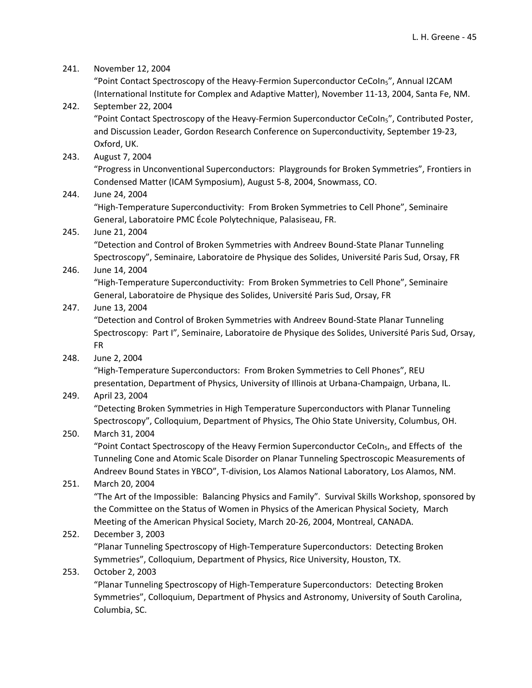241. November 12, 2004

"Point Contact Spectroscopy of the Heavy-Fermion Superconductor CeCoIn<sub>5</sub>", Annual I2CAM (International Institute for Complex and Adaptive Matter), November 11‐13, 2004, Santa Fe, NM.

- 242. September 22, 2004 "Point Contact Spectroscopy of the Heavy-Fermion Superconductor CeCoIn<sub>5</sub>", Contributed Poster, and Discussion Leader, Gordon Research Conference on Superconductivity, September 19‐23, Oxford, UK.
- 243. August 7, 2004 "Progress in Unconventional Superconductors: Playgrounds for Broken Symmetries", Frontiers in Condensed Matter (ICAM Symposium), August 5‐8, 2004, Snowmass, CO.

### 244. June 24, 2004

"High‐Temperature Superconductivity: From Broken Symmetries to Cell Phone", Seminaire General, Laboratoire PMC École Polytechnique, Palasiseau, FR.

### 245. June 21, 2004

"Detection and Control of Broken Symmetries with Andreev Bound‐State Planar Tunneling Spectroscopy", Seminaire, Laboratoire de Physique des Solides, Université Paris Sud, Orsay, FR

246. June 14, 2004

"High‐Temperature Superconductivity: From Broken Symmetries to Cell Phone", Seminaire General, Laboratoire de Physique des Solides, Université Paris Sud, Orsay, FR

### 247. June 13, 2004

"Detection and Control of Broken Symmetries with Andreev Bound‐State Planar Tunneling Spectroscopy: Part I", Seminaire, Laboratoire de Physique des Solides, Université Paris Sud, Orsay, FR

248. June 2, 2004

"High‐Temperature Superconductors: From Broken Symmetries to Cell Phones", REU presentation, Department of Physics, University of Illinois at Urbana‐Champaign, Urbana, IL.

### 249. April 23, 2004

"Detecting Broken Symmetries in High Temperature Superconductors with Planar Tunneling Spectroscopy", Colloquium, Department of Physics, The Ohio State University, Columbus, OH.

### 250. March 31, 2004

"Point Contact Spectroscopy of the Heavy Fermion Superconductor CeCoIn<sub>5</sub>, and Effects of the Tunneling Cone and Atomic Scale Disorder on Planar Tunneling Spectroscopic Measurements of Andreev Bound States in YBCO", T‐division, Los Alamos National Laboratory, Los Alamos, NM.

### 251. March 20, 2004

"The Art of the Impossible: Balancing Physics and Family". Survival Skills Workshop, sponsored by the Committee on the Status of Women in Physics of the American Physical Society, March Meeting of the American Physical Society, March 20‐26, 2004, Montreal, CANADA.

### 252. December 3, 2003

"Planar Tunneling Spectroscopy of High‐Temperature Superconductors: Detecting Broken Symmetries", Colloquium, Department of Physics, Rice University, Houston, TX.

### 253. October 2, 2003

"Planar Tunneling Spectroscopy of High‐Temperature Superconductors: Detecting Broken Symmetries", Colloquium, Department of Physics and Astronomy, University of South Carolina, Columbia, SC.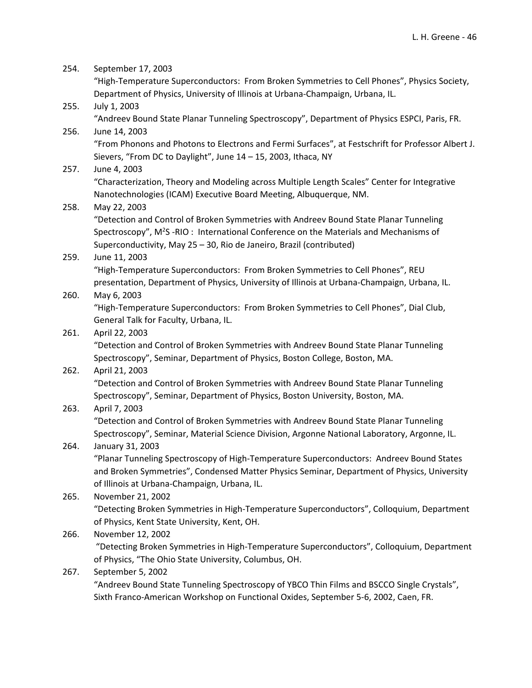| 254. | September 17, 2003                                                                                                                                                            |
|------|-------------------------------------------------------------------------------------------------------------------------------------------------------------------------------|
|      | "High-Temperature Superconductors: From Broken Symmetries to Cell Phones", Physics Society,<br>Department of Physics, University of Illinois at Urbana-Champaign, Urbana, IL. |
| 255. | July 1, 2003                                                                                                                                                                  |
|      | "Andreev Bound State Planar Tunneling Spectroscopy", Department of Physics ESPCI, Paris, FR.                                                                                  |
| 256. | June 14, 2003                                                                                                                                                                 |
|      | "From Phonons and Photons to Electrons and Fermi Surfaces", at Festschrift for Professor Albert J.                                                                            |
|      | Sievers, "From DC to Daylight", June 14 - 15, 2003, Ithaca, NY                                                                                                                |
| 257. | June 4, 2003                                                                                                                                                                  |
|      | "Characterization, Theory and Modeling across Multiple Length Scales" Center for Integrative                                                                                  |
|      | Nanotechnologies (ICAM) Executive Board Meeting, Albuquerque, NM.                                                                                                             |
| 258. | May 22, 2003                                                                                                                                                                  |
|      | "Detection and Control of Broken Symmetries with Andreev Bound State Planar Tunneling                                                                                         |
|      | Spectroscopy", M <sup>2</sup> S -RIO : International Conference on the Materials and Mechanisms of                                                                            |
|      | Superconductivity, May 25 - 30, Rio de Janeiro, Brazil (contributed)                                                                                                          |
| 259. | June 11, 2003                                                                                                                                                                 |
|      | "High-Temperature Superconductors: From Broken Symmetries to Cell Phones", REU                                                                                                |
|      | presentation, Department of Physics, University of Illinois at Urbana-Champaign, Urbana, IL.                                                                                  |
| 260. | May 6, 2003                                                                                                                                                                   |
|      | "High-Temperature Superconductors: From Broken Symmetries to Cell Phones", Dial Club,                                                                                         |
|      | General Talk for Faculty, Urbana, IL.                                                                                                                                         |
| 261. | April 22, 2003                                                                                                                                                                |
|      | "Detection and Control of Broken Symmetries with Andreev Bound State Planar Tunneling                                                                                         |
|      | Spectroscopy", Seminar, Department of Physics, Boston College, Boston, MA.                                                                                                    |
| 262. | April 21, 2003                                                                                                                                                                |
|      | "Detection and Control of Broken Symmetries with Andreev Bound State Planar Tunneling                                                                                         |
|      | Spectroscopy", Seminar, Department of Physics, Boston University, Boston, MA.                                                                                                 |
| 263. | April 7, 2003                                                                                                                                                                 |
|      | "Detection and Control of Broken Symmetries with Andreev Bound State Planar Tunneling                                                                                         |
|      | Spectroscopy", Seminar, Material Science Division, Argonne National Laboratory, Argonne, IL.                                                                                  |
| 264. | January 31, 2003                                                                                                                                                              |
|      | "Planar Tunneling Spectroscopy of High-Temperature Superconductors: Andreev Bound States                                                                                      |
|      | and Broken Symmetries", Condensed Matter Physics Seminar, Department of Physics, University                                                                                   |
|      | of Illinois at Urbana-Champaign, Urbana, IL.                                                                                                                                  |
| 265. | November 21, 2002                                                                                                                                                             |
|      | "Detecting Broken Symmetries in High-Temperature Superconductors", Colloquium, Department                                                                                     |
|      | of Physics, Kent State University, Kent, OH.                                                                                                                                  |
| 266. | November 12, 2002                                                                                                                                                             |
|      | "Detecting Broken Symmetries in High-Temperature Superconductors", Colloquium, Department                                                                                     |
|      | of Physics, "The Ohio State University, Columbus, OH.                                                                                                                         |
| 267. | September 5, 2002                                                                                                                                                             |
|      | "Andreev Bound State Tunneling Spectroscopy of YBCO Thin Films and BSCCO Single Crystals",                                                                                    |
|      | Sixth Franco-American Workshop on Functional Oxides, September 5-6, 2002, Caen, FR.                                                                                           |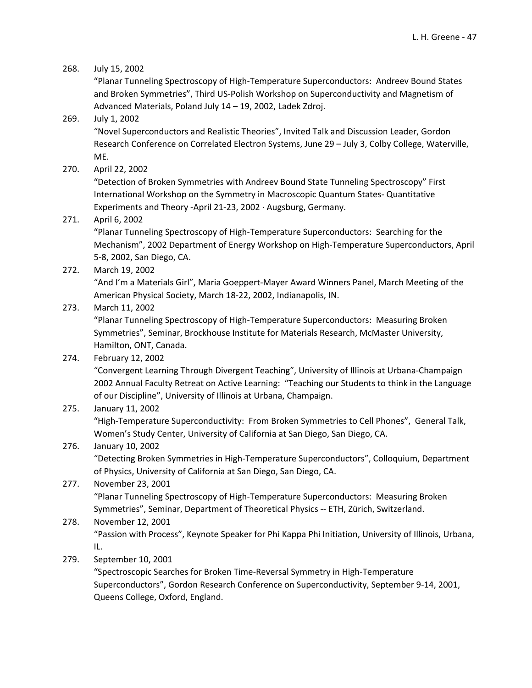### 268. July 15, 2002

"Planar Tunneling Spectroscopy of High‐Temperature Superconductors: Andreev Bound States and Broken Symmetries", Third US‐Polish Workshop on Superconductivity and Magnetism of Advanced Materials, Poland July 14 – 19, 2002, Ladek Zdroj.

### 269. July 1, 2002

"Novel Superconductors and Realistic Theories", Invited Talk and Discussion Leader, Gordon Research Conference on Correlated Electron Systems, June 29 – July 3, Colby College, Waterville, ME.

270. April 22, 2002

"Detection of Broken Symmetries with Andreev Bound State Tunneling Spectroscopy" First International Workshop on the Symmetry in Macroscopic Quantum States‐ Quantitative Experiments and Theory ‐April 21‐23, 2002 ∙ Augsburg, Germany.

### 271. April 6, 2002

"Planar Tunneling Spectroscopy of High‐Temperature Superconductors: Searching for the Mechanism", 2002 Department of Energy Workshop on High‐Temperature Superconductors, April 5‐8, 2002, San Diego, CA.

272. March 19, 2002

"And I'm a Materials Girl", Maria Goeppert‐Mayer Award Winners Panel, March Meeting of the American Physical Society, March 18‐22, 2002, Indianapolis, IN.

### 273. March 11, 2002

"Planar Tunneling Spectroscopy of High‐Temperature Superconductors: Measuring Broken Symmetries", Seminar, Brockhouse Institute for Materials Research, McMaster University, Hamilton, ONT, Canada.

### 274. February 12, 2002

"Convergent Learning Through Divergent Teaching", University of Illinois at Urbana‐Champaign 2002 Annual Faculty Retreat on Active Learning: "Teaching our Students to think in the Language of our Discipline", University of Illinois at Urbana, Champaign.

### 275. January 11, 2002

"High‐Temperature Superconductivity: From Broken Symmetries to Cell Phones", General Talk, Women's Study Center, University of California at San Diego, San Diego, CA.

#### 276. January 10, 2002

"Detecting Broken Symmetries in High‐Temperature Superconductors", Colloquium, Department of Physics, University of California at San Diego, San Diego, CA.

### 277. November 23, 2001

"Planar Tunneling Spectroscopy of High‐Temperature Superconductors: Measuring Broken Symmetries", Seminar, Department of Theoretical Physics ‐‐ ETH, Zürich, Switzerland.

### 278. November 12, 2001

"Passion with Process", Keynote Speaker for Phi Kappa Phi Initiation, University of Illinois, Urbana, IL.

279. September 10, 2001

"Spectroscopic Searches for Broken Time‐Reversal Symmetry in High‐Temperature Superconductors", Gordon Research Conference on Superconductivity, September 9‐14, 2001, Queens College, Oxford, England.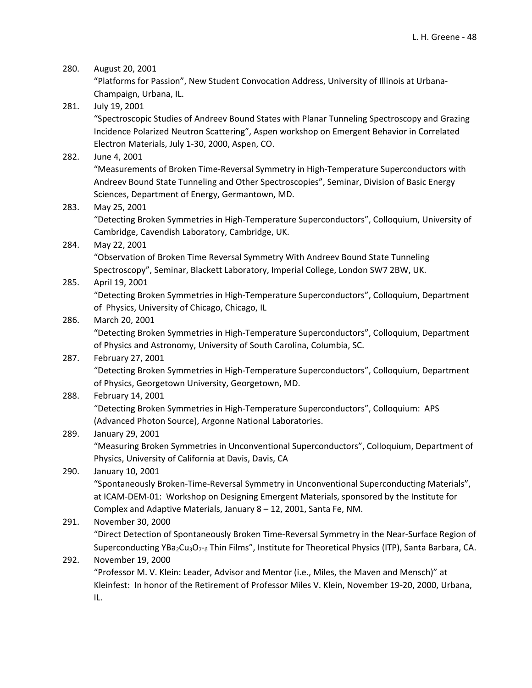#### 280. August 20, 2001

"Platforms for Passion", New Student Convocation Address, University of Illinois at Urbana‐ Champaign, Urbana, IL.

281. July 19, 2001

"Spectroscopic Studies of Andreev Bound States with Planar Tunneling Spectroscopy and Grazing Incidence Polarized Neutron Scattering", Aspen workshop on Emergent Behavior in Correlated Electron Materials, July 1‐30, 2000, Aspen, CO.

282. June 4, 2001

"Measurements of Broken Time‐Reversal Symmetry in High‐Temperature Superconductors with Andreev Bound State Tunneling and Other Spectroscopies", Seminar, Division of Basic Energy Sciences, Department of Energy, Germantown, MD.

283. May 25, 2001

"Detecting Broken Symmetries in High‐Temperature Superconductors", Colloquium, University of Cambridge, Cavendish Laboratory, Cambridge, UK.

284. May 22, 2001

"Observation of Broken Time Reversal Symmetry With Andreev Bound State Tunneling Spectroscopy", Seminar, Blackett Laboratory, Imperial College, London SW7 2BW, UK.

285. April 19, 2001

"Detecting Broken Symmetries in High‐Temperature Superconductors", Colloquium, Department of Physics, University of Chicago, Chicago, IL

#### 286. March 20, 2001

"Detecting Broken Symmetries in High‐Temperature Superconductors", Colloquium, Department of Physics and Astronomy, University of South Carolina, Columbia, SC.

#### 287. February 27, 2001

"Detecting Broken Symmetries in High‐Temperature Superconductors", Colloquium, Department of Physics, Georgetown University, Georgetown, MD.

#### 288. February 14, 2001

"Detecting Broken Symmetries in High‐Temperature Superconductors", Colloquium: APS (Advanced Photon Source), Argonne National Laboratories.

#### 289. January 29, 2001

"Measuring Broken Symmetries in Unconventional Superconductors", Colloquium, Department of Physics, University of California at Davis, Davis, CA

# 290. January 10, 2001

"Spontaneously Broken‐Time‐Reversal Symmetry in Unconventional Superconducting Materials", at ICAM‐DEM‐01: Workshop on Designing Emergent Materials, sponsored by the Institute for Complex and Adaptive Materials, January 8 – 12, 2001, Santa Fe, NM.

### 291. November 30, 2000

"Direct Detection of Spontaneously Broken Time‐Reversal Symmetry in the Near‐Surface Region of Superconducting YBa<sub>2</sub>Cu<sub>3</sub>O<sub>7</sub>-<sub>8</sub> Thin Films", Institute for Theoretical Physics (ITP), Santa Barbara, CA.

#### 292. November 19, 2000

"Professor M. V. Klein: Leader, Advisor and Mentor (i.e., Miles, the Maven and Mensch)" at Kleinfest: In honor of the Retirement of Professor Miles V. Klein, November 19‐20, 2000, Urbana, IL.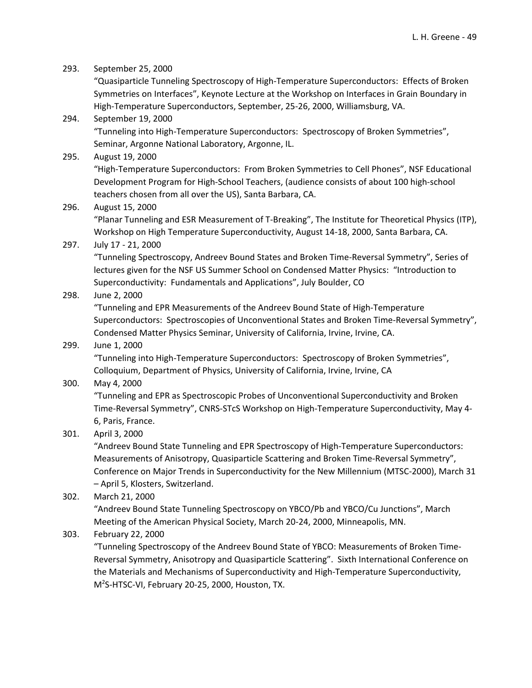| 293. | September 25, 2000                                                                                 |
|------|----------------------------------------------------------------------------------------------------|
|      | "Quasiparticle Tunneling Spectroscopy of High-Temperature Superconductors: Effects of Broken       |
|      | Symmetries on Interfaces", Keynote Lecture at the Workshop on Interfaces in Grain Boundary in      |
|      | High-Temperature Superconductors, September, 25-26, 2000, Williamsburg, VA.                        |
| 294. | September 19, 2000                                                                                 |
|      | "Tunneling into High-Temperature Superconductors: Spectroscopy of Broken Symmetries",              |
|      | Seminar, Argonne National Laboratory, Argonne, IL.                                                 |
| 295. | August 19, 2000                                                                                    |
|      | "High-Temperature Superconductors: From Broken Symmetries to Cell Phones", NSF Educational         |
|      | Development Program for High-School Teachers, (audience consists of about 100 high-school          |
|      | teachers chosen from all over the US), Santa Barbara, CA.                                          |
| 296. | August 15, 2000                                                                                    |
|      | "Planar Tunneling and ESR Measurement of T-Breaking", The Institute for Theoretical Physics (ITP), |
|      | Workshop on High Temperature Superconductivity, August 14-18, 2000, Santa Barbara, CA.             |
| 297. | July 17 - 21, 2000                                                                                 |
|      | "Tunneling Spectroscopy, Andreev Bound States and Broken Time-Reversal Symmetry", Series of        |
|      | lectures given for the NSF US Summer School on Condensed Matter Physics: "Introduction to          |
|      | Superconductivity: Fundamentals and Applications", July Boulder, CO                                |
| 298. | June 2, 2000                                                                                       |
|      | "Tunneling and EPR Measurements of the Andreev Bound State of High-Temperature                     |
|      | Superconductors: Spectroscopies of Unconventional States and Broken Time-Reversal Symmetry",       |
|      | Condensed Matter Physics Seminar, University of California, Irvine, Irvine, CA.                    |
| 299. | June 1, 2000                                                                                       |
|      | "Tunneling into High-Temperature Superconductors: Spectroscopy of Broken Symmetries",              |
|      | Colloquium, Department of Physics, University of California, Irvine, Irvine, CA                    |
| 300. | May 4, 2000                                                                                        |
|      | "Tunneling and EPR as Spectroscopic Probes of Unconventional Superconductivity and Broken          |
|      | Time-Reversal Symmetry", CNRS-STcS Workshop on High-Temperature Superconductivity, May 4-          |
|      | 6, Paris, France.                                                                                  |
| 301. | April 3, 2000                                                                                      |
|      | "Andreev Bound State Tunneling and EPR Spectroscopy of High-Temperature Superconductors:           |
|      | Measurements of Anisotropy, Quasiparticle Scattering and Broken Time-Reversal Symmetry",           |
|      | Conference on Major Trends in Superconductivity for the New Millennium (MTSC-2000), March 31       |

– April 5, Klosters, Switzerland.

```
302. March 21, 2000
```
"Andreev Bound State Tunneling Spectroscopy on YBCO/Pb and YBCO/Cu Junctions", March Meeting of the American Physical Society, March 20‐24, 2000, Minneapolis, MN.

303. February 22, 2000

"Tunneling Spectroscopy of the Andreev Bound State of YBCO: Measurements of Broken Time‐ Reversal Symmetry, Anisotropy and Quasiparticle Scattering". Sixth International Conference on the Materials and Mechanisms of Superconductivity and High‐Temperature Superconductivity, M2 S‐HTSC‐VI, February 20‐25, 2000, Houston, TX.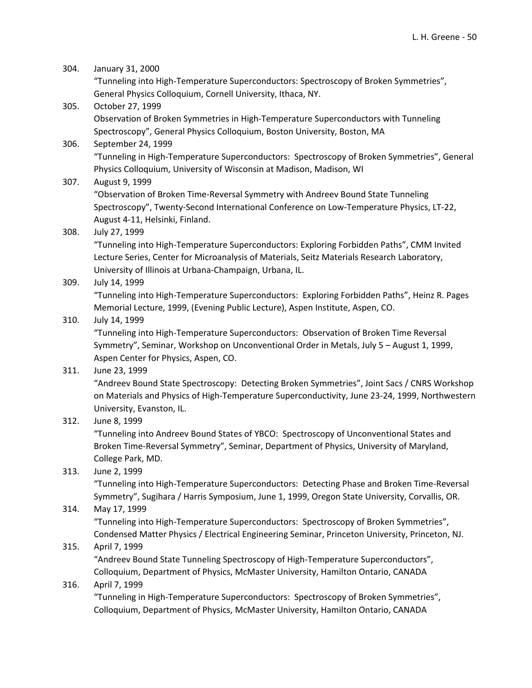| 304. | January 31, 2000                                                                                |
|------|-------------------------------------------------------------------------------------------------|
|      | "Tunneling into High-Temperature Superconductors: Spectroscopy of Broken Symmetries",           |
|      | General Physics Colloquium, Cornell University, Ithaca, NY.                                     |
| 305. | October 27, 1999                                                                                |
|      | Observation of Broken Symmetries in High-Temperature Superconductors with Tunneling             |
|      | Spectroscopy", General Physics Colloquium, Boston University, Boston, MA                        |
| 306. | September 24, 1999                                                                              |
|      | "Tunneling in High-Temperature Superconductors: Spectroscopy of Broken Symmetries", General     |
|      | Physics Colloquium, University of Wisconsin at Madison, Madison, WI                             |
| 307. | August 9, 1999                                                                                  |
|      | "Observation of Broken Time-Reversal Symmetry with Andreev Bound State Tunneling                |
|      | Spectroscopy", Twenty-Second International Conference on Low-Temperature Physics, LT-22,        |
|      | August 4-11, Helsinki, Finland.                                                                 |
| 308. | July 27, 1999                                                                                   |
|      | "Tunneling into High-Temperature Superconductors: Exploring Forbidden Paths", CMM Invited       |
|      | Lecture Series, Center for Microanalysis of Materials, Seitz Materials Research Laboratory,     |
|      | University of Illinois at Urbana-Champaign, Urbana, IL.                                         |
| 309. | July 14, 1999                                                                                   |
|      | "Tunneling into High-Temperature Superconductors: Exploring Forbidden Paths", Heinz R. Pages    |
|      | Memorial Lecture, 1999, (Evening Public Lecture), Aspen Institute, Aspen, CO.                   |
| 310. | July 14, 1999                                                                                   |
|      | "Tunneling into High-Temperature Superconductors: Observation of Broken Time Reversal           |
|      | Symmetry", Seminar, Workshop on Unconventional Order in Metals, July 5 - August 1, 1999,        |
|      | Aspen Center for Physics, Aspen, CO.                                                            |
| 311. | June 23, 1999                                                                                   |
|      | "Andreev Bound State Spectroscopy: Detecting Broken Symmetries", Joint Sacs / CNRS Workshop     |
|      | on Materials and Physics of High-Temperature Superconductivity, June 23-24, 1999, Northwestern  |
|      | University, Evanston, IL.                                                                       |
| 312. | June 8, 1999                                                                                    |
|      | "Tunneling into Andreev Bound States of YBCO: Spectroscopy of Unconventional States and         |
|      | Broken Time-Reversal Symmetry", Seminar, Department of Physics, University of Maryland,         |
|      | College Park, MD.                                                                               |
| 313. | June 2, 1999                                                                                    |
|      | "Tunneling into High-Temperature Superconductors: Detecting Phase and Broken Time-Reversal      |
|      | Symmetry", Sugihara / Harris Symposium, June 1, 1999, Oregon State University, Corvallis, OR.   |
| 314. | May 17, 1999                                                                                    |
|      | "Tunneling into High-Temperature Superconductors: Spectroscopy of Broken Symmetries",           |
|      | Condensed Matter Physics / Electrical Engineering Seminar, Princeton University, Princeton, NJ. |
| 315. | April 7, 1999                                                                                   |
|      | "Andreev Bound State Tunneling Spectroscopy of High-Temperature Superconductors",               |
|      | Colloquium, Department of Physics, McMaster University, Hamilton Ontario, CANADA                |
| 316. | April 7, 1999                                                                                   |
|      | "Tunneling in High-Temperature Superconductors: Spectroscopy of Broken Symmetries",             |
|      | Colloquium, Department of Physics, McMaster University, Hamilton Ontario, CANADA                |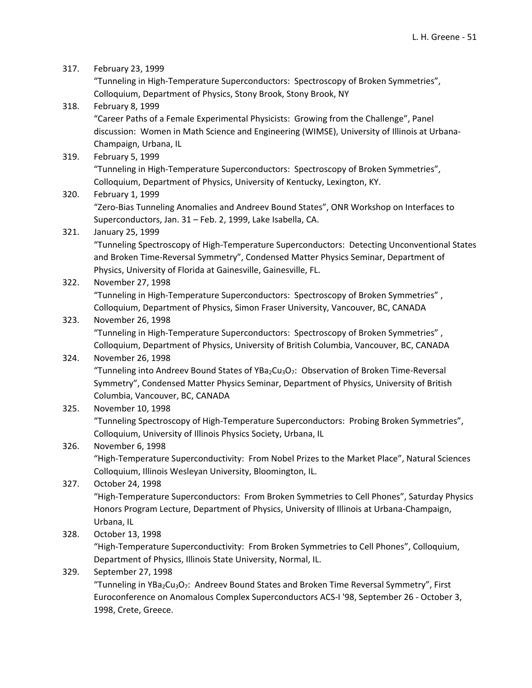317. February 23, 1999

"Tunneling in High‐Temperature Superconductors: Spectroscopy of Broken Symmetries", Colloquium, Department of Physics, Stony Brook, Stony Brook, NY

- 318. February 8, 1999 "Career Paths of a Female Experimental Physicists: Growing from the Challenge", Panel discussion: Women in Math Science and Engineering (WIMSE), University of Illinois at Urbana‐ Champaign, Urbana, IL
- 319. February 5, 1999 "Tunneling in High‐Temperature Superconductors: Spectroscopy of Broken Symmetries", Colloquium, Department of Physics, University of Kentucky, Lexington, KY.
- 320. February 1, 1999

"Zero‐Bias Tunneling Anomalies and Andreev Bound States", ONR Workshop on Interfaces to Superconductors, Jan. 31 – Feb. 2, 1999, Lake Isabella, CA.

### 321. January 25, 1999

"Tunneling Spectroscopy of High‐Temperature Superconductors: Detecting Unconventional States and Broken Time‐Reversal Symmetry", Condensed Matter Physics Seminar, Department of Physics, University of Florida at Gainesville, Gainesville, FL.

322. November 27, 1998

"Tunneling in High‐Temperature Superconductors: Spectroscopy of Broken Symmetries" , Colloquium, Department of Physics, Simon Fraser University, Vancouver, BC, CANADA

### 323. November 26, 1998

"Tunneling in High‐Temperature Superconductors: Spectroscopy of Broken Symmetries" , Colloquium, Department of Physics, University of British Columbia, Vancouver, BC, CANADA

#### 324. November 26, 1998

"Tunneling into Andreev Bound States of YBa<sub>2</sub>Cu<sub>3</sub>O<sub>7</sub>: Observation of Broken Time-Reversal Symmetry", Condensed Matter Physics Seminar, Department of Physics, University of British Columbia, Vancouver, BC, CANADA

#### 325. November 10, 1998

"Tunneling Spectroscopy of High‐Temperature Superconductors: Probing Broken Symmetries", Colloquium, University of Illinois Physics Society, Urbana, IL

### 326. November 6, 1998

"High‐Temperature Superconductivity: From Nobel Prizes to the Market Place", Natural Sciences Colloquium, Illinois Wesleyan University, Bloomington, IL.

327. October 24, 1998

"High‐Temperature Superconductors: From Broken Symmetries to Cell Phones", Saturday Physics Honors Program Lecture, Department of Physics, University of Illinois at Urbana‐Champaign, Urbana, IL

328. October 13, 1998

"High‐Temperature Superconductivity: From Broken Symmetries to Cell Phones", Colloquium, Department of Physics, Illinois State University, Normal, IL.

329. September 27, 1998

"Tunneling in YBa<sub>2</sub>Cu<sub>3</sub>O<sub>7</sub>: Andreev Bound States and Broken Time Reversal Symmetry", First Euroconference on Anomalous Complex Superconductors ACS‐I '98, September 26 ‐ October 3, 1998, Crete, Greece.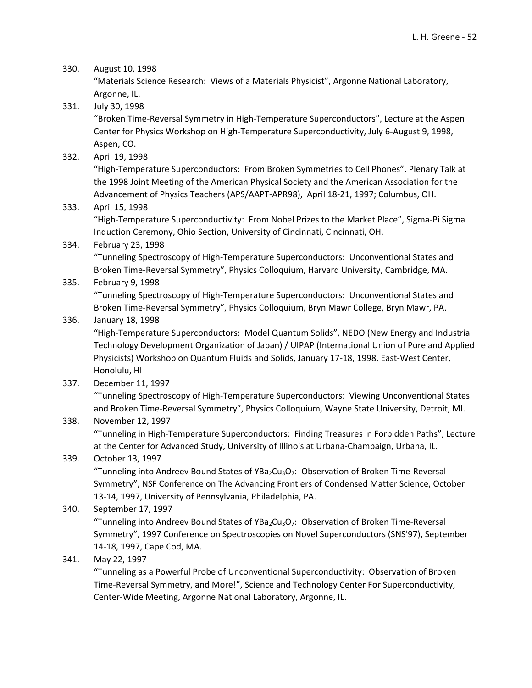#### 330. August 10, 1998

"Materials Science Research: Views of a Materials Physicist", Argonne National Laboratory, Argonne, IL.

331. July 30, 1998

"Broken Time‐Reversal Symmetry in High‐Temperature Superconductors", Lecture at the Aspen Center for Physics Workshop on High‐Temperature Superconductivity, July 6‐August 9, 1998, Aspen, CO.

332. April 19, 1998

"High‐Temperature Superconductors: From Broken Symmetries to Cell Phones", Plenary Talk at the 1998 Joint Meeting of the American Physical Society and the American Association for the Advancement of Physics Teachers (APS/AAPT‐APR98), April 18‐21, 1997; Columbus, OH.

333. April 15, 1998

"High‐Temperature Superconductivity: From Nobel Prizes to the Market Place", Sigma‐Pi Sigma Induction Ceremony, Ohio Section, University of Cincinnati, Cincinnati, OH.

### 334. February 23, 1998

"Tunneling Spectroscopy of High‐Temperature Superconductors: Unconventional States and Broken Time‐Reversal Symmetry", Physics Colloquium, Harvard University, Cambridge, MA.

### 335. February 9, 1998

"Tunneling Spectroscopy of High‐Temperature Superconductors: Unconventional States and Broken Time‐Reversal Symmetry", Physics Colloquium, Bryn Mawr College, Bryn Mawr, PA.

### 336. January 18, 1998

"High‐Temperature Superconductors: Model Quantum Solids", NEDO (New Energy and Industrial Technology Development Organization of Japan) / UIPAP (International Union of Pure and Applied Physicists) Workshop on Quantum Fluids and Solids, January 17‐18, 1998, East‐West Center, Honolulu, HI

337. December 11, 1997

"Tunneling Spectroscopy of High‐Temperature Superconductors: Viewing Unconventional States and Broken Time‐Reversal Symmetry", Physics Colloquium, Wayne State University, Detroit, MI.

#### 338. November 12, 1997

"Tunneling in High‐Temperature Superconductors: Finding Treasures in Forbidden Paths", Lecture at the Center for Advanced Study, University of Illinois at Urbana‐Champaign, Urbana, IL.

### 339. October 13, 1997

"Tunneling into Andreev Bound States of YBa<sub>2</sub>Cu<sub>3</sub>O<sub>7</sub>: Observation of Broken Time-Reversal Symmetry", NSF Conference on The Advancing Frontiers of Condensed Matter Science, October 13‐14, 1997, University of Pennsylvania, Philadelphia, PA.

### 340. September 17, 1997

"Tunneling into Andreev Bound States of YBa<sub>2</sub>Cu<sub>3</sub>O<sub>7</sub>: Observation of Broken Time-Reversal Symmetry", 1997 Conference on Spectroscopies on Novel Superconductors (SNS'97), September 14‐18, 1997, Cape Cod, MA.

### 341. May 22, 1997

"Tunneling as a Powerful Probe of Unconventional Superconductivity: Observation of Broken Time‐Reversal Symmetry, and More!", Science and Technology Center For Superconductivity, Center‐Wide Meeting, Argonne National Laboratory, Argonne, IL.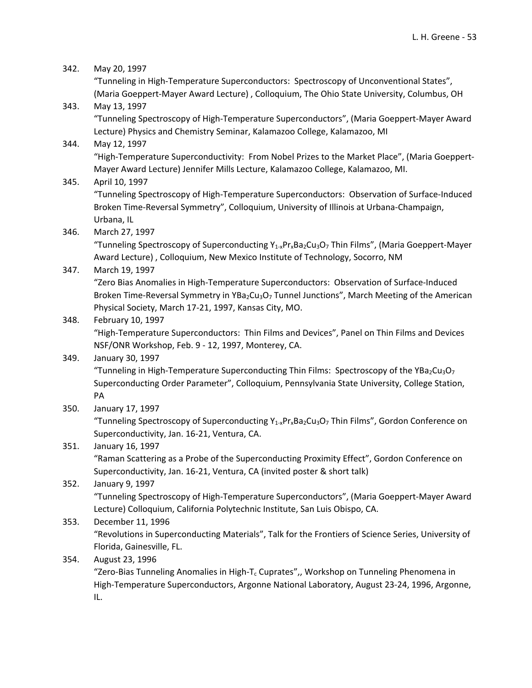| 342. | May 20, 1997                                                                                                                                                                                                                                 |
|------|----------------------------------------------------------------------------------------------------------------------------------------------------------------------------------------------------------------------------------------------|
|      | "Tunneling in High-Temperature Superconductors: Spectroscopy of Unconventional States",<br>(Maria Goeppert-Mayer Award Lecture), Colloquium, The Ohio State University, Columbus, OH                                                         |
| 343. | May 13, 1997                                                                                                                                                                                                                                 |
|      | "Tunneling Spectroscopy of High-Temperature Superconductors", (Maria Goeppert-Mayer Award                                                                                                                                                    |
|      | Lecture) Physics and Chemistry Seminar, Kalamazoo College, Kalamazoo, MI                                                                                                                                                                     |
| 344. | May 12, 1997<br>"High-Temperature Superconductivity: From Nobel Prizes to the Market Place", (Maria Goeppert-                                                                                                                                |
|      | Mayer Award Lecture) Jennifer Mills Lecture, Kalamazoo College, Kalamazoo, MI.                                                                                                                                                               |
| 345. | April 10, 1997<br>"Tunneling Spectroscopy of High-Temperature Superconductors: Observation of Surface-Induced                                                                                                                                |
|      | Broken Time-Reversal Symmetry", Colloquium, University of Illinois at Urbana-Champaign,<br>Urbana, IL                                                                                                                                        |
| 346. | March 27, 1997                                                                                                                                                                                                                               |
|      | "Tunneling Spectroscopy of Superconducting Y <sub>1-x</sub> Pr <sub>x</sub> Ba <sub>2</sub> Cu <sub>3</sub> O <sub>7</sub> Thin Films", (Maria Goeppert-Mayer<br>Award Lecture), Colloquium, New Mexico Institute of Technology, Socorro, NM |
| 347. | March 19, 1997                                                                                                                                                                                                                               |
|      | "Zero Bias Anomalies in High-Temperature Superconductors: Observation of Surface-Induced<br>Broken Time-Reversal Symmetry in YBa <sub>2</sub> Cu <sub>3</sub> O <sub>7</sub> Tunnel Junctions", March Meeting of the American                |
|      | Physical Society, March 17-21, 1997, Kansas City, MO.                                                                                                                                                                                        |
| 348. | February 10, 1997                                                                                                                                                                                                                            |
|      | "High-Temperature Superconductors: Thin Films and Devices", Panel on Thin Films and Devices                                                                                                                                                  |
|      | NSF/ONR Workshop, Feb. 9 - 12, 1997, Monterey, CA.                                                                                                                                                                                           |
| 349. | January 30, 1997                                                                                                                                                                                                                             |
|      | "Tunneling in High-Temperature Superconducting Thin Films: Spectroscopy of the YBa2Cu3O7                                                                                                                                                     |
|      | Superconducting Order Parameter", Colloquium, Pennsylvania State University, College Station,                                                                                                                                                |
|      | PA                                                                                                                                                                                                                                           |
| 350. | January 17, 1997                                                                                                                                                                                                                             |
|      | "Tunneling Spectroscopy of Superconducting Y <sub>1-x</sub> Pr <sub>x</sub> Ba <sub>2</sub> Cu <sub>3</sub> O <sub>7</sub> Thin Films", Gordon Conference on                                                                                 |
|      | Superconductivity, Jan. 16-21, Ventura, CA.                                                                                                                                                                                                  |
| 351. | January 16, 1997<br>"Raman Scattering as a Probe of the Superconducting Proximity Effect", Gordon Conference on                                                                                                                              |
|      | Superconductivity, Jan. 16-21, Ventura, CA (invited poster & short talk)                                                                                                                                                                     |
| 352. | January 9, 1997                                                                                                                                                                                                                              |
|      | "Tunneling Spectroscopy of High-Temperature Superconductors", (Maria Goeppert-Mayer Award                                                                                                                                                    |
|      | Lecture) Colloquium, California Polytechnic Institute, San Luis Obispo, CA.                                                                                                                                                                  |
| 353. | December 11, 1996                                                                                                                                                                                                                            |
|      | "Revolutions in Superconducting Materials", Talk for the Frontiers of Science Series, University of                                                                                                                                          |
|      | Florida, Gainesville, FL.                                                                                                                                                                                                                    |
| 354. | August 23, 1996                                                                                                                                                                                                                              |
|      | "Zero-Bias Tunneling Anomalies in High-T <sub>c</sub> Cuprates",, Workshop on Tunneling Phenomena in                                                                                                                                         |
|      | High-Temperature Superconductors, Argonne National Laboratory, August 23-24, 1996, Argonne,                                                                                                                                                  |
|      | IL.                                                                                                                                                                                                                                          |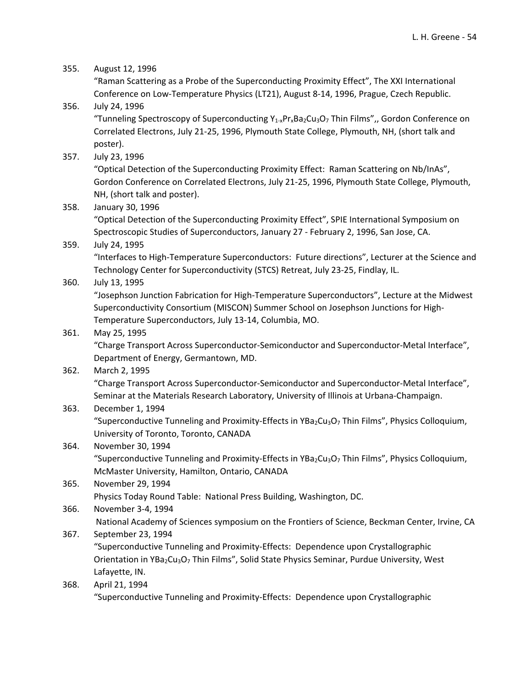#### 355. August 12, 1996

"Raman Scattering as a Probe of the Superconducting Proximity Effect", The XXI International Conference on Low‐Temperature Physics (LT21), August 8‐14, 1996, Prague, Czech Republic.

# 356. July 24, 1996 "Tunneling Spectroscopy of Superconducting  $Y_{1-x}P_{1x}Ba_2Cu_3O_7$  Thin Films",, Gordon Conference on Correlated Electrons, July 21‐25, 1996, Plymouth State College, Plymouth, NH, (short talk and poster).

357. July 23, 1996

"Optical Detection of the Superconducting Proximity Effect: Raman Scattering on Nb/InAs", Gordon Conference on Correlated Electrons, July 21‐25, 1996, Plymouth State College, Plymouth, NH, (short talk and poster).

358. January 30, 1996

"Optical Detection of the Superconducting Proximity Effect", SPIE International Symposium on Spectroscopic Studies of Superconductors, January 27 ‐ February 2, 1996, San Jose, CA.

#### 359. July 24, 1995

"Interfaces to High‐Temperature Superconductors: Future directions", Lecturer at the Science and Technology Center for Superconductivity (STCS) Retreat, July 23‐25, Findlay, IL.

360. July 13, 1995

"Josephson Junction Fabrication for High‐Temperature Superconductors", Lecture at the Midwest Superconductivity Consortium (MISCON) Summer School on Josephson Junctions for High‐ Temperature Superconductors, July 13‐14, Columbia, MO.

#### 361. May 25, 1995

"Charge Transport Across Superconductor‐Semiconductor and Superconductor‐Metal Interface", Department of Energy, Germantown, MD.

#### 362. March 2, 1995

"Charge Transport Across Superconductor‐Semiconductor and Superconductor‐Metal Interface", Seminar at the Materials Research Laboratory, University of Illinois at Urbana‐Champaign.

#### 363. December 1, 1994

"Superconductive Tunneling and Proximity-Effects in YBa<sub>2</sub>Cu<sub>3</sub>O<sub>7</sub> Thin Films", Physics Colloquium, University of Toronto, Toronto, CANADA

#### 364. November 30, 1994

"Superconductive Tunneling and Proximity-Effects in YBa2Cu3O7 Thin Films", Physics Colloquium, McMaster University, Hamilton, Ontario, CANADA

# 365. November 29, 1994 Physics Today Round Table: National Press Building, Washington, DC.

366. November 3‐4, 1994

National Academy of Sciences symposium on the Frontiers of Science, Beckman Center, Irvine, CA

### 367. September 23, 1994

"Superconductive Tunneling and Proximity‐Effects: Dependence upon Crystallographic Orientation in YBa<sub>2</sub>Cu<sub>3</sub>O<sub>7</sub> Thin Films", Solid State Physics Seminar, Purdue University, West Lafayette, IN.

#### 368. April 21, 1994

"Superconductive Tunneling and Proximity‐Effects: Dependence upon Crystallographic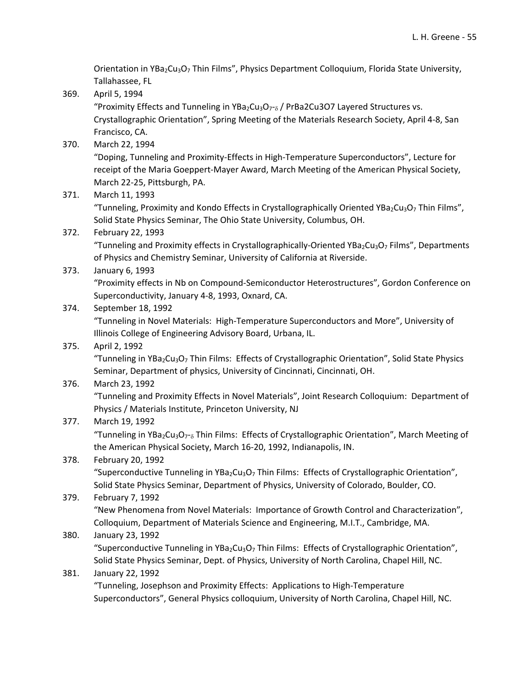Orientation in YBa<sub>2</sub>Cu<sub>3</sub>O<sub>7</sub> Thin Films", Physics Department Colloquium, Florida State University, Tallahassee, FL

369. April 5, 1994

"Proximity Effects and Tunneling in YBa<sub>2</sub>Cu<sub>3</sub>O<sub>7</sub>-<sub>8</sub> / PrBa2Cu3O7 Layered Structures vs. Crystallographic Orientation", Spring Meeting of the Materials Research Society, April 4‐8, San Francisco, CA.

370. March 22, 1994

"Doping, Tunneling and Proximity‐Effects in High‐Temperature Superconductors", Lecture for receipt of the Maria Goeppert‐Mayer Award, March Meeting of the American Physical Society, March 22‐25, Pittsburgh, PA.

371. March 11, 1993

"Tunneling, Proximity and Kondo Effects in Crystallographically Oriented YBa<sub>2</sub>Cu<sub>3</sub>O<sub>7</sub> Thin Films", Solid State Physics Seminar, The Ohio State University, Columbus, OH.

372. February 22, 1993

"Tunneling and Proximity effects in Crystallographically-Oriented YBa<sub>2</sub>Cu<sub>3</sub>O<sub>7</sub> Films", Departments of Physics and Chemistry Seminar, University of California at Riverside.

373. January 6, 1993

"Proximity effects in Nb on Compound‐Semiconductor Heterostructures", Gordon Conference on Superconductivity, January 4‐8, 1993, Oxnard, CA.

### 374. September 18, 1992

"Tunneling in Novel Materials: High‐Temperature Superconductors and More", University of Illinois College of Engineering Advisory Board, Urbana, IL.

### 375. April 2, 1992

"Tunneling in YBa<sub>2</sub>Cu<sub>3</sub>O<sub>7</sub> Thin Films: Effects of Crystallographic Orientation", Solid State Physics Seminar, Department of physics, University of Cincinnati, Cincinnati, OH.

376. March 23, 1992

"Tunneling and Proximity Effects in Novel Materials", Joint Research Colloquium: Department of Physics / Materials Institute, Princeton University, NJ

377. March 19, 1992

"Tunneling in YBa<sub>2</sub>Cu<sub>3</sub>O<sub>7</sub>-<sub>8</sub> Thin Films: Effects of Crystallographic Orientation", March Meeting of the American Physical Society, March 16‐20, 1992, Indianapolis, IN.

### 378. February 20, 1992

"Superconductive Tunneling in YBa<sub>2</sub>Cu<sub>3</sub>O<sub>7</sub> Thin Films: Effects of Crystallographic Orientation", Solid State Physics Seminar, Department of Physics, University of Colorado, Boulder, CO.

### 379. February 7, 1992

"New Phenomena from Novel Materials: Importance of Growth Control and Characterization", Colloquium, Department of Materials Science and Engineering, M.I.T., Cambridge, MA.

### 380. January 23, 1992

"Superconductive Tunneling in YBa<sub>2</sub>Cu<sub>3</sub>O<sub>7</sub> Thin Films: Effects of Crystallographic Orientation", Solid State Physics Seminar, Dept. of Physics, University of North Carolina, Chapel Hill, NC.

#### 381. January 22, 1992

"Tunneling, Josephson and Proximity Effects: Applications to High‐Temperature Superconductors", General Physics colloquium, University of North Carolina, Chapel Hill, NC.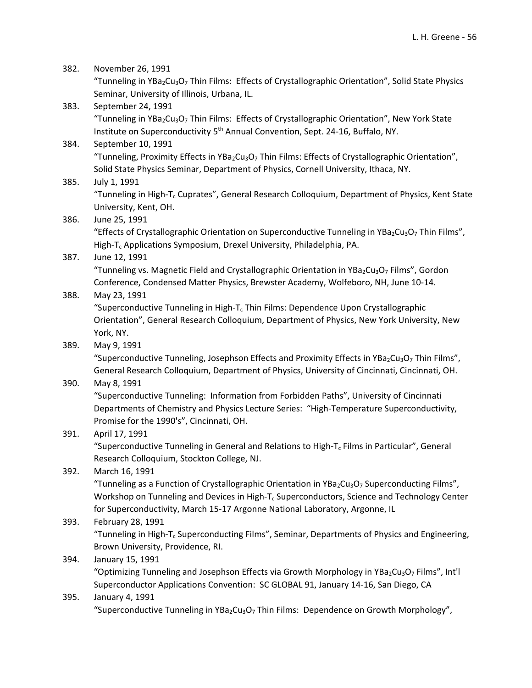| 382. | November 26, 1991                                                                                                                       |
|------|-----------------------------------------------------------------------------------------------------------------------------------------|
|      | "Tunneling in YBa <sub>2</sub> Cu <sub>3</sub> O <sub>7</sub> Thin Films: Effects of Crystallographic Orientation", Solid State Physics |
|      | Seminar, University of Illinois, Urbana, IL.                                                                                            |
| 383. | September 24, 1991                                                                                                                      |
|      | "Tunneling in YBa <sub>2</sub> Cu <sub>3</sub> O <sub>7</sub> Thin Films: Effects of Crystallographic Orientation", New York State      |
|      | Institute on Superconductivity 5 <sup>th</sup> Annual Convention, Sept. 24-16, Buffalo, NY.                                             |
| 384. | September 10, 1991                                                                                                                      |
|      | "Tunneling, Proximity Effects in YBa <sub>2</sub> Cu <sub>3</sub> O <sub>7</sub> Thin Films: Effects of Crystallographic Orientation",  |
|      | Solid State Physics Seminar, Department of Physics, Cornell University, Ithaca, NY.                                                     |
| 385. | July 1, 1991                                                                                                                            |
|      | "Tunneling in High-T <sub>c</sub> Cuprates", General Research Colloquium, Department of Physics, Kent State                             |
|      | University, Kent, OH.                                                                                                                   |
| 386. | June 25, 1991                                                                                                                           |
|      | "Effects of Crystallographic Orientation on Superconductive Tunneling in YBa <sub>2</sub> Cu <sub>3</sub> O <sub>7</sub> Thin Films",   |
|      | High-T <sub>c</sub> Applications Symposium, Drexel University, Philadelphia, PA.                                                        |
| 387. | June 12, 1991                                                                                                                           |
|      | "Tunneling vs. Magnetic Field and Crystallographic Orientation in YBa <sub>2</sub> Cu <sub>3</sub> O <sub>7</sub> Films", Gordon        |
|      | Conference, Condensed Matter Physics, Brewster Academy, Wolfeboro, NH, June 10-14.                                                      |
| 388. | May 23, 1991                                                                                                                            |
|      | "Superconductive Tunneling in High-T <sub>c</sub> Thin Films: Dependence Upon Crystallographic                                          |
|      | Orientation", General Research Colloquium, Department of Physics, New York University, New                                              |
|      | York, NY.                                                                                                                               |
| 389. | May 9, 1991                                                                                                                             |
|      | "Superconductive Tunneling, Josephson Effects and Proximity Effects in YBa2Cu3O7 Thin Films",                                           |
|      | General Research Colloquium, Department of Physics, University of Cincinnati, Cincinnati, OH.                                           |
| 390. | May 8, 1991                                                                                                                             |
|      | "Superconductive Tunneling: Information from Forbidden Paths", University of Cincinnati                                                 |
|      | Departments of Chemistry and Physics Lecture Series: "High-Temperature Superconductivity,                                               |
|      | Promise for the 1990's", Cincinnati, OH.                                                                                                |
| 391. | April 17, 1991                                                                                                                          |
|      | "Superconductive Tunneling in General and Relations to High-T <sub>c</sub> Films in Particular", General                                |
|      | Research Colloquium, Stockton College, NJ.                                                                                              |
| 392. | March 16, 1991                                                                                                                          |
|      | "Tunneling as a Function of Crystallographic Orientation in YBa <sub>2</sub> Cu <sub>3</sub> O <sub>7</sub> Superconducting Films",     |
|      | Workshop on Tunneling and Devices in High-T <sub>c</sub> Superconductors, Science and Technology Center                                 |
|      | for Superconductivity, March 15-17 Argonne National Laboratory, Argonne, IL                                                             |
| 393. | February 28, 1991                                                                                                                       |
|      | "Tunneling in High-T <sub>c</sub> Superconducting Films", Seminar, Departments of Physics and Engineering,                              |
|      | Brown University, Providence, RI.                                                                                                       |
| 394. | January 15, 1991                                                                                                                        |
|      | "Optimizing Tunneling and Josephson Effects via Growth Morphology in YBa <sub>2</sub> Cu <sub>3</sub> O <sub>7</sub> Films", Int'l      |
|      | Superconductor Applications Convention: SC GLOBAL 91, January 14-16, San Diego, CA                                                      |
| 395. | January 4, 1991                                                                                                                         |
|      | "Superconductive Tunneling in YBa <sub>2</sub> Cu <sub>3</sub> O <sub>7</sub> Thin Films: Dependence on Growth Morphology",             |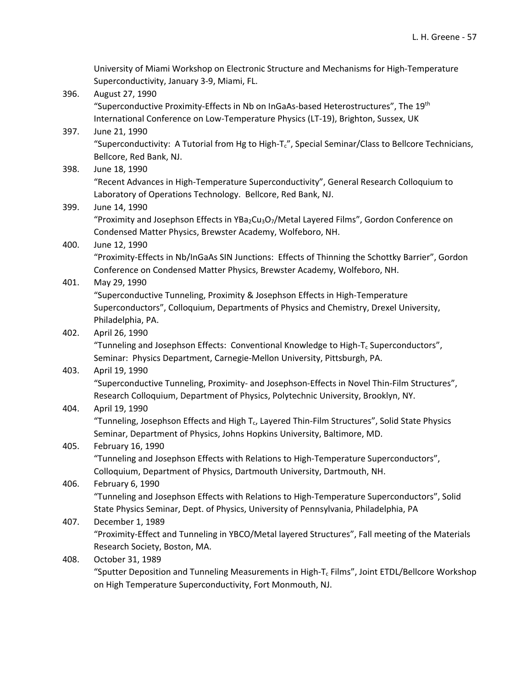|      | University of Miami Workshop on Electronic Structure and Mechanisms for High-Temperature                                          |
|------|-----------------------------------------------------------------------------------------------------------------------------------|
|      | Superconductivity, January 3-9, Miami, FL.                                                                                        |
| 396. | August 27, 1990                                                                                                                   |
|      | "Superconductive Proximity-Effects in Nb on InGaAs-based Heterostructures", The 19th                                              |
|      | International Conference on Low-Temperature Physics (LT-19), Brighton, Sussex, UK                                                 |
| 397. | June 21, 1990                                                                                                                     |
|      | "Superconductivity: A Tutorial from Hg to High-T <sub>c</sub> ", Special Seminar/Class to Bellcore Technicians,                   |
|      | Bellcore, Red Bank, NJ.                                                                                                           |
| 398. | June 18, 1990                                                                                                                     |
|      | "Recent Advances in High-Temperature Superconductivity", General Research Colloquium to                                           |
|      | Laboratory of Operations Technology. Bellcore, Red Bank, NJ.                                                                      |
| 399. | June 14, 1990                                                                                                                     |
|      | "Proximity and Josephson Effects in YBa <sub>2</sub> Cu <sub>3</sub> O <sub>7</sub> /Metal Layered Films", Gordon Conference on   |
|      | Condensed Matter Physics, Brewster Academy, Wolfeboro, NH.                                                                        |
| 400. | June 12, 1990                                                                                                                     |
|      | "Proximity-Effects in Nb/InGaAs SIN Junctions: Effects of Thinning the Schottky Barrier", Gordon                                  |
|      | Conference on Condensed Matter Physics, Brewster Academy, Wolfeboro, NH.                                                          |
| 401. | May 29, 1990                                                                                                                      |
|      | "Superconductive Tunneling, Proximity & Josephson Effects in High-Temperature                                                     |
|      | Superconductors", Colloquium, Departments of Physics and Chemistry, Drexel University,                                            |
|      | Philadelphia, PA.                                                                                                                 |
| 402. | April 26, 1990                                                                                                                    |
|      | "Tunneling and Josephson Effects: Conventional Knowledge to High- $T_c$ Superconductors",                                         |
|      | Seminar: Physics Department, Carnegie-Mellon University, Pittsburgh, PA.                                                          |
| 403. | April 19, 1990                                                                                                                    |
|      | "Superconductive Tunneling, Proximity- and Josephson-Effects in Novel Thin-Film Structures",                                      |
|      | Research Colloquium, Department of Physics, Polytechnic University, Brooklyn, NY.                                                 |
| 404. | April 19, 1990                                                                                                                    |
|      | "Tunneling, Josephson Effects and High T <sub>c</sub> , Layered Thin-Film Structures", Solid State Physics                        |
|      | Seminar, Department of Physics, Johns Hopkins University, Baltimore, MD.                                                          |
| 405. | February 16, 1990                                                                                                                 |
|      | "Tunneling and Josephson Effects with Relations to High-Temperature Superconductors",                                             |
|      | Colloquium, Department of Physics, Dartmouth University, Dartmouth, NH.                                                           |
| 406. | February 6, 1990                                                                                                                  |
|      | "Tunneling and Josephson Effects with Relations to High-Temperature Superconductors", Solid                                       |
|      | State Physics Seminar, Dept. of Physics, University of Pennsylvania, Philadelphia, PA                                             |
| 407. | December 1, 1989                                                                                                                  |
|      | "Proximity-Effect and Tunneling in YBCO/Metal layered Structures", Fall meeting of the Materials<br>Research Society, Boston, MA. |
| 408. | October 31, 1989                                                                                                                  |
|      | "Sputter Deposition and Tunneling Measurements in High-T <sub>c</sub> Films", Joint ETDL/Bellcore Workshop                        |
|      |                                                                                                                                   |

on High Temperature Superconductivity, Fort Monmouth, NJ.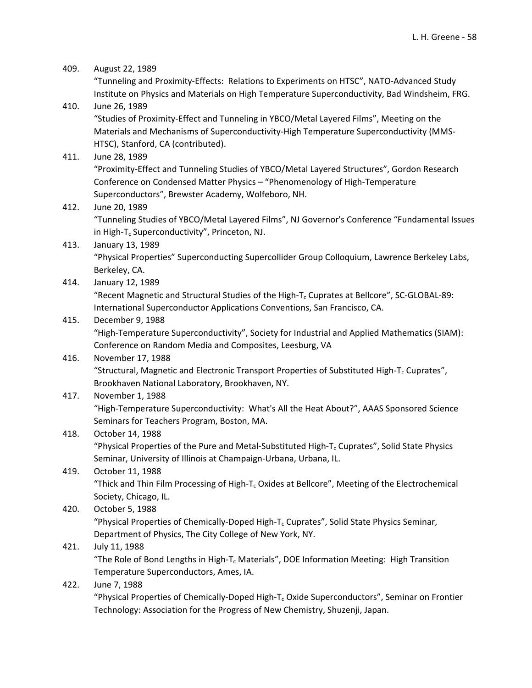# 409. August 22, 1989 "Tunneling and Proximity‐Effects: Relations to Experiments on HTSC", NATO‐Advanced Study Institute on Physics and Materials on High Temperature Superconductivity, Bad Windsheim, FRG. 410. June 26, 1989 "Studies of Proximity‐Effect and Tunneling in YBCO/Metal Layered Films", Meeting on the Materials and Mechanisms of Superconductivity‐High Temperature Superconductivity (MMS‐ HTSC), Stanford, CA (contributed). 411. June 28, 1989

"Proximity‐Effect and Tunneling Studies of YBCO/Metal Layered Structures", Gordon Research Conference on Condensed Matter Physics – "Phenomenology of High‐Temperature Superconductors", Brewster Academy, Wolfeboro, NH.

412. June 20, 1989

"Tunneling Studies of YBCO/Metal Layered Films", NJ Governor's Conference "Fundamental Issues in High-T<sub>c</sub> Superconductivity", Princeton, NJ.

413. January 13, 1989

"Physical Properties" Superconducting Supercollider Group Colloquium, Lawrence Berkeley Labs, Berkeley, CA.

414. January 12, 1989

"Recent Magnetic and Structural Studies of the High-T<sub>c</sub> Cuprates at Bellcore", SC-GLOBAL-89: International Superconductor Applications Conventions, San Francisco, CA.

# 415. December 9, 1988

"High‐Temperature Superconductivity", Society for Industrial and Applied Mathematics (SIAM): Conference on Random Media and Composites, Leesburg, VA

# 416. November 17, 1988

"Structural, Magnetic and Electronic Transport Properties of Substituted High-T<sub>c</sub> Cuprates", Brookhaven National Laboratory, Brookhaven, NY.

# 417. November 1, 1988

"High‐Temperature Superconductivity: What's All the Heat About?", AAAS Sponsored Science Seminars for Teachers Program, Boston, MA.

# 418. October 14, 1988

"Physical Properties of the Pure and Metal-Substituted High- $T_c$  Cuprates", Solid State Physics Seminar, University of Illinois at Champaign‐Urbana, Urbana, IL.

# 419. October 11, 1988

"Thick and Thin Film Processing of High-T<sub>c</sub> Oxides at Bellcore", Meeting of the Electrochemical Society, Chicago, IL.

### 420. October 5, 1988

"Physical Properties of Chemically‐Doped High‐Tc Cuprates", Solid State Physics Seminar, Department of Physics, The City College of New York, NY.

# 421. July 11, 1988

"The Role of Bond Lengths in High‐Tc Materials", DOE Information Meeting: High Transition Temperature Superconductors, Ames, IA.

### 422. June 7, 1988

"Physical Properties of Chemically-Doped High-T<sub>c</sub> Oxide Superconductors", Seminar on Frontier Technology: Association for the Progress of New Chemistry, Shuzenji, Japan.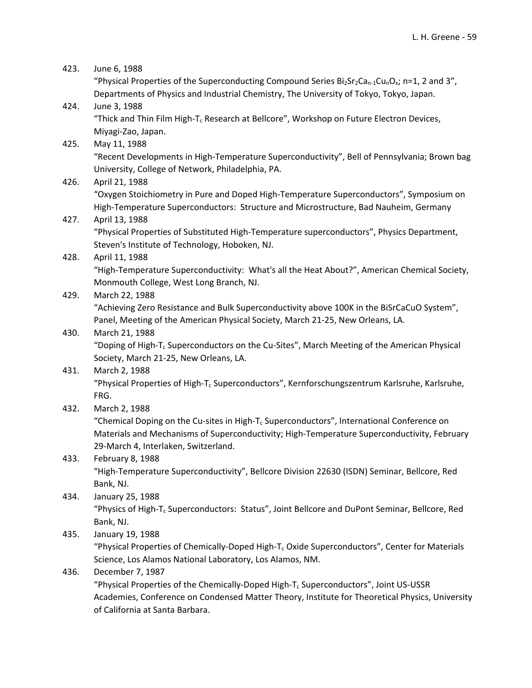| 423. | June 6, 1988                                                                                                                                      |
|------|---------------------------------------------------------------------------------------------------------------------------------------------------|
|      | "Physical Properties of the Superconducting Compound Series $Bi2Sr2Can-1CunOx$ ; n=1, 2 and 3",                                                   |
|      | Departments of Physics and Industrial Chemistry, The University of Tokyo, Tokyo, Japan.                                                           |
| 424. | June 3, 1988                                                                                                                                      |
|      | "Thick and Thin Film High-T <sub>c</sub> Research at Bellcore", Workshop on Future Electron Devices,                                              |
|      | Miyagi-Zao, Japan.                                                                                                                                |
| 425. | May 11, 1988                                                                                                                                      |
|      | "Recent Developments in High-Temperature Superconductivity", Bell of Pennsylvania; Brown bag<br>University, College of Network, Philadelphia, PA. |
| 426. | April 21, 1988                                                                                                                                    |
|      | "Oxygen Stoichiometry in Pure and Doped High-Temperature Superconductors", Symposium on                                                           |
|      | High-Temperature Superconductors: Structure and Microstructure, Bad Nauheim, Germany                                                              |
| 427. | April 13, 1988                                                                                                                                    |
|      | "Physical Properties of Substituted High-Temperature superconductors", Physics Department,                                                        |
|      | Steven's Institute of Technology, Hoboken, NJ.                                                                                                    |
| 428. | April 11, 1988                                                                                                                                    |
|      | "High-Temperature Superconductivity: What's all the Heat About?", American Chemical Society,                                                      |
|      | Monmouth College, West Long Branch, NJ.                                                                                                           |
| 429. | March 22, 1988                                                                                                                                    |
|      | "Achieving Zero Resistance and Bulk Superconductivity above 100K in the BiSrCaCuO System",                                                        |
|      | Panel, Meeting of the American Physical Society, March 21-25, New Orleans, LA.                                                                    |
| 430. | March 21, 1988                                                                                                                                    |
|      | "Doping of High-T <sub>c</sub> Superconductors on the Cu-Sites", March Meeting of the American Physical                                           |
|      | Society, March 21-25, New Orleans, LA.                                                                                                            |
| 431. | March 2, 1988                                                                                                                                     |
|      | "Physical Properties of High-T <sub>c</sub> Superconductors", Kernforschungszentrum Karlsruhe, Karlsruhe,<br>FRG.                                 |
| 432. | March 2, 1988                                                                                                                                     |
|      | "Chemical Doping on the Cu-sites in High-T <sub>c</sub> Superconductors", International Conference on                                             |
|      | Materials and Mechanisms of Superconductivity; High-Temperature Superconductivity, February                                                       |
|      | 29-March 4, Interlaken, Switzerland.                                                                                                              |
| 433. | February 8, 1988                                                                                                                                  |
|      | "High-Temperature Superconductivity", Bellcore Division 22630 (ISDN) Seminar, Bellcore, Red                                                       |
|      | Bank, NJ.                                                                                                                                         |
| 434. | January 25, 1988                                                                                                                                  |
|      | "Physics of High-T <sub>c</sub> Superconductors: Status", Joint Bellcore and DuPont Seminar, Bellcore, Red                                        |
|      | Bank, NJ.                                                                                                                                         |
| 435. | January 19, 1988                                                                                                                                  |
|      | "Physical Properties of Chemically-Doped High-T <sub>c</sub> Oxide Superconductors", Center for Materials                                         |
|      | Science, Los Alamos National Laboratory, Los Alamos, NM.                                                                                          |
| 436. | December 7, 1987                                                                                                                                  |
|      | "Physical Properties of the Chemically-Doped High-T <sub>c</sub> Superconductors", Joint US-USSR                                                  |
|      | Academies, Conference on Condensed Matter Theory, Institute for Theoretical Physics, University                                                   |

of California at Santa Barbara.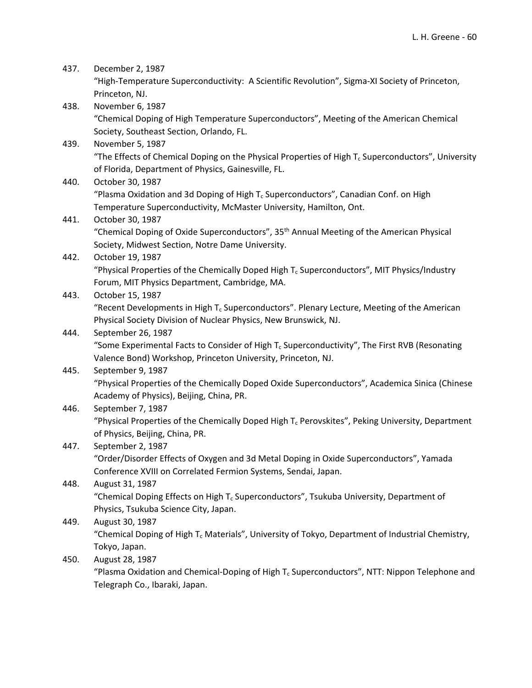| 437. | December 2, 1987                                                                                                                       |
|------|----------------------------------------------------------------------------------------------------------------------------------------|
|      | "High-Temperature Superconductivity: A Scientific Revolution", Sigma-XI Society of Princeton,                                          |
|      | Princeton, NJ.                                                                                                                         |
| 438. | November 6, 1987                                                                                                                       |
|      | "Chemical Doping of High Temperature Superconductors", Meeting of the American Chemical                                                |
|      | Society, Southeast Section, Orlando, FL.                                                                                               |
| 439. | November 5, 1987                                                                                                                       |
|      | "The Effects of Chemical Doping on the Physical Properties of High $T_c$ Superconductors", University                                  |
|      | of Florida, Department of Physics, Gainesville, FL.                                                                                    |
| 440. | October 30, 1987                                                                                                                       |
|      | "Plasma Oxidation and 3d Doping of High $T_c$ Superconductors", Canadian Conf. on High                                                 |
|      | Temperature Superconductivity, McMaster University, Hamilton, Ont.                                                                     |
| 441. | October 30, 1987                                                                                                                       |
|      | "Chemical Doping of Oxide Superconductors", 35 <sup>th</sup> Annual Meeting of the American Physical                                   |
|      | Society, Midwest Section, Notre Dame University.                                                                                       |
| 442. | October 19, 1987                                                                                                                       |
|      | "Physical Properties of the Chemically Doped High $T_c$ Superconductors", MIT Physics/Industry                                         |
|      | Forum, MIT Physics Department, Cambridge, MA.                                                                                          |
| 443. | October 15, 1987                                                                                                                       |
|      | "Recent Developments in High $T_c$ Superconductors". Plenary Lecture, Meeting of the American                                          |
|      | Physical Society Division of Nuclear Physics, New Brunswick, NJ.                                                                       |
| 444. | September 26, 1987                                                                                                                     |
|      | "Some Experimental Facts to Consider of High $T_c$ Superconductivity", The First RVB (Resonating                                       |
|      | Valence Bond) Workshop, Princeton University, Princeton, NJ.                                                                           |
| 445. | September 9, 1987                                                                                                                      |
|      | "Physical Properties of the Chemically Doped Oxide Superconductors", Academica Sinica (Chinese                                         |
|      | Academy of Physics), Beijing, China, PR.                                                                                               |
| 446. | September 7, 1987                                                                                                                      |
|      | "Physical Properties of the Chemically Doped High $T_c$ Perovskites", Peking University, Department<br>of Physics, Beijing, China, PR. |
| 447. | September 2, 1987                                                                                                                      |
|      | "Order/Disorder Effects of Oxygen and 3d Metal Doping in Oxide Superconductors", Yamada                                                |
|      | Conference XVIII on Correlated Fermion Systems, Sendai, Japan.                                                                         |
| 448. | August 31, 1987                                                                                                                        |
|      | "Chemical Doping Effects on High $T_c$ Superconductors", Tsukuba University, Department of                                             |
|      | Physics, Tsukuba Science City, Japan.                                                                                                  |
| 449. | August 30, 1987                                                                                                                        |
|      | "Chemical Doping of High T <sub>c</sub> Materials", University of Tokyo, Department of Industrial Chemistry,                           |
|      | Tokyo, Japan.                                                                                                                          |
| 450. | August 28, 1987                                                                                                                        |
|      | "Plasma Oxidation and Chemical-Doping of High $T_c$ Superconductors", NTT: Nippon Telephone and                                        |

Telegraph Co., Ibaraki, Japan.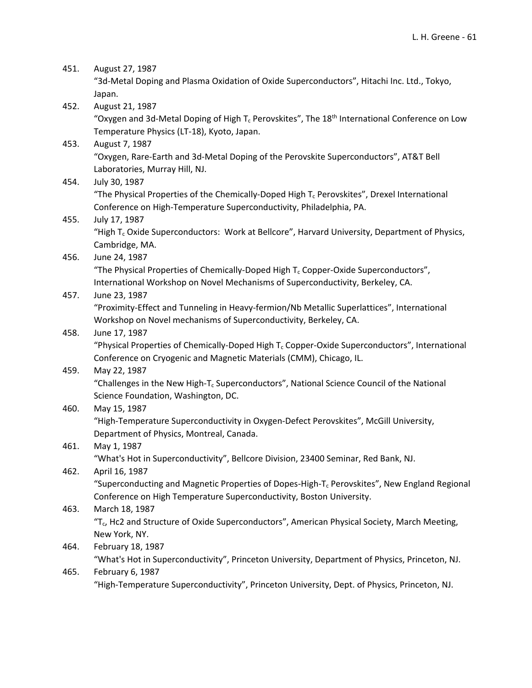| 451. | August 27, 1987                                                                                                            |
|------|----------------------------------------------------------------------------------------------------------------------------|
|      | "3d-Metal Doping and Plasma Oxidation of Oxide Superconductors", Hitachi Inc. Ltd., Tokyo,                                 |
|      | Japan.                                                                                                                     |
| 452. | August 21, 1987                                                                                                            |
|      | "Oxygen and 3d-Metal Doping of High $T_c$ Perovskites", The 18 <sup>th</sup> International Conference on Low               |
|      | Temperature Physics (LT-18), Kyoto, Japan.                                                                                 |
| 453. | August 7, 1987                                                                                                             |
|      | "Oxygen, Rare-Earth and 3d-Metal Doping of the Perovskite Superconductors", AT&T Bell                                      |
|      | Laboratories, Murray Hill, NJ.                                                                                             |
| 454. | July 30, 1987                                                                                                              |
|      | "The Physical Properties of the Chemically-Doped High $T_c$ Perovskites", Drexel International                             |
|      | Conference on High-Temperature Superconductivity, Philadelphia, PA.                                                        |
| 455. | July 17, 1987                                                                                                              |
|      | "High T <sub>c</sub> Oxide Superconductors: Work at Bellcore", Harvard University, Department of Physics,                  |
|      | Cambridge, MA.                                                                                                             |
| 456. | June 24, 1987                                                                                                              |
|      | "The Physical Properties of Chemically-Doped High T <sub>c</sub> Copper-Oxide Superconductors",                            |
|      | International Workshop on Novel Mechanisms of Superconductivity, Berkeley, CA.                                             |
| 457. | June 23, 1987                                                                                                              |
|      | "Proximity-Effect and Tunneling in Heavy-fermion/Nb Metallic Superlattices", International                                 |
|      | Workshop on Novel mechanisms of Superconductivity, Berkeley, CA.                                                           |
| 458. | June 17, 1987                                                                                                              |
|      | "Physical Properties of Chemically-Doped High T <sub>c</sub> Copper-Oxide Superconductors", International                  |
|      | Conference on Cryogenic and Magnetic Materials (CMM), Chicago, IL.                                                         |
| 459. | May 22, 1987                                                                                                               |
|      | "Challenges in the New High-T <sub>c</sub> Superconductors", National Science Council of the National                      |
|      | Science Foundation, Washington, DC.                                                                                        |
| 460. | May 15, 1987                                                                                                               |
|      | "High-Temperature Superconductivity in Oxygen-Defect Perovskites", McGill University,                                      |
|      | Department of Physics, Montreal, Canada.                                                                                   |
| 461. | May 1, 1987                                                                                                                |
|      | "What's Hot in Superconductivity", Bellcore Division, 23400 Seminar, Red Bank, NJ.                                         |
| 462. | April 16, 1987                                                                                                             |
|      | "Superconducting and Magnetic Properties of Dopes-High-T <sub>c</sub> Perovskites", New England Regional                   |
|      | Conference on High Temperature Superconductivity, Boston University.                                                       |
| 463. | March 18, 1987<br>"T <sub>c</sub> , Hc2 and Structure of Oxide Superconductors", American Physical Society, March Meeting, |
|      |                                                                                                                            |
|      | New York, NY.                                                                                                              |
| 464. | February 18, 1987<br>"What's Hot in Superconductivity", Princeton University, Department of Physics, Princeton, NJ.        |
|      | February 6, 1987                                                                                                           |
| 465. | "High-Temperature Superconductivity", Princeton University, Dept. of Physics, Princeton, NJ.                               |
|      |                                                                                                                            |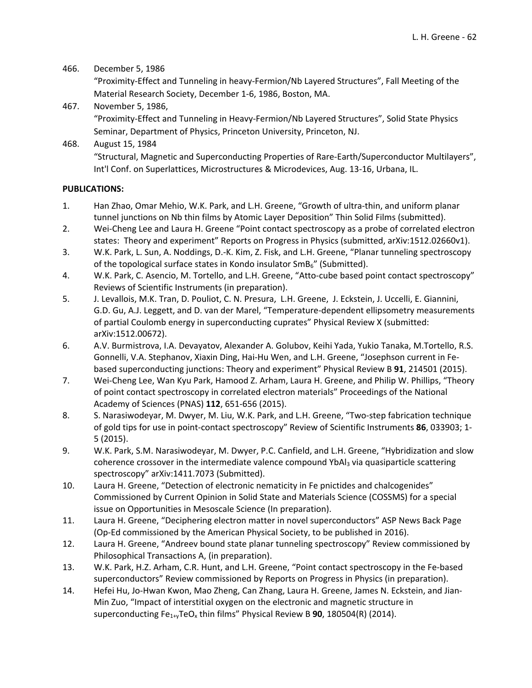#### 466. December 5, 1986

"Proximity‐Effect and Tunneling in heavy‐Fermion/Nb Layered Structures", Fall Meeting of the Material Research Society, December 1‐6, 1986, Boston, MA.

467. November 5, 1986, "Proximity‐Effect and Tunneling in Heavy‐Fermion/Nb Layered Structures", Solid State Physics Seminar, Department of Physics, Princeton University, Princeton, NJ.

468. August 15, 1984 "Structural, Magnetic and Superconducting Properties of Rare‐Earth/Superconductor Multilayers", Int'l Conf. on Superlattices, Microstructures & Microdevices, Aug. 13‐16, Urbana, IL.

### **PUBLICATIONS:**

- 1. Han Zhao, Omar Mehio, W.K. Park, and L.H. Greene, "Growth of ultra‐thin, and uniform planar tunnel junctions on Nb thin films by Atomic Layer Deposition" Thin Solid Films (submitted).
- 2. Wei-Cheng Lee and Laura H. Greene "Point contact spectroscopy as a probe of correlated electron states: Theory and experiment" Reports on Progress in Physics (submitted, arXiv:1512.02660v1).
- 3. W.K. Park, L. Sun, A. Noddings, D.‐K. Kim, Z. Fisk, and L.H. Greene, "Planar tunneling spectroscopy of the topological surface states in Kondo insulator  $SmB<sub>6</sub>$ " (Submitted).
- 4. W.K. Park, C. Asencio, M. Tortello, and L.H. Greene, "Atto-cube based point contact spectroscopy" Reviews of Scientific Instruments (in preparation).
- 5. J. Levallois, M.K. Tran, D. Pouliot, C. N. Presura, L.H. Greene, J. Eckstein, J. Uccelli, E. Giannini, G.D. Gu, A.J. Leggett, and D. van der Marel, "Temperature‐dependent ellipsometry measurements of partial Coulomb energy in superconducting cuprates" Physical Review X (submitted: arXiv:1512.00672).
- 6. A.V. Burmistrova, I.A. Devayatov, Alexander A. Golubov, Keihi Yada, Yukio Tanaka, M.Tortello, R.S. Gonnelli, V.A. Stephanov, Xiaxin Ding, Hai‐Hu Wen, and L.H. Greene, "Josephson current in Fe‐ based superconducting junctions: Theory and experiment" Physical Review B **91**, 214501 (2015).
- 7. Wei‐Cheng Lee, Wan Kyu Park, Hamood Z. Arham, Laura H. Greene, and Philip W. Phillips, "Theory of point contact spectroscopy in correlated electron materials" Proceedings of the National Academy of Sciences (PNAS) **112**, 651‐656 (2015).
- 8. S. Narasiwodeyar, M. Dwyer, M. Liu, W.K. Park, and L.H. Greene, "Two-step fabrication technique of gold tips for use in point‐contact spectroscopy" Review of Scientific Instruments **86**, 033903; 1‐ 5 (2015).
- 9. W.K. Park, S.M. Narasiwodeyar, M. Dwyer, P.C. Canfield, and L.H. Greene, "Hybridization and slow coherence crossover in the intermediate valence compound YbAl<sub>3</sub> via quasiparticle scattering spectroscopy" arXiv:1411.7073 (Submitted).
- 10. Laura H. Greene, "Detection of electronic nematicity in Fe pnictides and chalcogenides" Commissioned by Current Opinion in Solid State and Materials Science (COSSMS) for a special issue on Opportunities in Mesoscale Science (In preparation).
- 11. Laura H. Greene, "Deciphering electron matter in novel superconductors" ASP News Back Page (Op‐Ed commissioned by the American Physical Society, to be published in 2016).
- 12. Laura H. Greene, "Andreev bound state planar tunneling spectroscopy" Review commissioned by Philosophical Transactions A, (in preparation).
- 13. W.K. Park, H.Z. Arham, C.R. Hunt, and L.H. Greene, "Point contact spectroscopy in the Fe‐based superconductors" Review commissioned by Reports on Progress in Physics (in preparation).
- 14. Hefei Hu, Jo-Hwan Kwon, Mao Zheng, Can Zhang, Laura H. Greene, James N. Eckstein, and Jian-Min Zuo, "Impact of interstitial oxygen on the electronic and magnetic structure in superconducting Fe<sub>1+y</sub>TeO<sub>x</sub> thin films" Physical Review B 90, 180504(R) (2014).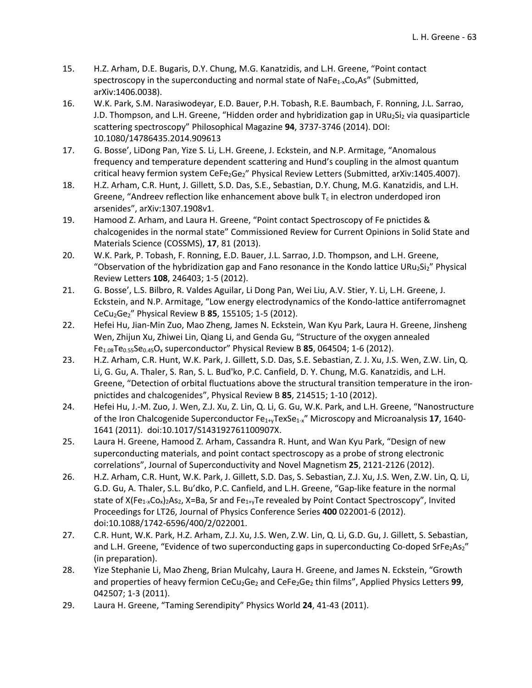- 15. H.Z. Arham, D.E. Bugaris, D.Y. Chung, M.G. Kanatzidis, and L.H. Greene, "Point contact spectroscopy in the superconducting and normal state of NaFe<sub>1-x</sub>Co<sub>x</sub>As" (Submitted, arXiv:1406.0038).
- 16. W.K. Park, S.M. Narasiwodeyar, E.D. Bauer, P.H. Tobash, R.E. Baumbach, F. Ronning, J.L. Sarrao, J.D. Thompson, and L.H. Greene, "Hidden order and hybridization gap in URu $_2$ Si $_2$  via quasiparticle scattering spectroscopy" Philosophical Magazine **94**, 3737‐3746 (2014). DOI: 10.1080/14786435.2014.909613
- 17. G. Bosse', LiDong Pan, Yize S. Li, L.H. Greene, J. Eckstein, and N.P. Armitage, "Anomalous frequency and temperature dependent scattering and Hund's coupling in the almost quantum critical heavy fermion system CeFe<sub>2</sub>Ge<sub>2</sub>" Physical Review Letters (Submitted, arXiv:1405.4007).
- 18. H.Z. Arham, C.R. Hunt, J. Gillett, S.D. Das, S.E., Sebastian, D.Y. Chung, M.G. Kanatzidis, and L.H. Greene, "Andreev reflection like enhancement above bulk  $T_c$  in electron underdoped iron arsenides", arXiv:1307.1908v1.
- 19. Hamood Z. Arham, and Laura H. Greene, "Point contact Spectroscopy of Fe pnictides & chalcogenides in the normal state" Commissioned Review for Current Opinions in Solid State and Materials Science (COSSMS), **17**, 81 (2013).
- 20. W.K. Park, P. Tobash, F. Ronning, E.D. Bauer, J.L. Sarrao, J.D. Thompson, and L.H. Greene, "Observation of the hybridization gap and Fano resonance in the Kondo lattice URu<sub>2</sub>Si<sub>2</sub>" Physical Review Letters **108**, 246403; 1‐5 (2012).
- 21. G. Bosse', L.S. Bilbro, R. Valdes Aguilar, Li Dong Pan, Wei Liu, A.V. Stier, Y. Li, L.H. Greene, J. Eckstein, and N.P. Armitage, "Low energy electrodynamics of the Kondo‐lattice antiferromagnet CeCu2Ge2" Physical Review B **85**, 155105; 1‐5 (2012).
- 22. Hefei Hu, Jian‐Min Zuo, Mao Zheng, James N. Eckstein, Wan Kyu Park, Laura H. Greene, Jinsheng Wen, Zhijun Xu, Zhiwei Lin, Qiang Li, and Genda Gu, "Structure of the oxygen annealed Fe1.08Te0.55Se0.45Ox superconductor" Physical Review B **85**, 064504; 1‐6 (2012).
- 23. H.Z. Arham, C.R. Hunt, W.K. Park, J. Gillett, S.D. Das, S.E. Sebastian, Z. J. Xu, J.S. Wen, Z.W. Lin, Q. Li, G. Gu, A. Thaler, S. Ran, S. L. Bud'ko, P.C. Canfield, D. Y. Chung, M.G. Kanatzidis, and L.H. Greene, "Detection of orbital fluctuations above the structural transition temperature in the iron‐ pnictides and chalcogenides", Physical Review B **85**, 214515; 1‐10 (2012).
- 24. Hefei Hu, J.‐M. Zuo, J. Wen, Z.J. Xu, Z. Lin, Q. Li, G. Gu, W.K. Park, and L.H. Greene, "Nanostructure of the Iron Chalcogenide Superconductor Fe1+yTexSe1‐x" Microscopy and Microanalysis **17**, 1640‐ 1641 (2011). doi:10.1017/S143192761100907X.
- 25. Laura H. Greene, Hamood Z. Arham, Cassandra R. Hunt, and Wan Kyu Park, "Design of new superconducting materials, and point contact spectroscopy as a probe of strong electronic correlations", Journal of Superconductivity and Novel Magnetism **25**, 2121‐2126 (2012).
- 26. H.Z. Arham, C.R. Hunt, W.K. Park, J. Gillett, S.D. Das, S. Sebastian, Z.J. Xu, J.S. Wen, Z.W. Lin, Q. Li, G.D. Gu, A. Thaler, S.L. Bu'dko, P.C. Canfield, and L.H. Greene, "Gap‐like feature in the normal state of  $X(Fe_{1-x}Co_x)$ 2As<sub>2</sub>, X=Ba, Sr and Fe<sub>1+y</sub>Te revealed by Point Contact Spectroscopy", Invited Proceedings for LT26, Journal of Physics Conference Series **400** 022001‐6 (2012). doi:10.1088/1742‐6596/400/2/022001.
- 27. C.R. Hunt, W.K. Park, H.Z. Arham, Z.J. Xu, J.S. Wen, Z.W. Lin, Q. Li, G.D. Gu, J. Gillett, S. Sebastian, and L.H. Greene, "Evidence of two superconducting gaps in superconducting Co-doped SrFe<sub>2</sub>As<sub>2</sub>" (in preparation).
- 28. Yize Stephanie Li, Mao Zheng, Brian Mulcahy, Laura H. Greene, and James N. Eckstein, "Growth and properties of heavy fermion CeCu<sub>2</sub>Ge<sub>2</sub> and CeFe<sub>2</sub>Ge<sub>2</sub> thin films", Applied Physics Letters 99, 042507; 1‐3 (2011).
- 29. Laura H. Greene, "Taming Serendipity" Physics World **24**, 41‐43 (2011).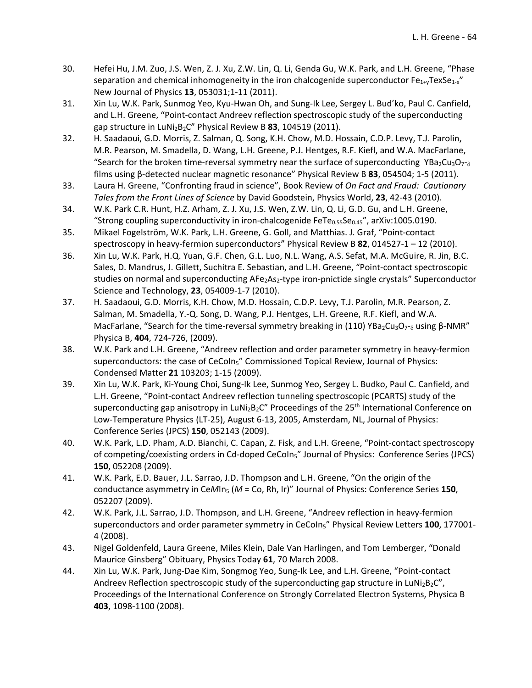- 30. Hefei Hu, J.M. Zuo, J.S. Wen, Z. J. Xu, Z.W. Lin, Q. Li, Genda Gu, W.K. Park, and L.H. Greene, "Phase separation and chemical inhomogeneity in the iron chalcogenide superconductor  $Fe_{1+*y*}TexSe_{1-x}$ " New Journal of Physics **13**, 053031;1‐11 (2011).
- 31. Xin Lu, W.K. Park, Sunmog Yeo, Kyu-Hwan Oh, and Sung-Ik Lee, Sergey L. Bud'ko, Paul C. Canfield, and L.H. Greene, "Point-contact Andreev reflection spectroscopic study of the superconducting gap structure in LuNi2B2C" Physical Review B **83**, 104519 (2011).
- 32. H. Saadaoui, G.D. Morris, Z. Salman, Q. Song, K.H. Chow, M.D. Hossain, C.D.P. Levy, T.J. Parolin, M.R. Pearson, M. Smadella, D. Wang, L.H. Greene, P.J. Hentges, R.F. Kiefl, and W.A. MacFarlane, "Search for the broken time-reversal symmetry near the surface of superconducting YBa<sub>2</sub>Cu<sub>3</sub>O<sub>7</sub>-<sub>δ</sub> films using β‐detected nuclear magnetic resonance" Physical Review B **83**, 054504; 1‐5 (2011).
- 33. Laura H. Greene, "Confronting fraud in science", Book Review of *On Fact and Fraud: Cautionary Tales from the Front Lines of Science* by David Goodstein, Physics World, **23**, 42‐43 (2010).
- 34. W.K. Park C.R. Hunt, H.Z. Arham, Z. J. Xu, J.S. Wen, Z.W. Lin, Q. Li, G.D. Gu, and L.H. Greene, "Strong coupling superconductivity in iron-chalcogenide FeTe<sub>0.55</sub>Se<sub>0.45</sub>", arXiv:1005.0190.
- 35. Mikael Fogelström, W.K. Park, L.H. Greene, G. Goll, and Matthias. J. Graf, "Point‐contact spectroscopy in heavy‐fermion superconductors" Physical Review B **82**, 014527‐1 – 12 (2010).
- 36. Xin Lu, W.K. Park, H.Q. Yuan, G.F. Chen, G.L. Luo, N.L. Wang, A.S. Sefat, M.A. McGuire, R. Jin, B.C. Sales, D. Mandrus, J. Gillett, Suchitra E. Sebastian, and L.H. Greene, "Point-contact spectroscopic studies on normal and superconducting AFe<sub>2</sub>As<sub>2</sub>-type iron-pnictide single crystals" Superconductor Science and Technology, **23**, 054009‐1‐7 (2010).
- 37. H. Saadaoui, G.D. Morris, K.H. Chow, M.D. Hossain, C.D.P. Levy, T.J. Parolin, M.R. Pearson, Z. Salman, M. Smadella, Y.‐Q. Song, D. Wang, P.J. Hentges, L.H. Greene, R.F. Kiefl, and W.A. MacFarlane, "Search for the time-reversal symmetry breaking in (110) YBa<sub>2</sub>Cu<sub>3</sub>O<sub>7</sub>-<sub>δ</sub> using β-NMR" Physica B, **404**, 724‐726, (2009).
- 38. W.K. Park and L.H. Greene, "Andreev reflection and order parameter symmetry in heavy-fermion superconductors: the case of CeCoIn<sub>5</sub>" Commissioned Topical Review, Journal of Physics: Condensed Matter **21** 103203; 1‐15 (2009).
- 39. Xin Lu, W.K. Park, Ki-Young Choi, Sung-Ik Lee, Sunmog Yeo, Sergey L. Budko, Paul C. Canfield, and L.H. Greene, "Point-contact Andreev reflection tunneling spectroscopic (PCARTS) study of the superconducting gap anisotropy in LuNi<sub>2</sub>B<sub>2</sub>C" Proceedings of the 25<sup>th</sup> International Conference on Low‐Temperature Physics (LT‐25), August 6‐13, 2005, Amsterdam, NL, Journal of Physics: Conference Series (JPCS) **150**, 052143 (2009).
- 40. W.K. Park, L.D. Pham, A.D. Bianchi, C. Capan, Z. Fisk, and L.H. Greene, "Point‐contact spectroscopy of competing/coexisting orders in Cd-doped CeCoIn<sub>5</sub>" Journal of Physics: Conference Series (JPCS) **150**, 052208 (2009).
- 41. W.K. Park, E.D. Bauer, J.L. Sarrao, J.D. Thompson and L.H. Greene, "On the origin of the conductance asymmetry in Ce*M*In5 (*M* = Co, Rh, Ir)" Journal of Physics: Conference Series **150**, 052207 (2009).
- 42. W.K. Park, J.L. Sarrao, J.D. Thompson, and L.H. Greene, "Andreev reflection in heavy‐fermion superconductors and order parameter symmetry in CeCoIn<sub>5</sub>" Physical Review Letters 100, 177001-4 (2008).
- 43. Nigel Goldenfeld, Laura Greene, Miles Klein, Dale Van Harlingen, and Tom Lemberger, "Donald Maurice Ginsberg" Obituary, Physics Today **61**, 70 March 2008.
- 44. Xin Lu, W.K. Park, Jung-Dae Kim, Songmog Yeo, Sung-Ik Lee, and L.H. Greene, "Point-contact Andreev Reflection spectroscopic study of the superconducting gap structure in LuNi<sub>2</sub>B<sub>2</sub>C", Proceedings of the International Conference on Strongly Correlated Electron Systems, Physica B **403**, 1098‐1100 (2008).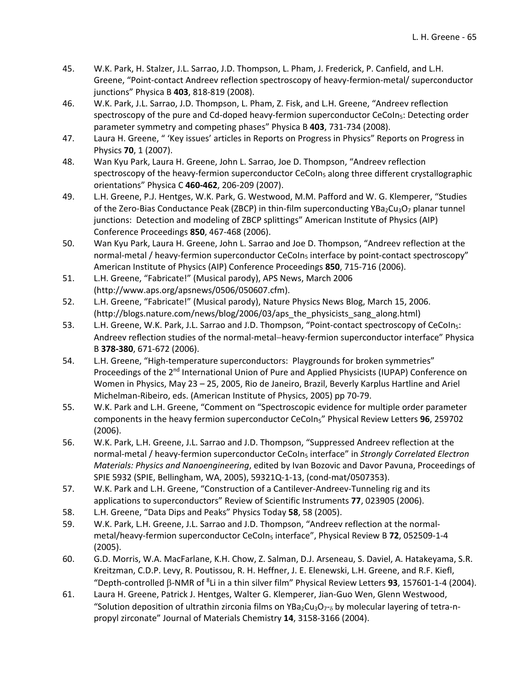- 45. W.K. Park, H. Stalzer, J.L. Sarrao, J.D. Thompson, L. Pham, J. Frederick, P. Canfield, and L.H. Greene, "Point‐contact Andreev reflection spectroscopy of heavy‐fermion‐metal/ superconductor junctions" Physica B **403**, 818‐819 (2008).
- 46. W.K. Park, J.L. Sarrao, J.D. Thompson, L. Pham, Z. Fisk, and L.H. Greene, "Andreev reflection spectroscopy of the pure and Cd-doped heavy-fermion superconductor CeCoIn<sub>5</sub>: Detecting order parameter symmetry and competing phases" Physica B **403**, 731‐734 (2008).
- 47. Laura H. Greene, " 'Key issues' articles in Reports on Progress in Physics" Reports on Progress in Physics **70**, 1 (2007).
- 48. Wan Kyu Park, Laura H. Greene, John L. Sarrao, Joe D. Thompson, "Andreev reflection spectroscopy of the heavy-fermion superconductor CeCoIn<sub>5</sub> along three different crystallographic orientations" Physica C **460‐462**, 206‐209 (2007).
- 49. L.H. Greene, P.J. Hentges, W.K. Park, G. Westwood, M.M. Pafford and W. G. Klemperer, "Studies of the Zero-Bias Conductance Peak (ZBCP) in thin-film superconducting YBa<sub>2</sub>Cu<sub>3</sub>O<sub>7</sub> planar tunnel junctions: Detection and modeling of ZBCP splittings" American Institute of Physics (AIP) Conference Proceedings **850**, 467‐468 (2006).
- 50. Wan Kyu Park, Laura H. Greene, John L. Sarrao and Joe D. Thompson, "Andreev reflection at the normal-metal / heavy-fermion superconductor CeCoIn<sub>5</sub> interface by point-contact spectroscopy" American Institute of Physics (AIP) Conference Proceedings **850**, 715‐716 (2006).
- 51. L.H. Greene, "Fabricate!" (Musical parody), APS News, March 2006 (http://www.aps.org/apsnews/0506/050607.cfm).
- 52. L.H. Greene, "Fabricate!" (Musical parody), Nature Physics News Blog, March 15, 2006. (http://blogs.nature.com/news/blog/2006/03/aps\_the\_physicists\_sang\_along.html)
- 53. L.H. Greene, W.K. Park, J.L. Sarrao and J.D. Thompson, "Point‐contact spectroscopy of CeCoIn5: Andreev reflection studies of the normal-metal–heavy-fermion superconductor interface" Physica B **378‐380**, 671‐672 (2006).
- 54. L.H. Greene, "High-temperature superconductors: Playgrounds for broken symmetries" Proceedings of the 2<sup>nd</sup> International Union of Pure and Applied Physicists (IUPAP) Conference on Women in Physics, May 23 – 25, 2005, Rio de Janeiro, Brazil, Beverly Karplus Hartline and Ariel Michelman‐Ribeiro, eds. (American Institute of Physics, 2005) pp 70‐79.
- 55. W.K. Park and L.H. Greene, "Comment on "Spectroscopic evidence for multiple order parameter components in the heavy fermion superconductor CeCoIn5" Physical Review Letters **96**, 259702 (2006).
- 56. W.K. Park, L.H. Greene, J.L. Sarrao and J.D. Thompson, "Suppressed Andreev reflection at the normal‐metal / heavy‐fermion superconductor CeCoIn5 interface" in *Strongly Correlated Electron Materials: Physics and Nanoengineering*, edited by Ivan Bozovic and Davor Pavuna, Proceedings of SPIE 5932 (SPIE, Bellingham, WA, 2005), 59321Q‐1‐13, (cond‐mat/0507353).
- 57. W.K. Park and L.H. Greene, "Construction of a Cantilever-Andreev-Tunneling rig and its applications to superconductors" Review of Scientific Instruments **77**, 023905 (2006).
- 58. L.H. Greene, "Data Dips and Peaks" Physics Today **58**, 58 (2005).
- 59. W.K. Park, L.H. Greene, J.L. Sarrao and J.D. Thompson, "Andreev reflection at the normalmetal/heavy-fermion superconductor CeCoIn<sub>5</sub> interface", Physical Review B 72, 052509-1-4 (2005).
- 60. G.D. Morris, W.A. MacFarlane, K.H. Chow, Z. Salman, D.J. Arseneau, S. Daviel, A. Hatakeyama, S.R. Kreitzman, C.D.P. Levy, R. Poutissou, R. H. Heffner, J. E. Elenewski, L.H. Greene, and R.F. Kiefl, "Depth‐controlled ‐NMR of <sup>8</sup> Li in a thin silver film" Physical Review Letters **93**, 157601‐1‐4 (2004).
- 61. Laura H. Greene, Patrick J. Hentges, Walter G. Klemperer, Jian‐Guo Wen, Glenn Westwood, "Solution deposition of ultrathin zirconia films on YBa<sub>2</sub>Cu<sub>3</sub>O<sub>7</sub>-<sub>8</sub> by molecular layering of tetra-npropyl zirconate" Journal of Materials Chemistry **14**, 3158‐3166 (2004).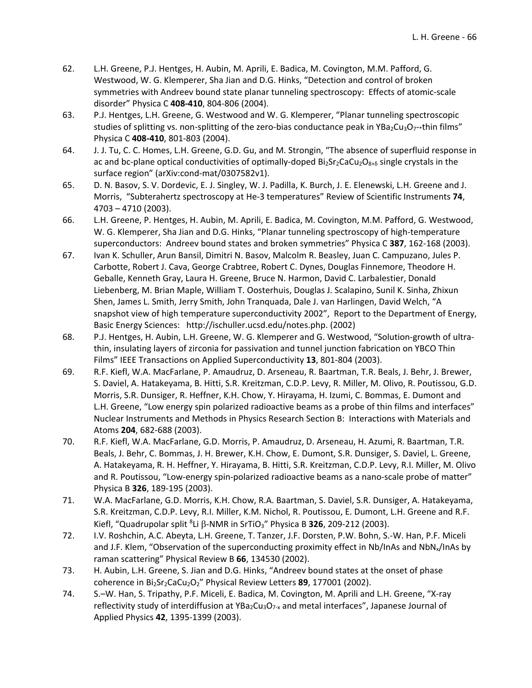- 62. L.H. Greene, P.J. Hentges, H. Aubin, M. Aprili, E. Badica, M. Covington, M.M. Pafford, G. Westwood, W. G. Klemperer, Sha Jian and D.G. Hinks, "Detection and control of broken symmetries with Andreev bound state planar tunneling spectroscopy: Effects of atomic-scale disorder" Physica C **408‐410**, 804‐806 (2004).
- 63. P.J. Hentges, L.H. Greene, G. Westwood and W. G. Klemperer, "Planar tunneling spectroscopic studies of splitting vs. non-splitting of the zero-bias conductance peak in YBa<sub>2</sub>Cu<sub>3</sub>O<sub>7</sub> \*thin films" Physica C **408‐410**, 801‐803 (2004).
- 64. J. J. Tu, C. C. Homes, L.H. Greene, G.D. Gu, and M. Strongin, "The absence of superfluid response in ac and bc-plane optical conductivities of optimally-doped Bi<sub>2</sub>Sr<sub>2</sub>CaCu<sub>2</sub>O<sub>8+δ</sub> single crystals in the surface region" (arXiv:cond‐mat/0307582v1).
- 65. D. N. Basov, S. V. Dordevic, E. J. Singley, W. J. Padilla, K. Burch, J. E. Elenewski, L.H. Greene and J. Morris, "Subterahertz spectroscopy at He‐3 temperatures" Review of Scientific Instruments **74**, 4703 – 4710 (2003).
- 66. L.H. Greene, P. Hentges, H. Aubin, M. Aprili, E. Badica, M. Covington, M.M. Pafford, G. Westwood, W. G. Klemperer, Sha Jian and D.G. Hinks, "Planar tunneling spectroscopy of high-temperature superconductors: Andreev bound states and broken symmetries" Physica C **387**, 162‐168 (2003).
- 67. Ivan K. Schuller, Arun Bansil, Dimitri N. Basov, Malcolm R. Beasley, Juan C. Campuzano, Jules P. Carbotte, Robert J. Cava, George Crabtree, Robert C. Dynes, Douglas Finnemore, Theodore H. Geballe, Kenneth Gray, Laura H. Greene, Bruce N. Harmon, David C. Larbalestier, Donald Liebenberg, M. Brian Maple, William T. Oosterhuis, Douglas J. Scalapino, Sunil K. Sinha, Zhixun Shen, James L. Smith, Jerry Smith, John Tranquada, Dale J. van Harlingen, David Welch, "A snapshot view of high temperature superconductivity 2002", Report to the Department of Energy, Basic Energy Sciences: http://ischuller.ucsd.edu/notes.php. (2002)
- 68. P.J. Hentges, H. Aubin, L.H. Greene, W. G. Klemperer and G. Westwood, "Solution‐growth of ultra‐ thin, insulating layers of zirconia for passivation and tunnel junction fabrication on YBCO Thin Films" IEEE Transactions on Applied Superconductivity **13**, 801‐804 (2003).
- 69. R.F. Kiefl, W.A. MacFarlane, P. Amaudruz, D. Arseneau, R. Baartman, T.R. Beals, J. Behr, J. Brewer, S. Daviel, A. Hatakeyama, B. Hitti, S.R. Kreitzman, C.D.P. Levy, R. Miller, M. Olivo, R. Poutissou, G.D. Morris, S.R. Dunsiger, R. Heffner, K.H. Chow, Y. Hirayama, H. Izumi, C. Bommas, E. Dumont and L.H. Greene, "Low energy spin polarized radioactive beams as a probe of thin films and interfaces" Nuclear Instruments and Methods in Physics Research Section B: Interactions with Materials and Atoms **204**, 682‐688 (2003).
- 70. R.F. Kiefl, W.A. MacFarlane, G.D. Morris, P. Amaudruz, D. Arseneau, H. Azumi, R. Baartman, T.R. Beals, J. Behr, C. Bommas, J. H. Brewer, K.H. Chow, E. Dumont, S.R. Dunsiger, S. Daviel, L. Greene, A. Hatakeyama, R. H. Heffner, Y. Hirayama, B. Hitti, S.R. Kreitzman, C.D.P. Levy, R.I. Miller, M. Olivo and R. Poutissou, "Low-energy spin-polarized radioactive beams as a nano-scale probe of matter" Physica B **326**, 189‐195 (2003).
- 71. W.A. MacFarlane, G.D. Morris, K.H. Chow, R.A. Baartman, S. Daviel, S.R. Dunsiger, A. Hatakeyama, S.R. Kreitzman, C.D.P. Levy, R.I. Miller, K.M. Nichol, R. Poutissou, E. Dumont, L.H. Greene and R.F. Kiefl, "Quadrupolar split <sup>8</sup>Li β-NMR in SrTiO<sub>3</sub>" Physica B 326, 209-212 (2003).
- 72. I.V. Roshchin, A.C. Abeyta, L.H. Greene, T. Tanzer, J.F. Dorsten, P.W. Bohn, S.‐W. Han, P.F. Miceli and J.F. Klem, "Observation of the superconducting proximity effect in Nb/InAs and NbN<sub>x</sub>/InAs by raman scattering" Physical Review B **66**, 134530 (2002).
- 73. H. Aubin, L.H. Greene, S. Jian and D.G. Hinks, "Andreev bound states at the onset of phase coherence in Bi<sub>2</sub>Sr<sub>2</sub>CaCu<sub>2</sub>O<sub>2</sub>" Physical Review Letters 89, 177001 (2002).
- 74. S.–W. Han, S. Tripathy, P.F. Miceli, E. Badica, M. Covington, M. Aprili and L.H. Greene, "X‐ray reflectivity study of interdiffusion at YBa<sub>2</sub>Cu<sub>3</sub>O<sub>7-x</sub> and metal interfaces", Japanese Journal of Applied Physics **42**, 1395‐1399 (2003).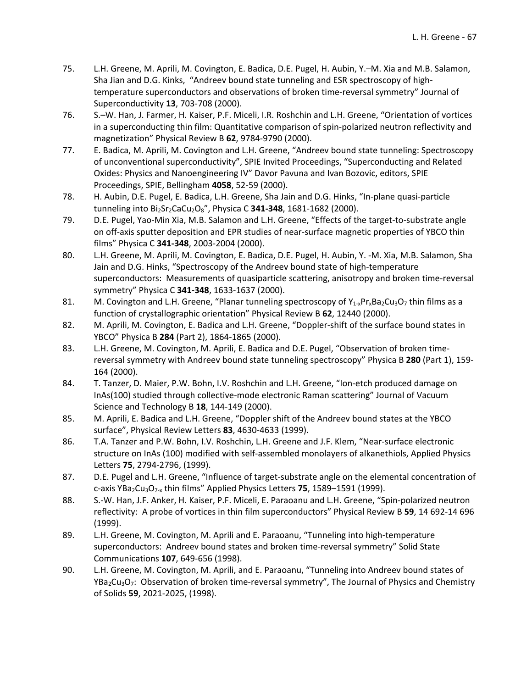- 75. L.H. Greene, M. Aprili, M. Covington, E. Badica, D.E. Pugel, H. Aubin, Y.–M. Xia and M.B. Salamon, Sha Jian and D.G. Kinks, "Andreev bound state tunneling and ESR spectroscopy of high‐ temperature superconductors and observations of broken time‐reversal symmetry" Journal of Superconductivity **13**, 703‐708 (2000).
- 76. S.–W. Han, J. Farmer, H. Kaiser, P.F. Miceli, I.R. Roshchin and L.H. Greene, "Orientation of vortices in a superconducting thin film: Quantitative comparison of spin-polarized neutron reflectivity and magnetization" Physical Review B **62**, 9784‐9790 (2000).
- 77. E. Badica, M. Aprili, M. Covington and L.H. Greene, "Andreev bound state tunneling: Spectroscopy of unconventional superconductivity", SPIE Invited Proceedings, "Superconducting and Related Oxides: Physics and Nanoengineering IV" Davor Pavuna and Ivan Bozovic, editors, SPIE Proceedings, SPIE, Bellingham **4058**, 52‐59 (2000).
- 78. H. Aubin, D.E. Pugel, E. Badica, L.H. Greene, Sha Jain and D.G. Hinks, "In‐plane quasi‐particle tunneling into Bi2Sr2CaCu2O8", Physica C **341‐348**, 1681‐1682 (2000).
- 79. D.E. Pugel, Yao-Min Xia, M.B. Salamon and L.H. Greene, "Effects of the target-to-substrate angle on off‐axis sputter deposition and EPR studies of near‐surface magnetic properties of YBCO thin films" Physica C **341‐348**, 2003‐2004 (2000).
- 80. L.H. Greene, M. Aprili, M. Covington, E. Badica, D.E. Pugel, H. Aubin, Y. ‐M. Xia, M.B. Salamon, Sha Jain and D.G. Hinks, "Spectroscopy of the Andreev bound state of high‐temperature superconductors: Measurements of quasiparticle scattering, anisotropy and broken time-reversal symmetry" Physica C **341‐348**, 1633‐1637 (2000).
- 81. M. Covington and L.H. Greene, "Planar tunneling spectroscopy of  $Y_{1-x}Pr_xBa_2Cu_3O_7$  thin films as a function of crystallographic orientation" Physical Review B **62**, 12440 (2000).
- 82. M. Aprili, M. Covington, E. Badica and L.H. Greene, "Doppler-shift of the surface bound states in YBCO" Physica B **284** (Part 2), 1864‐1865 (2000).
- 83. L.H. Greene, M. Covington, M. Aprili, E. Badica and D.E. Pugel, "Observation of broken timereversal symmetry with Andreev bound state tunneling spectroscopy" Physica B **280** (Part 1), 159‐ 164 (2000).
- 84. T. Tanzer, D. Maier, P.W. Bohn, I.V. Roshchin and L.H. Greene, "Ion-etch produced damage on InAs(100) studied through collective‐mode electronic Raman scattering" Journal of Vacuum Science and Technology B **18**, 144‐149 (2000).
- 85. M. Aprili, E. Badica and L.H. Greene, "Doppler shift of the Andreev bound states at the YBCO surface", Physical Review Letters **83**, 4630‐4633 (1999).
- 86. T.A. Tanzer and P.W. Bohn, I.V. Roshchin, L.H. Greene and J.F. Klem, "Near‐surface electronic structure on InAs (100) modified with self‐assembled monolayers of alkanethiols, Applied Physics Letters **75**, 2794‐2796, (1999).
- 87. D.E. Pugel and L.H. Greene, "Influence of target-substrate angle on the elemental concentration of c‐axis YBa2Cu3O7‐<sup>x</sup> thin films" Applied Physics Letters **75**, 1589–1591 (1999).
- 88. S.-W. Han, J.F. Anker, H. Kaiser, P.F. Miceli, E. Paraoanu and L.H. Greene, "Spin-polarized neutron reflectivity: A probe of vortices in thin film superconductors" Physical Review B **59**, 14 692‐14 696 (1999).
- 89. L.H. Greene, M. Covington, M. Aprili and E. Paraoanu, "Tunneling into high-temperature superconductors: Andreev bound states and broken time-reversal symmetry" Solid State Communications **107**, 649‐656 (1998).
- 90. L.H. Greene, M. Covington, M. Aprili, and E. Paraoanu, "Tunneling into Andreev bound states of YBa<sub>2</sub>Cu<sub>3</sub>O<sub>7</sub>: Observation of broken time-reversal symmetry", The Journal of Physics and Chemistry of Solids **59**, 2021‐2025, (1998).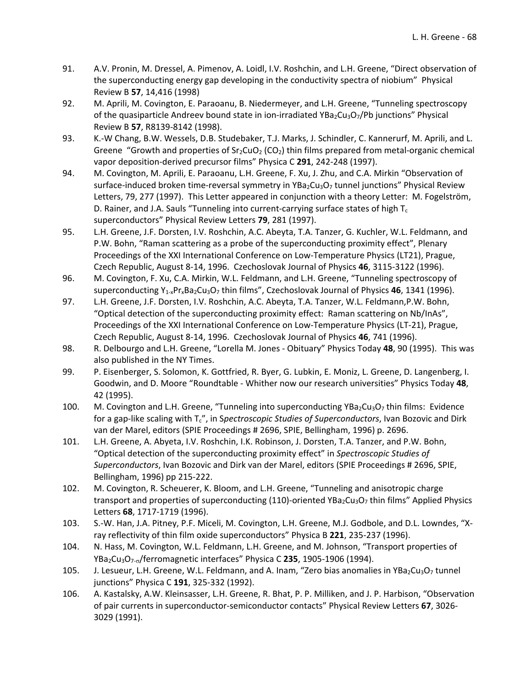- 91. A.V. Pronin, M. Dressel, A. Pimenov, A. Loidl, I.V. Roshchin, and L.H. Greene, "Direct observation of the superconducting energy gap developing in the conductivity spectra of niobium" Physical Review B **57**, 14,416 (1998)
- 92. M. Aprili, M. Covington, E. Paraoanu, B. Niedermeyer, and L.H. Greene, "Tunneling spectroscopy of the quasiparticle Andreev bound state in ion-irradiated YBa<sub>2</sub>Cu<sub>3</sub>O<sub>7</sub>/Pb junctions" Physical Review B **57**, R8139‐8142 (1998).
- 93. K.-W Chang, B.W. Wessels, D.B. Studebaker, T.J. Marks, J. Schindler, C. Kannerurf, M. Aprili, and L. Greene "Growth and properties of  $Sr_2CuO_2$  (CO<sub>2</sub>) thin films prepared from metal-organic chemical vapor deposition‐derived precursor films" Physica C **291**, 242‐248 (1997).
- 94. M. Covington, M. Aprili, E. Paraoanu, L.H. Greene, F. Xu, J. Zhu, and C.A. Mirkin "Observation of surface-induced broken time-reversal symmetry in YBa<sub>2</sub>Cu<sub>3</sub>O<sub>7</sub> tunnel junctions" Physical Review Letters, 79, 277 (1997). This Letter appeared in conjunction with a theory Letter: M. Fogelström, D. Rainer, and J.A. Sauls "Tunneling into current-carrying surface states of high  $T_c$ superconductors" Physical Review Letters **79**, 281 (1997).
- 95. L.H. Greene, J.F. Dorsten, I.V. Roshchin, A.C. Abeyta, T.A. Tanzer, G. Kuchler, W.L. Feldmann, and P.W. Bohn, "Raman scattering as a probe of the superconducting proximity effect", Plenary Proceedings of the XXI International Conference on Low‐Temperature Physics (LT21), Prague, Czech Republic, August 8‐14, 1996. Czechoslovak Journal of Physics **46**, 3115‐3122 (1996).
- 96. M. Covington, F. Xu, C.A. Mirkin, W.L. Feldmann, and L.H. Greene, "Tunneling spectroscopy of superconducting Y<sub>1</sub><sub>x</sub>Pr<sub>x</sub>Ba<sub>2</sub>Cu<sub>3</sub>O<sub>7</sub> thin films", Czechoslovak Journal of Physics 46, 1341 (1996).
- 97. L.H. Greene, J.F. Dorsten, I.V. Roshchin, A.C. Abeyta, T.A. Tanzer, W.L. Feldmann,P.W. Bohn, "Optical detection of the superconducting proximity effect: Raman scattering on Nb/InAs", Proceedings of the XXI International Conference on Low‐Temperature Physics (LT‐21), Prague, Czech Republic, August 8‐14, 1996. Czechoslovak Journal of Physics **46**, 741 (1996).
- 98. R. Delbourgo and L.H. Greene, "Lorella M. Jones ‐ Obituary" Physics Today **48**, 90 (1995). This was also published in the NY Times.
- 99. P. Eisenberger, S. Solomon, K. Gottfried, R. Byer, G. Lubkin, E. Moniz, L. Greene, D. Langenberg, I. Goodwin, and D. Moore "Roundtable ‐ Whither now our research universities" Physics Today **48**, 42 (1995).
- 100. M. Covington and L.H. Greene, "Tunneling into superconducting  $YBa_2Cu_3O_7$  thin films: Evidence for a gap‐like scaling with Tc", in S*pectroscopic Studies of Superconductors*, Ivan Bozovic and Dirk van der Marel, editors (SPIE Proceedings # 2696, SPIE, Bellingham, 1996) p. 2696.
- 101. L.H. Greene, A. Abyeta, I.V. Roshchin, I.K. Robinson, J. Dorsten, T.A. Tanzer, and P.W. Bohn, "Optical detection of the superconducting proximity effect" in *Spectroscopic Studies of Superconductors*, Ivan Bozovic and Dirk van der Marel, editors (SPIE Proceedings # 2696, SPIE, Bellingham, 1996) pp 215‐222.
- 102. M. Covington, R. Scheuerer, K. Bloom, and L.H. Greene, "Tunneling and anisotropic charge transport and properties of superconducting (110)-oriented YBa<sub>2</sub>Cu<sub>3</sub>O<sub>7</sub> thin films" Applied Physics Letters **68**, 1717‐1719 (1996).
- 103. S.‐W. Han, J.A. Pitney, P.F. Miceli, M. Covington, L.H. Greene, M.J. Godbole, and D.L. Lowndes, "X‐ ray reflectivity of thin film oxide superconductors" Physica B **221**, 235‐237 (1996).
- 104. N. Hass, M. Covington, W.L. Feldmann, L.H. Greene, and M. Johnson, "Transport properties of YBa<sub>2</sub>Cu<sub>3</sub>O<sub>7-o</sub>/ferromagnetic interfaces" Physica C 235, 1905-1906 (1994).
- 105. J. Lesueur, L.H. Greene, W.L. Feldmann, and A. Inam, "Zero bias anomalies in YBa<sub>2</sub>Cu<sub>3</sub>O<sub>7</sub> tunnel junctions" Physica C **191**, 325‐332 (1992).
- 106. A. Kastalsky, A.W. Kleinsasser, L.H. Greene, R. Bhat, P. P. Milliken, and J. P. Harbison, "Observation of pair currents in superconductor‐semiconductor contacts" Physical Review Letters **67**, 3026‐ 3029 (1991).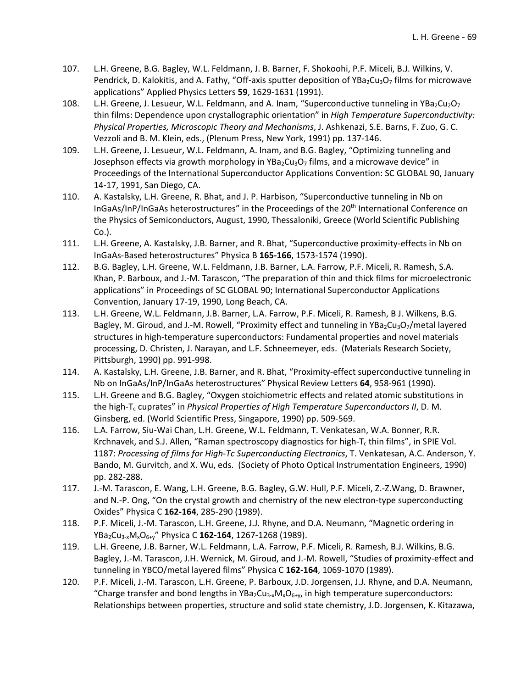- 107. L.H. Greene, B.G. Bagley, W.L. Feldmann, J. B. Barner, F. Shokoohi, P.F. Miceli, B.J. Wilkins, V. Pendrick, D. Kalokitis, and A. Fathy, "Off-axis sputter deposition of YBa<sub>2</sub>Cu<sub>3</sub>O<sub>7</sub> films for microwave applications" Applied Physics Letters **59**, 1629‐1631 (1991).
- 108. L.H. Greene, J. Lesueur, W.L. Feldmann, and A. Inam, "Superconductive tunneling in YBa<sub>2</sub>Cu<sub>2</sub>O<sub>7</sub> thin films: Dependence upon crystallographic orientation" in *High Temperature Superconductivity: Physical Properties, Microscopic Theory and Mechanisms*, J. Ashkenazi, S.E. Barns, F. Zuo, G. C. Vezzoli and B. M. Klein, eds., (Plenum Press, New York, 1991) pp. 137‐146.
- 109. L.H. Greene, J. Lesueur, W.L. Feldmann, A. Inam, and B.G. Bagley, "Optimizing tunneling and Josephson effects via growth morphology in  $YBa_2Cu_3O_7$  films, and a microwave device" in Proceedings of the International Superconductor Applications Convention: SC GLOBAL 90, January 14‐17, 1991, San Diego, CA.
- 110. A. Kastalsky, L.H. Greene, R. Bhat, and J. P. Harbison, "Superconductive tunneling in Nb on InGaAs/InP/InGaAs heterostructures" in the Proceedings of the 20<sup>th</sup> International Conference on the Physics of Semiconductors, August, 1990, Thessaloniki, Greece (World Scientific Publishing Co.).
- 111. L.H. Greene, A. Kastalsky, J.B. Barner, and R. Bhat, "Superconductive proximity‐effects in Nb on InGaAs‐Based heterostructures" Physica B **165‐166**, 1573‐1574 (1990).
- 112. B.G. Bagley, L.H. Greene, W.L. Feldmann, J.B. Barner, L.A. Farrow, P.F. Miceli, R. Ramesh, S.A. Khan, P. Barboux, and J.‐M. Tarascon, "The preparation of thin and thick films for microelectronic applications" in Proceedings of SC GLOBAL 90; International Superconductor Applications Convention, January 17‐19, 1990, Long Beach, CA.
- 113. L.H. Greene, W.L. Feldmann, J.B. Barner, L.A. Farrow, P.F. Miceli, R. Ramesh, B J. Wilkens, B.G. Bagley, M. Giroud, and J.-M. Rowell, "Proximity effect and tunneling in YBa2Cu3O7/metal layered structures in high‐temperature superconductors: Fundamental properties and novel materials processing, D. Christen, J. Narayan, and L.F. Schneemeyer, eds. (Materials Research Society, Pittsburgh, 1990) pp. 991‐998.
- 114. A. Kastalsky, L.H. Greene, J.B. Barner, and R. Bhat, "Proximity-effect superconductive tunneling in Nb on InGaAs/InP/InGaAs heterostructures" Physical Review Letters **64**, 958‐961 (1990).
- 115. L.H. Greene and B.G. Bagley, "Oxygen stoichiometric effects and related atomic substitutions in the high‐Tc cuprates" in *Physical Properties of High Temperature Superconductors II*, D. M. Ginsberg, ed. (World Scientific Press, Singapore, 1990) pp. 509‐569.
- 116. L.A. Farrow, Siu‐Wai Chan, L.H. Greene, W.L. Feldmann, T. Venkatesan, W.A. Bonner, R.R. Krchnavek, and S.J. Allen, "Raman spectroscopy diagnostics for high- $T_c$  thin films", in SPIE Vol. 1187: *Processing of films for High‐Tc Superconducting Electronics*, T. Venkatesan, A.C. Anderson, Y. Bando, M. Gurvitch, and X. Wu, eds. (Society of Photo Optical Instrumentation Engineers, 1990) pp. 282‐288.
- 117. J.‐M. Tarascon, E. Wang, L.H. Greene, B.G. Bagley, G.W. Hull, P.F. Miceli, Z.‐Z.Wang, D. Brawner, and N.-P. Ong, "On the crystal growth and chemistry of the new electron-type superconducting Oxides" Physica C **162‐164**, 285‐290 (1989).
- 118. P.F. Miceli, J.-M. Tarascon, L.H. Greene, J.J. Rhyne, and D.A. Neumann, "Magnetic ordering in YBa2Cu3‐xMxO6+y" Physica C **162‐164**, 1267‐1268 (1989).
- 119. L.H. Greene, J.B. Barner, W.L. Feldmann, L.A. Farrow, P.F. Miceli, R. Ramesh, B.J. Wilkins, B.G. Bagley, J.-M. Tarascon, J.H. Wernick, M. Giroud, and J.-M. Rowell, "Studies of proximity-effect and tunneling in YBCO/metal layered films" Physica C **162‐164**, 1069‐1070 (1989).
- 120. P.F. Miceli, J.-M. Tarascon, L.H. Greene, P. Barboux, J.D. Jorgensen, J.J. Rhyne, and D.A. Neumann, "Charge transfer and bond lengths in YBa<sub>2</sub>Cu<sub>3</sub><sub>x</sub>M<sub>x</sub>O<sub>6+y</sub>, in high temperature superconductors: Relationships between properties, structure and solid state chemistry, J.D. Jorgensen, K. Kitazawa,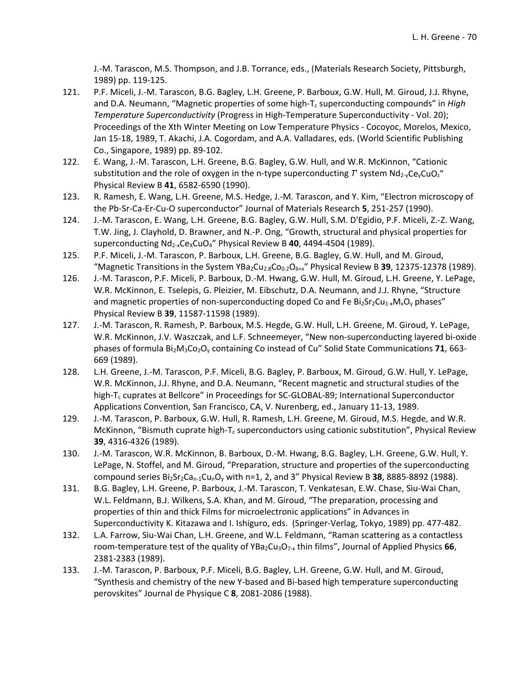J.‐M. Tarascon, M.S. Thompson, and J.B. Torrance, eds., (Materials Research Society, Pittsburgh, 1989) pp. 119‐125.

- 121. P.F. Miceli, J.-M. Tarascon, B.G. Bagley, L.H. Greene, P. Barboux, G.W. Hull, M. Giroud, J.J. Rhyne, and D.A. Neumann, "Magnetic properties of some high-T<sub>c</sub> superconducting compounds" in *High Temperature Superconductivity* (Progress in High‐Temperature Superconductivity ‐ Vol. 20); Proceedings of the Xth Winter Meeting on Low Temperature Physics ‐ Cocoyoc, Morelos, Mexico, Jan 15-18, 1989, T. Akachi, J.A. Cogordam, and A.A. Valladares, eds. (World Scientific Publishing Co., Singapore, 1989) pp. 89‐102.
- 122. E. Wang, J.‐M. Tarascon, L.H. Greene, B.G. Bagley, G.W. Hull, and W.R. McKinnon, "Cationic substitution and the role of oxygen in the n-type superconducting T' system Nd<sub>2</sub><sub>v</sub>Ce<sub>v</sub>CuO<sub>z</sub>" Physical Review B **41**, 6582‐6590 (1990).
- 123. R. Ramesh, E. Wang, L.H. Greene, M.S. Hedge, J.‐M. Tarascon, and Y. Kim, "Electron microscopy of the Pb‐Sr‐Ca‐Er‐Cu‐O superconductor" Journal of Materials Research **5**, 251‐257 (1990).
- 124. J.‐M. Tarascon, E. Wang, L.H. Greene, B.G. Bagley, G.W. Hull, S.M. D'Egidio, P.F. Miceli, Z.‐Z. Wang, T.W. Jing, J. Clayhold, D. Brawner, and N.‐P. Ong, "Growth, structural and physical properties for superconducting Nd<sub>2-x</sub>Ce<sub>x</sub>CuO<sub>4</sub>" Physical Review B 40, 4494-4504 (1989).
- 125. P.F. Miceli, J.‐M. Tarascon, P. Barboux, L.H. Greene, B.G. Bagley, G.W. Hull, and M. Giroud, "Magnetic Transitions in the System YBa<sub>2</sub>Cu<sub>2.8</sub>Co<sub>0.2</sub>O<sub>6+x</sub>" Physical Review B 39, 12375-12378 (1989).
- 126. J.‐M. Tarascon, P.F. Miceli, P. Barboux, D.‐M. Hwang, G.W. Hull, M. Giroud, L.H. Greene, Y. LePage, W.R. McKinnon, E. Tselepis, G. Pleizier, M. Eibschutz, D.A. Neumann, and J.J. Rhyne, "Structure and magnetic properties of non-superconducting doped Co and Fe  $Bi_2Sr_2Cu_{1-x}M_xO_y$  phases" Physical Review B **39**, 11587‐11598 (1989).
- 127. J.‐M. Tarascon, R. Ramesh, P. Barboux, M.S. Hegde, G.W. Hull, L.H. Greene, M. Giroud, Y. LePage, W.R. McKinnon, J.V. Waszczak, and L.F. Schneemeyer, "New non‐superconducting layered bi‐oxide phases of formula Bi<sub>2</sub>M<sub>3</sub>Co<sub>2</sub>O<sub>y</sub> containing Co instead of Cu" Solid State Communications 71, 663-669 (1989).
- 128. L.H. Greene, J.‐M. Tarascon, P.F. Miceli, B.G. Bagley, P. Barboux, M. Giroud, G.W. Hull, Y. LePage, W.R. McKinnon, J.J. Rhyne, and D.A. Neumann, "Recent magnetic and structural studies of the high-T<sub>c</sub> cuprates at Bellcore" in Proceedings for SC-GLOBAL-89; International Superconductor Applications Convention, San Francisco, CA, V. Nurenberg, ed., January 11‐13, 1989.
- 129. J.-M. Tarascon, P. Barboux, G.W. Hull, R. Ramesh, L.H. Greene, M. Giroud, M.S. Hegde, and W.R. McKinnon, "Bismuth cuprate high- $T_c$  superconductors using cationic substitution", Physical Review **39**, 4316‐4326 (1989).
- 130. J.‐M. Tarascon, W.R. McKinnon, B. Barboux, D.‐M. Hwang, B.G. Bagley, L.H. Greene, G.W. Hull, Y. LePage, N. Stoffel, and M. Giroud, "Preparation, structure and properties of the superconducting compound series Bi<sub>2</sub>Sr<sub>2</sub>Ca<sub>n-1</sub>Cu<sub>n</sub>O<sub>y</sub> with n=1, 2, and 3" Physical Review B 38, 8885-8892 (1988).
- 131. B.G. Bagley, L.H. Greene, P. Barboux, J.‐M. Tarascon, T. Venkatesan, E.W. Chase, Siu‐Wai Chan, W.L. Feldmann, B.J. Wilkens, S.A. Khan, and M. Giroud, "The preparation, processing and properties of thin and thick Films for microelectronic applications" in Advances in Superconductivity K. Kitazawa and I. Ishiguro, eds. (Springer‐Verlag, Tokyo, 1989) pp. 477‐482.
- 132. L.A. Farrow, Siu‐Wai Chan, L.H. Greene, and W.L. Feldmann, "Raman scattering as a contactless room-temperature test of the quality of YBa<sub>2</sub>Cu<sub>3</sub>O<sub>7</sub><sub>x</sub> thin films", Journal of Applied Physics 66, 2381‐2383 (1989).
- 133. J.‐M. Tarascon, P. Barboux, P.F. Miceli, B.G. Bagley, L.H. Greene, G.W. Hull, and M. Giroud, "Synthesis and chemistry of the new Y‐based and Bi‐based high temperature superconducting perovskites" Journal de Physique C **8**, 2081‐2086 (1988).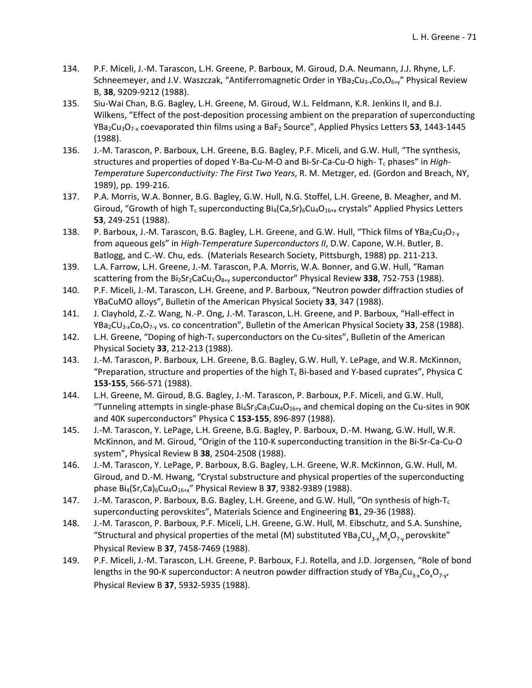- 134. P.F. Miceli, J.‐M. Tarascon, L.H. Greene, P. Barboux, M. Giroud, D.A. Neumann, J.J. Rhyne, L.F. Schneemeyer, and J.V. Waszczak, "Antiferromagnetic Order in YBa2Cu3-xCoxO6+y" Physical Review B, **38**, 9209‐9212 (1988).
- 135. Siu‐Wai Chan, B.G. Bagley, L.H. Greene, M. Giroud, W.L. Feldmann, K.R. Jenkins II, and B.J. Wilkens, "Effect of the post-deposition processing ambient on the preparation of superconducting YBa2Cu3O7‐<sup>x</sup> coevaporated thin films using a BaF2 Source", Applied Physics Letters **53**, 1443‐1445 (1988).
- 136. J.-M. Tarascon, P. Barboux, L.H. Greene, B.G. Bagley, P.F. Miceli, and G.W. Hull, "The synthesis, structures and properties of doped Y‐Ba‐Cu‐M‐O and Bi‐Sr‐Ca‐Cu‐O high‐ Tc phases" in *High‐ Temperature Superconductivity: The First Two Years*, R. M. Metzger, ed. (Gordon and Breach, NY, 1989), pp. 199‐216.
- 137. P.A. Morris, W.A. Bonner, B.G. Bagley, G.W. Hull, N.G. Stoffel, L.H. Greene, B. Meagher, and M. Giroud, "Growth of high T<sub>c</sub> superconducting  $Bi_4(Ca,Sr)_{6}Cu_4O_{16+x}$  crystals" Applied Physics Letters **53**, 249‐251 (1988).
- 138. P. Barboux, J.-M. Tarascon, B.G. Bagley, L.H. Greene, and G.W. Hull, "Thick films of YBa<sub>2</sub>Cu<sub>3</sub>O<sub>7-v</sub> from aqueous gels" in *High‐Temperature Superconductors II*, D.W. Capone, W.H. Butler, B. Batlogg, and C.‐W. Chu, eds. (Materials Research Society, Pittsburgh, 1988) pp. 211‐213.
- 139. L.A. Farrow, L.H. Greene, J.‐M. Tarascon, P.A. Morris, W.A. Bonner, and G.W. Hull, "Raman scattering from the Bi2Sr2CaCu2O8+y superconductor" Physical Review **338**, 752‐753 (1988).
- 140. P.F. Miceli, J.-M. Tarascon, L.H. Greene, and P. Barboux, "Neutron powder diffraction studies of YBaCuMO alloys", Bulletin of the American Physical Society **33**, 347 (1988).
- 141. J. Clayhold, Z.-Z. Wang, N.-P. Ong, J.-M. Tarascon, L.H. Greene, and P. Barboux, "Hall-effect in YBa2CU3‐xCoxO7‐<sup>y</sup> vs. co concentration", Bulletin of the American Physical Society **33**, 258 (1988).
- 142. L.H. Greene, "Doping of high-T<sub>c</sub> superconductors on the Cu-sites", Bulletin of the American Physical Society **33**, 212‐213 (1988).
- 143. J.‐M. Tarascon, P. Barboux, L.H. Greene, B.G. Bagley, G.W. Hull, Y. LePage, and W.R. McKinnon, "Preparation, structure and properties of the high  $T_c$  Bi-based and Y-based cuprates", Physica C **153‐155**, 566‐571 (1988).
- 144. L.H. Greene, M. Giroud, B.G. Bagley, J.‐M. Tarascon, P. Barboux, P.F. Miceli, and G.W. Hull, "Tunneling attempts in single-phase  $Bi_4Sr_3Ca_3Cu_4O_{16+v}$  and chemical doping on the Cu-sites in 90K and 40K superconductors" Physica C **153‐155**, 896‐897 (1988).
- 145. J.‐M. Tarascon, Y. LePage, L.H. Greene, B.G. Bagley, P. Barboux, D.‐M. Hwang, G.W. Hull, W.R. McKinnon, and M. Giroud, "Origin of the 110‐K superconducting transition in the Bi‐Sr‐Ca‐Cu‐O system", Physical Review B **38**, 2504‐2508 (1988).
- 146. J.‐M. Tarascon, Y. LePage, P. Barboux, B.G. Bagley, L.H. Greene, W.R. McKinnon, G.W. Hull, M. Giroud, and D.‐M. Hwang, "Crystal substructure and physical properties of the superconducting phase Bi4(Sr,Ca)6Cu4O16+x" Physical Review B **37**, 9382‐9389 (1988).
- 147. J.-M. Tarascon, P. Barboux, B.G. Bagley, L.H. Greene, and G.W. Hull, "On synthesis of high-T<sub>c</sub> superconducting perovskites", Materials Science and Engineering **B1**, 29‐36 (1988).
- 148. J.‐M. Tarascon, P. Barboux, P.F. Miceli, L.H. Greene, G.W. Hull, M. Eibschutz, and S.A. Sunshine, "Structural and physical properties of the metal (M) substituted YBa<sub>2</sub>CU<sub>3</sub>. M<sub>x</sub>O<sub>7</sub>, perovskite" Physical Review B **37**, 7458‐7469 (1988).
- 149. P.F. Miceli, J.-M. Tarascon, L.H. Greene, P. Barboux, F.J. Rotella, and J.D. Jorgensen, "Role of bond lengths in the 90-K superconductor: A neutron powder diffraction study of YBa<sub>2</sub>Cu<sub>3-x</sub>Co<sub>x</sub>O<sub>7-v</sub>, Physical Review B **37**, 5932‐5935 (1988).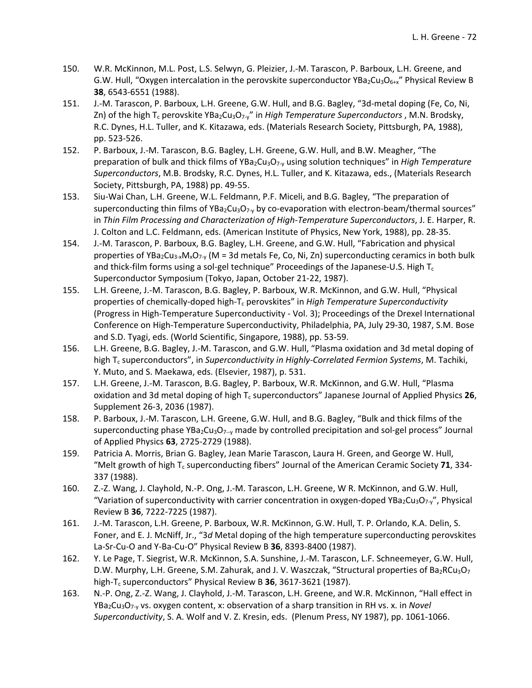- 150. W.R. McKinnon, M.L. Post, L.S. Selwyn, G. Pleizier, J.‐M. Tarascon, P. Barboux, L.H. Greene, and G.W. Hull, "Oxygen intercalation in the perovskite superconductor YBa<sub>2</sub>Cu<sub>3</sub>O<sub>6+x</sub>" Physical Review B **38**, 6543‐6551 (1988).
- 151. J.-M. Tarascon, P. Barboux, L.H. Greene, G.W. Hull, and B.G. Bagley, "3d-metal doping (Fe, Co, Ni, Zn) of the high T<sub>c</sub> perovskite YBa<sub>2</sub>Cu<sub>3</sub>O<sub>7</sub>.<sub>y</sub>" in *High Temperature Superconductors*, M.N. Brodsky, R.C. Dynes, H.L. Tuller, and K. Kitazawa, eds. (Materials Research Society, Pittsburgh, PA, 1988), pp. 523‐526.
- 152. P. Barboux, J.‐M. Tarascon, B.G. Bagley, L.H. Greene, G.W. Hull, and B.W. Meagher, "The preparation of bulk and thick films of YBa<sub>2</sub>Cu<sub>3</sub>O<sub>7</sub> using solution techniques" in *High Temperature Superconductors*, M.B. Brodsky, R.C. Dynes, H.L. Tuller, and K. Kitazawa, eds., (Materials Research Society, Pittsburgh, PA, 1988) pp. 49‐55.
- 153. Siu‐Wai Chan, L.H. Greene, W.L. Feldmann, P.F. Miceli, and B.G. Bagley, "The preparation of superconducting thin films of YBa<sub>2</sub>Cu<sub>3</sub>O<sub>7</sub><sub>y</sub> by co-evaporation with electron-beam/thermal sources" in *Thin Film Processing and Characterization of High‐Temperature Superconductors*, J. E. Harper, R. J. Colton and L.C. Feldmann, eds. (American Institute of Physics, New York, 1988), pp. 28‐35.
- 154. J.-M. Tarascon, P. Barboux, B.G. Bagley, L.H. Greene, and G.W. Hull, "Fabrication and physical properties of YBa<sub>2</sub>Cu<sub>3</sub><sub>x</sub>M<sub>x</sub>O<sub>7</sub><sub>-v</sub> (M = 3d metals Fe, Co, Ni, Zn) superconducting ceramics in both bulk and thick-film forms using a sol-gel technique" Proceedings of the Japanese-U.S. High  $T_c$ Superconductor Symposium (Tokyo, Japan, October 21‐22, 1987).
- 155. L.H. Greene, J.‐M. Tarascon, B.G. Bagley, P. Barboux, W.R. McKinnon, and G.W. Hull, "Physical properties of chemically‐doped high‐Tc perovskites" in *High Temperature Superconductivity* (Progress in High‐Temperature Superconductivity ‐ Vol. 3); Proceedings of the Drexel International Conference on High‐Temperature Superconductivity, Philadelphia, PA, July 29‐30, 1987, S.M. Bose and S.D. Tyagi, eds. (World Scientific, Singapore, 1988), pp. 53‐59.
- 156. L.H. Greene, B.G. Bagley, J.‐M. Tarascon, and G.W. Hull, "Plasma oxidation and 3d metal doping of high Tc superconductors", in *Superconductivity in Highly‐Correlated Fermion Systems*, M. Tachiki, Y. Muto, and S. Maekawa, eds. (Elsevier, 1987), p. 531.
- 157. L.H. Greene, J.‐M. Tarascon, B.G. Bagley, P. Barboux, W.R. McKinnon, and G.W. Hull, "Plasma oxidation and 3d metal doping of high T<sub>c</sub> superconductors" Japanese Journal of Applied Physics 26, Supplement 26‐3, 2036 (1987).
- 158. P. Barboux, J.‐M. Tarascon, L.H. Greene, G.W. Hull, and B.G. Bagley, "Bulk and thick films of the superconducting phase YBa<sub>2</sub>Cu<sub>3</sub>O<sub>7--y</sub> made by controlled precipitation and sol-gel process" Journal of Applied Physics **63**, 2725‐2729 (1988).
- 159. Patricia A. Morris, Brian G. Bagley, Jean Marie Tarascon, Laura H. Green, and George W. Hull, "Melt growth of high T<sub>c</sub> superconducting fibers" Journal of the American Ceramic Society 71, 334-337 (1988).
- 160. Z.‐Z. Wang, J. Clayhold, N.‐P. Ong, J.‐M. Tarascon, L.H. Greene, W R. McKinnon, and G.W. Hull, "Variation of superconductivity with carrier concentration in oxygen-doped YBa<sub>2</sub>Cu<sub>3</sub>O<sub>7</sub>-y", Physical Review B **36**, 7222‐7225 (1987).
- 161. J.‐M. Tarascon, L.H. Greene, P. Barboux, W.R. McKinnon, G.W. Hull, T. P. Orlando, K.A. Delin, S. Foner, and E. J. McNiff, Jr., "3*d* Metal doping of the high temperature superconducting perovskites La‐Sr‐Cu‐O and Y‐Ba‐Cu‐O" Physical Review B **36**, 8393‐8400 (1987).
- 162. Y. Le Page, T. Siegrist, W.R. McKinnon, S.A. Sunshine, J.‐M. Tarascon, L.F. Schneemeyer, G.W. Hull, D.W. Murphy, L.H. Greene, S.M. Zahurak, and J. V. Waszczak, "Structural properties of  $Ba_2RCu_3O_7$ high‐Tc superconductors" Physical Review B **36**, 3617‐3621 (1987).
- 163. N.‐P. Ong, Z.‐Z. Wang, J. Clayhold, J.‐M. Tarascon, L.H. Greene, and W.R. McKinnon, "Hall effect in YBa<sub>2</sub>Cu<sub>3</sub>O<sub>7-y</sub> vs. oxygen content, x: observation of a sharp transition in RH vs. x. in *Novel Superconductivity*, S. A. Wolf and V. Z. Kresin, eds. (Plenum Press, NY 1987), pp. 1061‐1066.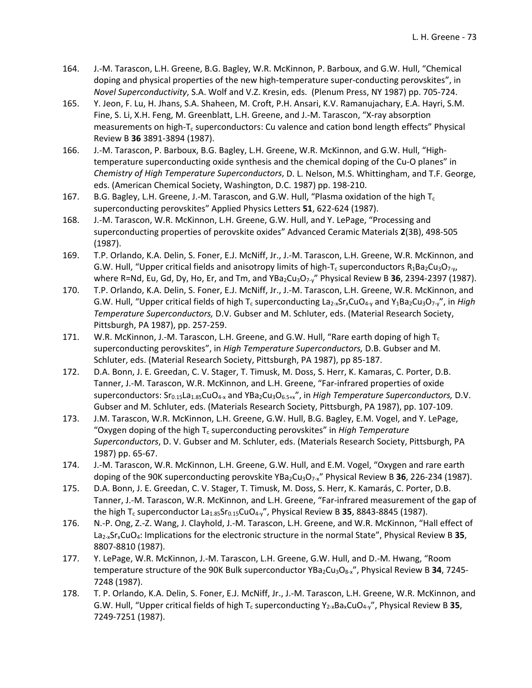- 164. J.‐M. Tarascon, L.H. Greene, B.G. Bagley, W.R. McKinnon, P. Barboux, and G.W. Hull, "Chemical doping and physical properties of the new high-temperature super-conducting perovskites", in *Novel Superconductivity*, S.A. Wolf and V.Z. Kresin, eds. (Plenum Press, NY 1987) pp. 705‐724.
- 165. Y. Jeon, F. Lu, H. Jhans, S.A. Shaheen, M. Croft, P.H. Ansari, K.V. Ramanujachary, E.A. Hayri, S.M. Fine, S. Li, X.H. Feng, M. Greenblatt, L.H. Greene, and J.‐M. Tarascon, "X‐ray absorption measurements on high-T<sub>c</sub> superconductors: Cu valence and cation bond length effects" Physical Review B **36** 3891‐3894 (1987).
- 166. J.-M. Tarascon, P. Barboux, B.G. Bagley, L.H. Greene, W.R. McKinnon, and G.W. Hull, "Hightemperature superconducting oxide synthesis and the chemical doping of the Cu-O planes" in *Chemistry of High Temperature Superconductors*, D. L. Nelson, M.S. Whittingham, and T.F. George, eds. (American Chemical Society, Washington, D.C. 1987) pp. 198‐210.
- 167. B.G. Bagley, L.H. Greene, J.-M. Tarascon, and G.W. Hull, "Plasma oxidation of the high  $T_c$ superconducting perovskites" Applied Physics Letters **51**, 622‐624 (1987).
- 168. J.‐M. Tarascon, W.R. McKinnon, L.H. Greene, G.W. Hull, and Y. LePage, "Processing and superconducting properties of perovskite oxides" Advanced Ceramic Materials **2**(3B), 498‐505 (1987).
- 169. T.P. Orlando, K.A. Delin, S. Foner, E.J. McNiff, Jr., J.‐M. Tarascon, L.H. Greene, W.R. McKinnon, and G.W. Hull, "Upper critical fields and anisotropy limits of high-T<sub>c</sub> superconductors R<sub>1</sub>Ba<sub>2</sub>Cu<sub>3</sub>O<sub>7-y</sub>, where R=Nd, Eu, Gd, Dy, Ho, Er, and Tm, and YBa<sub>2</sub>Cu<sub>3</sub>O<sub>7</sub>. "Physical Review B 36, 2394-2397 (1987).
- 170. T.P. Orlando, K.A. Delin, S. Foner, E.J. McNiff, Jr., J.‐M. Tarascon, L.H. Greene, W.R. McKinnon, and G.W. Hull, "Upper critical fields of high T<sub>c</sub> superconducting La<sub>2</sub><sub>x</sub>Sr<sub>x</sub>CuO<sub>4</sub><sub>v</sub> and Y<sub>1</sub>Ba<sub>2</sub>Cu<sub>3</sub>O<sub>7</sub><sub>y</sub>", in *High Temperature Superconductors,* D.V. Gubser and M. Schluter, eds. (Material Research Society, Pittsburgh, PA 1987), pp. 257‐259.
- 171. W.R. McKinnon, J.-M. Tarascon, L.H. Greene, and G.W. Hull, "Rare earth doping of high  $T_c$ superconducting perovskites", in *High Temperature Superconductors,* D.B. Gubser and M. Schluter, eds. (Material Research Society, Pittsburgh, PA 1987), pp 85‐187.
- 172. D.A. Bonn, J. E. Greedan, C. V. Stager, T. Timusk, M. Doss, S. Herr, K. Kamaras, C. Porter, D.B. Tanner, J.‐M. Tarascon, W.R. McKinnon, and L.H. Greene, "Far‐infrared properties of oxide superconductors: Sr0.15La1.85CuO4‐<sup>x</sup> and YBa2Cu3O6.5+x", in *High Temperature Superconductors,* D.V. Gubser and M. Schluter, eds. (Materials Research Society, Pittsburgh, PA 1987), pp. 107‐109.
- 173. J.M. Tarascon, W.R. McKinnon, L.H. Greene, G.W. Hull, B.G. Bagley, E.M. Vogel, and Y. LePage, "Oxygen doping of the high Tc superconducting perovskites" in *High Temperature Superconductors*, D. V. Gubser and M. Schluter, eds. (Materials Research Society, Pittsburgh, PA 1987) pp. 65‐67.
- 174. J.-M. Tarascon, W.R. McKinnon, L.H. Greene, G.W. Hull, and E.M. Vogel, "Oxygen and rare earth doping of the 90K superconducting perovskite YBa2Cu3O7‐x" Physical Review B **36**, 226‐234 (1987).
- 175. D.A. Bonn, J. E. Greedan, C. V. Stager, T. Timusk, M. Doss, S. Herr, K. Kamarás, C. Porter, D.B. Tanner, J.-M. Tarascon, W.R. McKinnon, and L.H. Greene, "Far-infrared measurement of the gap of the high T<sub>c</sub> superconductor La<sub>1.85</sub>Sr<sub>0.15</sub>CuO<sub>4</sub>-y", Physical Review B **35**, 8843-8845 (1987).
- 176. N.-P. Ong, Z.-Z. Wang, J. Clayhold, J.-M. Tarascon, L.H. Greene, and W.R. McKinnon, "Hall effect of La<sub>2</sub><sup>x</sup>Sr<sub>x</sub>CuO<sub>4</sub>: Implications for the electronic structure in the normal State", Physical Review B 35, 8807‐8810 (1987).
- 177. Y. LePage, W.R. McKinnon, J.-M. Tarascon, L.H. Greene, G.W. Hull, and D.-M. Hwang, "Room temperature structure of the 90K Bulk superconductor YBa<sub>2</sub>Cu<sub>3</sub>O<sub>8</sub>-x", Physical Review B 34, 7245-7248 (1987).
- 178. T. P. Orlando, K.A. Delin, S. Foner, E.J. McNiff, Jr., J.‐M. Tarascon, L.H. Greene, W.R. McKinnon, and G.W. Hull, "Upper critical fields of high T<sub>c</sub> superconducting Y<sub>2</sub><sub>x</sub>Ba<sub>x</sub>CuO<sub>4</sub><sub>-y</sub>", Physical Review B 35, 7249‐7251 (1987).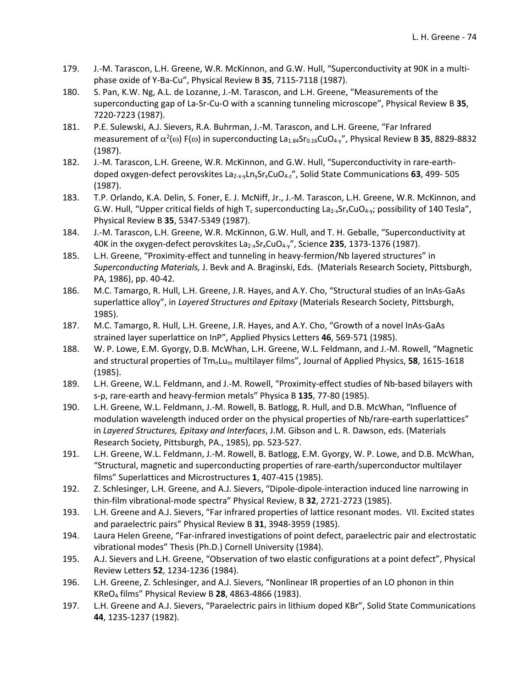- 179. J.-M. Tarascon, L.H. Greene, W.R. McKinnon, and G.W. Hull, "Superconductivity at 90K in a multiphase oxide of Y‐Ba‐Cu", Physical Review B **35**, 7115‐7118 (1987).
- 180. S. Pan, K.W. Ng, A.L. de Lozanne, J.-M. Tarascon, and L.H. Greene, "Measurements of the superconducting gap of La‐Sr‐Cu‐O with a scanning tunneling microscope", Physical Review B **35**, 7220‐7223 (1987).
- 181. P.E. Sulewski, A.J. Sievers, R.A. Buhrman, J.‐M. Tarascon, and L.H. Greene, "Far Infrared measurement of  $\alpha^2(\omega)$  F( $\omega$ ) in superconducting La<sub>1.84</sub>Sr<sub>0.16</sub>CuO<sub>4</sub>,", Physical Review B 35, 8829-8832 (1987).
- 182. J.-M. Tarascon, L.H. Greene, W.R. McKinnon, and G.W. Hull, "Superconductivity in rare-earthdoped oxygen‐defect perovskites La2‐x‐yLnySrxCuO4‐z", Solid State Communications **63**, 499‐ 505 (1987).
- 183. T.P. Orlando, K.A. Delin, S. Foner, E. J. McNiff, Jr., J.‐M. Tarascon, L.H. Greene, W.R. McKinnon, and G.W. Hull, "Upper critical fields of high T<sub>c</sub> superconducting La<sub>2</sub><sub>x</sub>Sr<sub>x</sub>CuO<sub>4</sub><sub>y</sub>; possibility of 140 Tesla", Physical Review B **35**, 5347‐5349 (1987).
- 184. J.-M. Tarascon, L.H. Greene, W.R. McKinnon, G.W. Hull, and T. H. Geballe, "Superconductivity at 40K in the oxygen‐defect perovskites La2‐xSrxCuO4‐y", Science **235**, 1373‐1376 (1987).
- 185. L.H. Greene, "Proximity-effect and tunneling in heavy-fermion/Nb layered structures" in *Superconducting Materials,* J. Bevk and A. Braginski, Eds. (Materials Research Society, Pittsburgh, PA, 1986), pp. 40‐42.
- 186. M.C. Tamargo, R. Hull, L.H. Greene, J.R. Hayes, and A.Y. Cho, "Structural studies of an InAs‐GaAs superlattice alloy", in *Layered Structures and Epitaxy* (Materials Research Society, Pittsburgh, 1985).
- 187. M.C. Tamargo, R. Hull, L.H. Greene, J.R. Hayes, and A.Y. Cho, "Growth of a novel InAs‐GaAs strained layer superlattice on InP", Applied Physics Letters **46**, 569‐571 (1985).
- 188. W. P. Lowe, E.M. Gyorgy, D.B. McWhan, L.H. Greene, W.L. Feldmann, and J.‐M. Rowell, "Magnetic and structural properties of TmnLum multilayer films", Journal of Applied Physics, **58**, 1615‐1618 (1985).
- 189. L.H. Greene, W.L. Feldmann, and J.-M. Rowell, "Proximity-effect studies of Nb-based bilayers with s‐p, rare‐earth and heavy‐fermion metals" Physica B **135**, 77‐80 (1985).
- 190. L.H. Greene, W.L. Feldmann, J.‐M. Rowell, B. Batlogg, R. Hull, and D.B. McWhan, "Influence of modulation wavelength induced order on the physical properties of Nb/rare‐earth superlattices" in *Layered Structures, Epitaxy and Interfaces*, J.M. Gibson and L. R. Dawson, eds. (Materials Research Society, Pittsburgh, PA., 1985), pp. 523‐527.
- 191. L.H. Greene, W.L. Feldmann, J.-M. Rowell, B. Batlogg, E.M. Gyorgy, W. P. Lowe, and D.B. McWhan, "Structural, magnetic and superconducting properties of rare‐earth/superconductor multilayer films" Superlattices and Microstructures **1**, 407‐415 (1985).
- 192. Z. Schlesinger, L.H. Greene, and A.J. Sievers, "Dipole-dipole-interaction induced line narrowing in thin‐film vibrational‐mode spectra" Physical Review, B **32**, 2721‐2723 (1985).
- 193. L.H. Greene and A.J. Sievers, "Far infrared properties of lattice resonant modes. VII. Excited states and paraelectric pairs" Physical Review B **31**, 3948‐3959 (1985).
- 194. Laura Helen Greene, "Far-infrared investigations of point defect, paraelectric pair and electrostatic vibrational modes" Thesis (Ph.D.) Cornell University (1984).
- 195. A.J. Sievers and L.H. Greene, "Observation of two elastic configurations at a point defect", Physical Review Letters **52**, 1234‐1236 (1984).
- 196. L.H. Greene, Z. Schlesinger, and A.J. Sievers, "Nonlinear IR properties of an LO phonon in thin KReO4 films" Physical Review B **28**, 4863‐4866 (1983).
- 197. L.H. Greene and A.J. Sievers, "Paraelectric pairs in lithium doped KBr", Solid State Communications **44**, 1235‐1237 (1982).